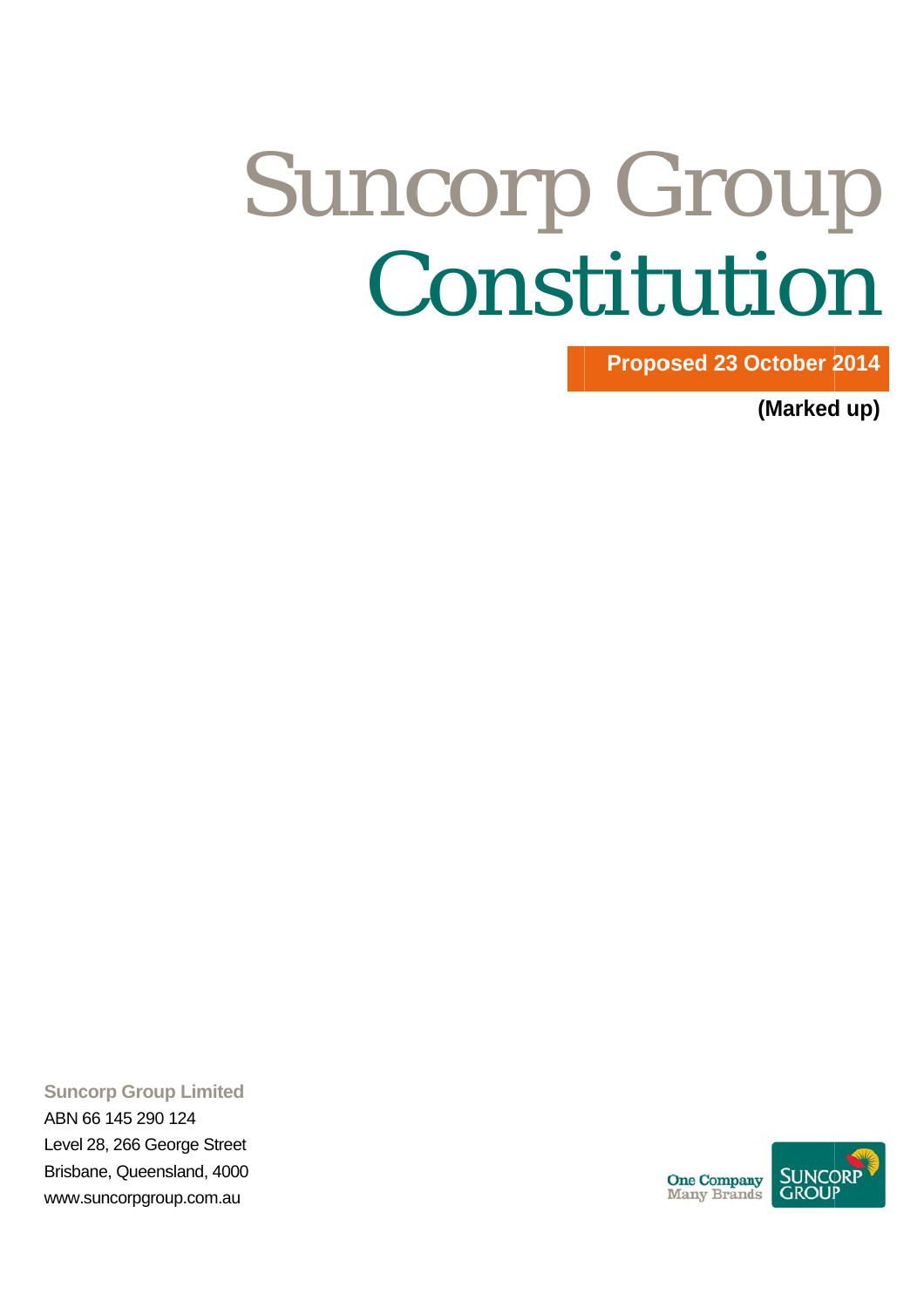# Suncorp Group<br>Constitution Constitution

**Proposed 23 October 2014** 

**(Marked up)** 

**Suncorp Group Limited** 

ABN 6 66 145 290 124 Level 28, 266 Ge orge Street Brisbane, Queensland, 4000 www.suncorpgroup.com.au

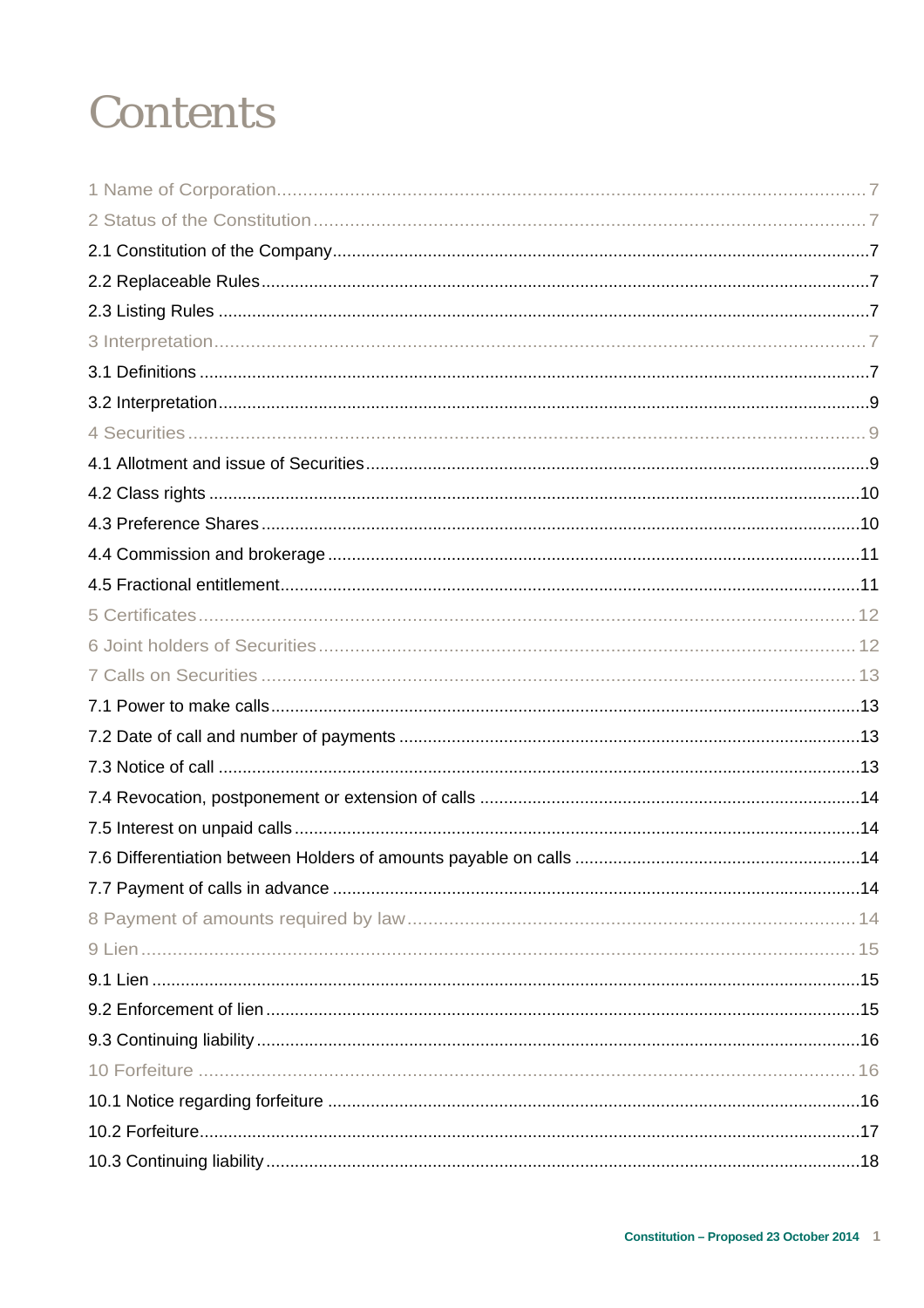### **Contents**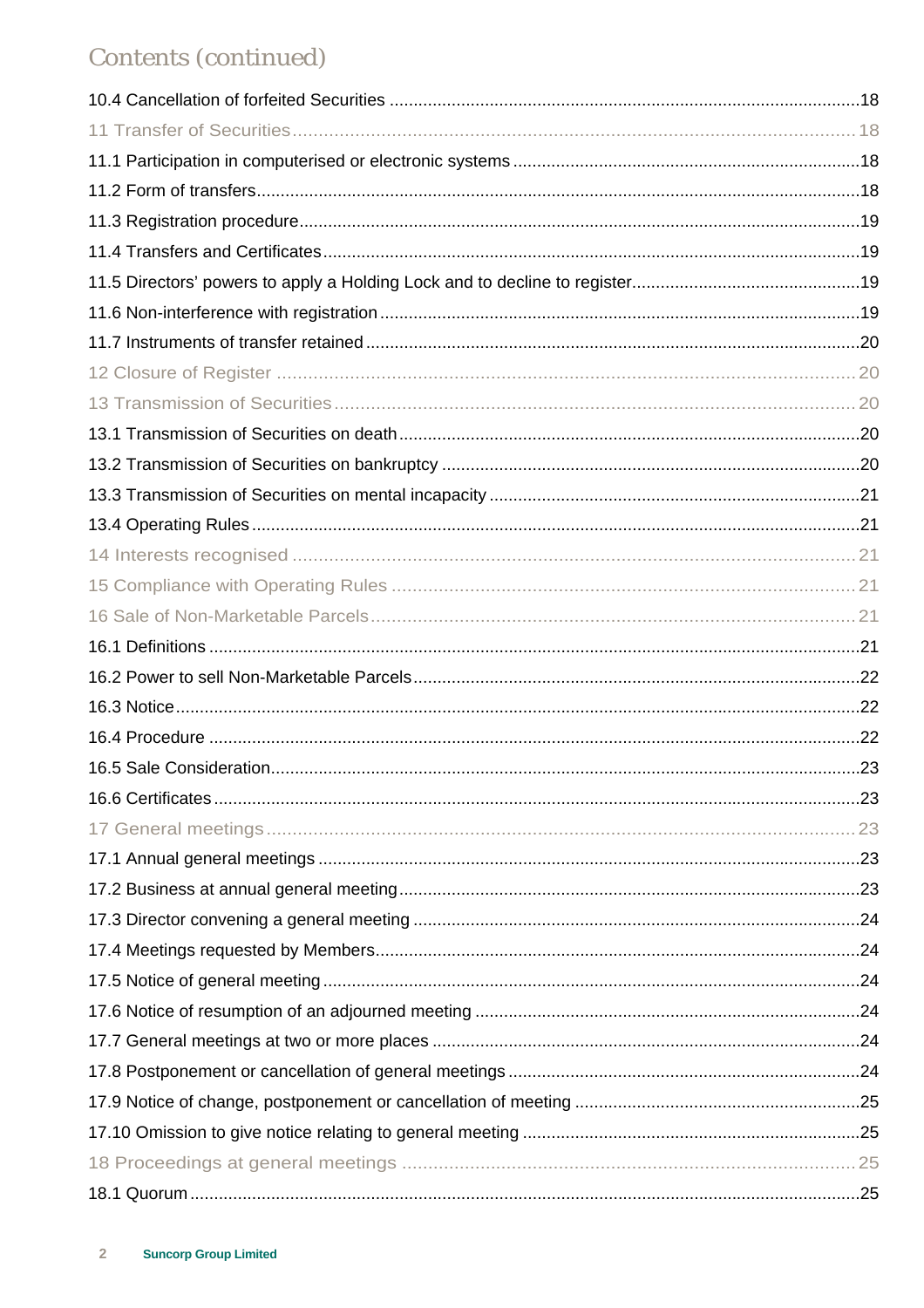### Contents (continued)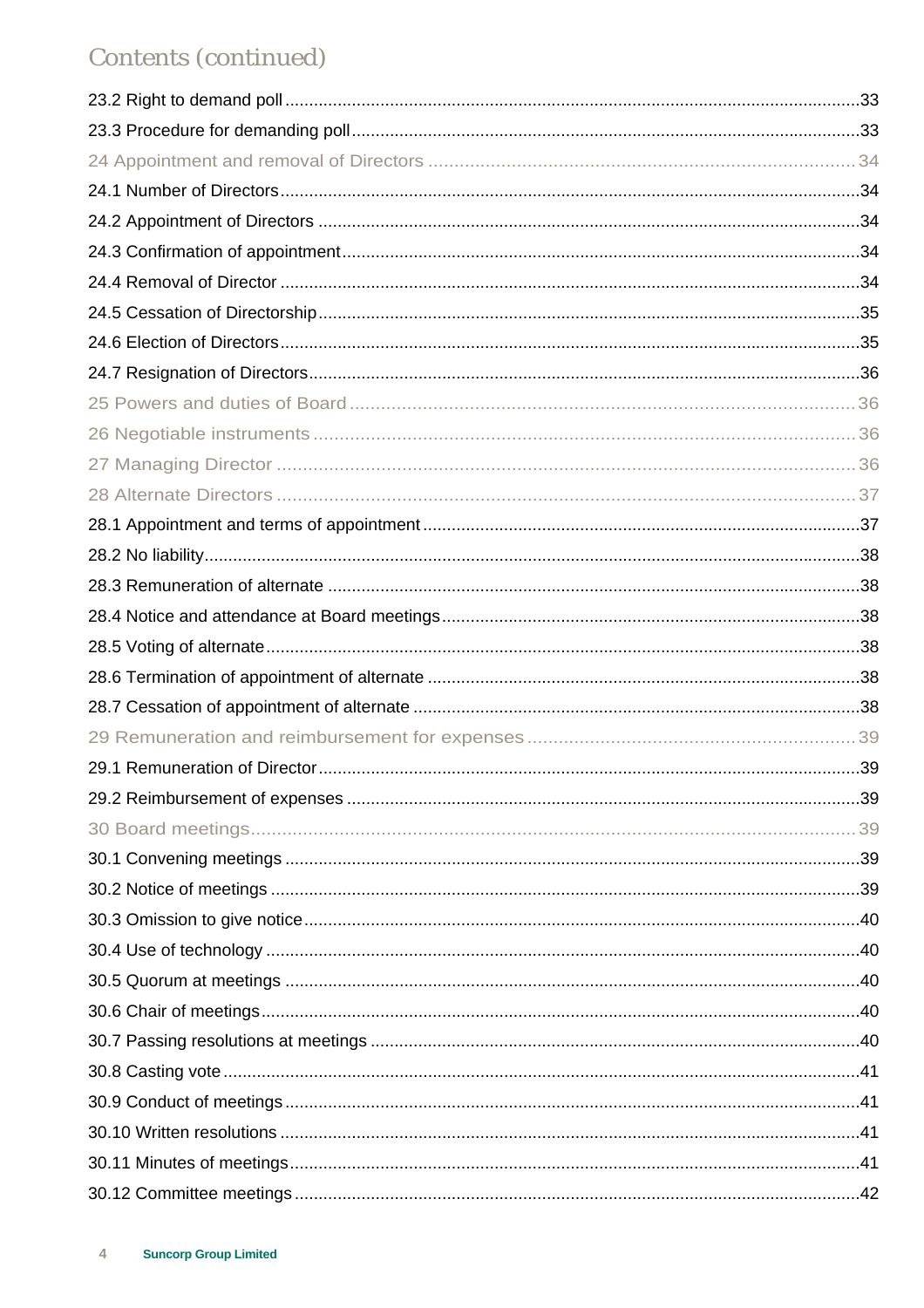### Contents (continued)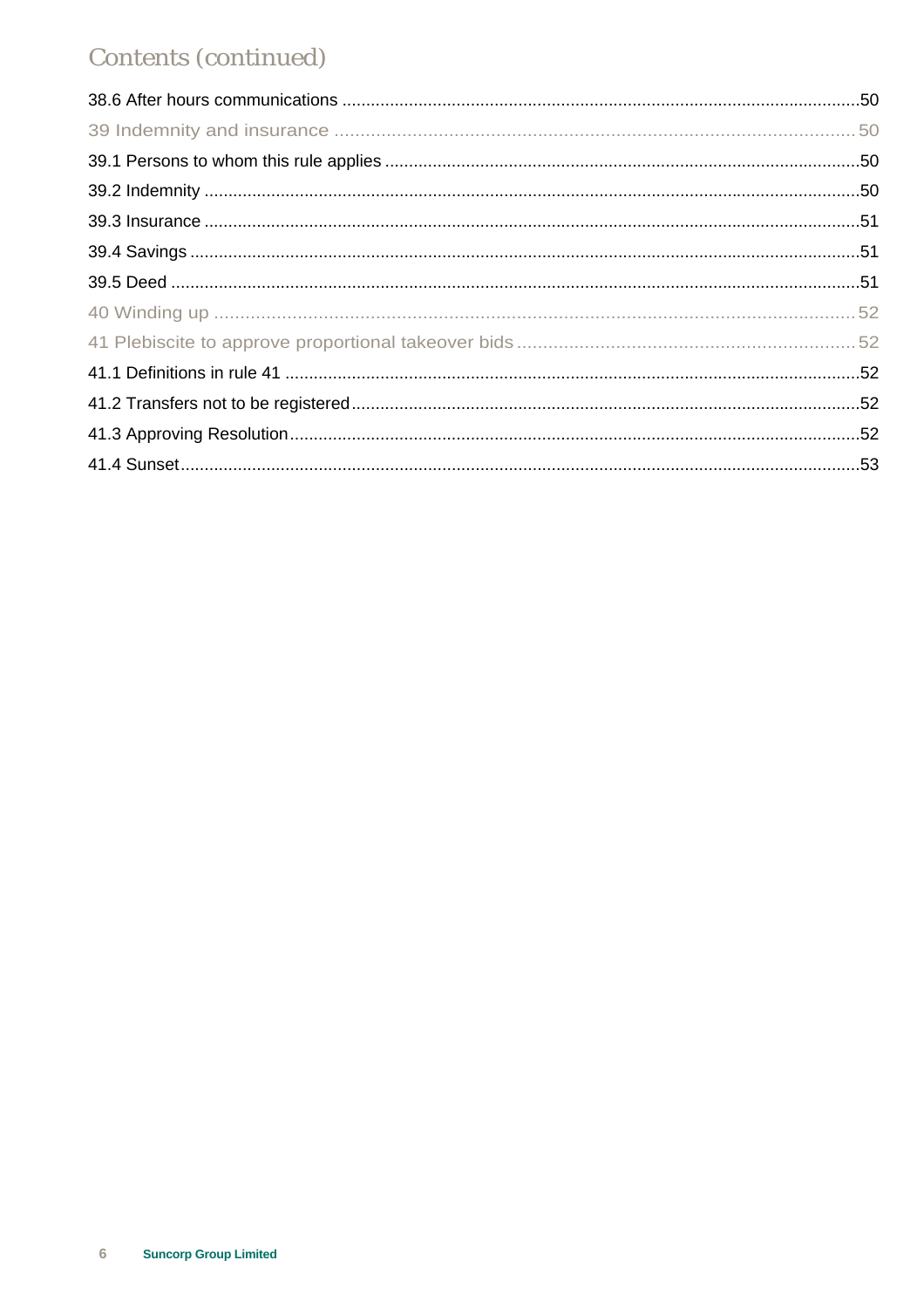### Contents (continued)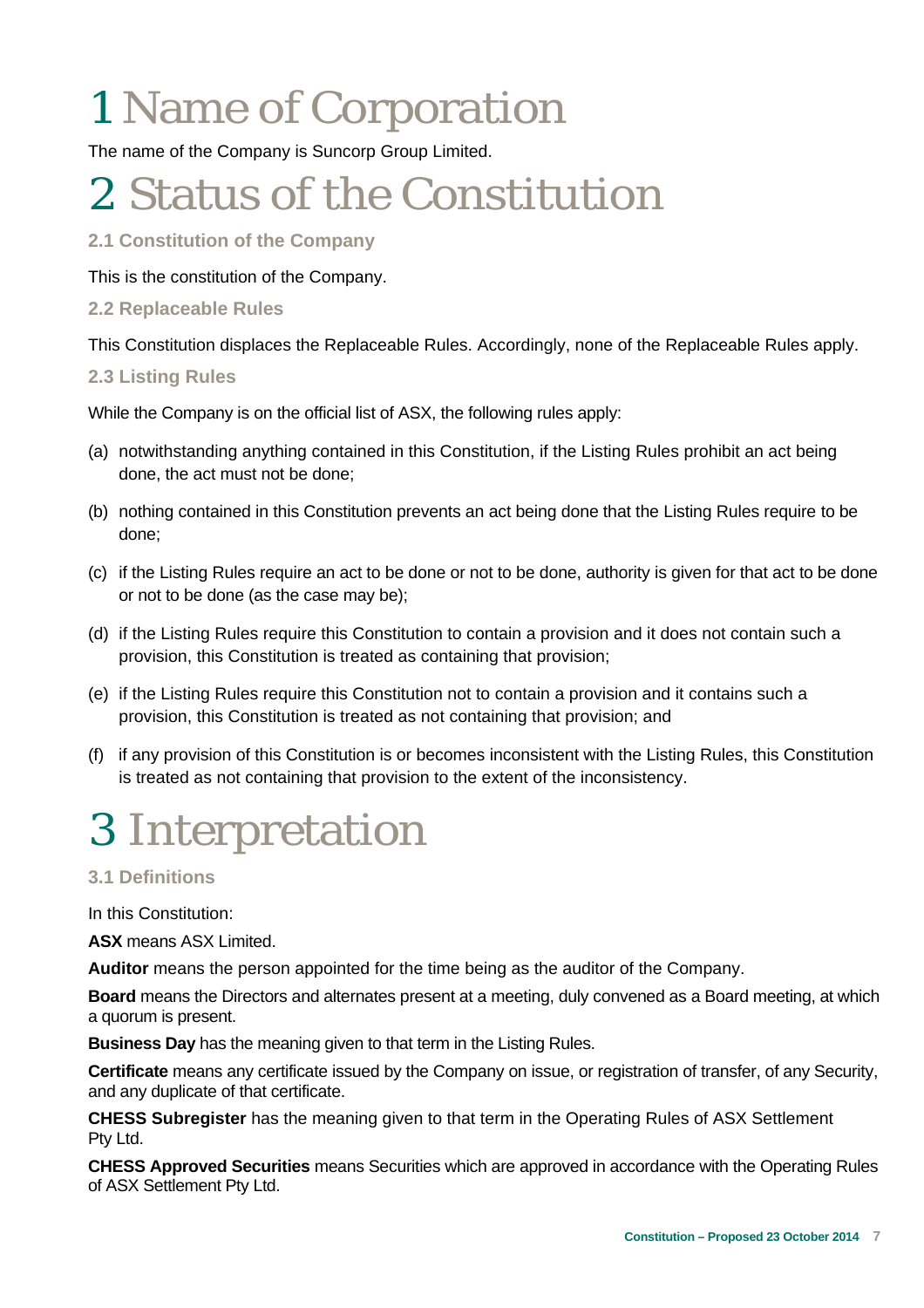# 1 Name of Corporation

The name of the Company is Suncorp Group Limited.

### 2 Status of the Constitution

### **2.1 Constitution of the Company**

This is the constitution of the Company.

### **2.2 Replaceable Rules**

This Constitution displaces the Replaceable Rules. Accordingly, none of the Replaceable Rules apply.

### **2.3 Listing Rules**

While the Company is on the official list of ASX, the following rules apply:

- (a) notwithstanding anything contained in this Constitution, if the Listing Rules prohibit an act being done, the act must not be done;
- (b) nothing contained in this Constitution prevents an act being done that the Listing Rules require to be done;
- (c) if the Listing Rules require an act to be done or not to be done, authority is given for that act to be done or not to be done (as the case may be);
- (d) if the Listing Rules require this Constitution to contain a provision and it does not contain such a provision, this Constitution is treated as containing that provision;
- (e) if the Listing Rules require this Constitution not to contain a provision and it contains such a provision, this Constitution is treated as not containing that provision; and
- (f) if any provision of this Constitution is or becomes inconsistent with the Listing Rules, this Constitution is treated as not containing that provision to the extent of the inconsistency.

### 3 Interpretation

### **3.1 Definitions**

In this Constitution:

**ASX** means ASX Limited.

**Auditor** means the person appointed for the time being as the auditor of the Company.

**Board** means the Directors and alternates present at a meeting, duly convened as a Board meeting, at which a quorum is present.

**Business Day** has the meaning given to that term in the Listing Rules.

**Certificate** means any certificate issued by the Company on issue, or registration of transfer, of any Security, and any duplicate of that certificate.

**CHESS Subregister** has the meaning given to that term in the Operating Rules of ASX Settlement Pty Ltd.

**CHESS Approved Securities** means Securities which are approved in accordance with the Operating Rules of ASX Settlement Pty Ltd.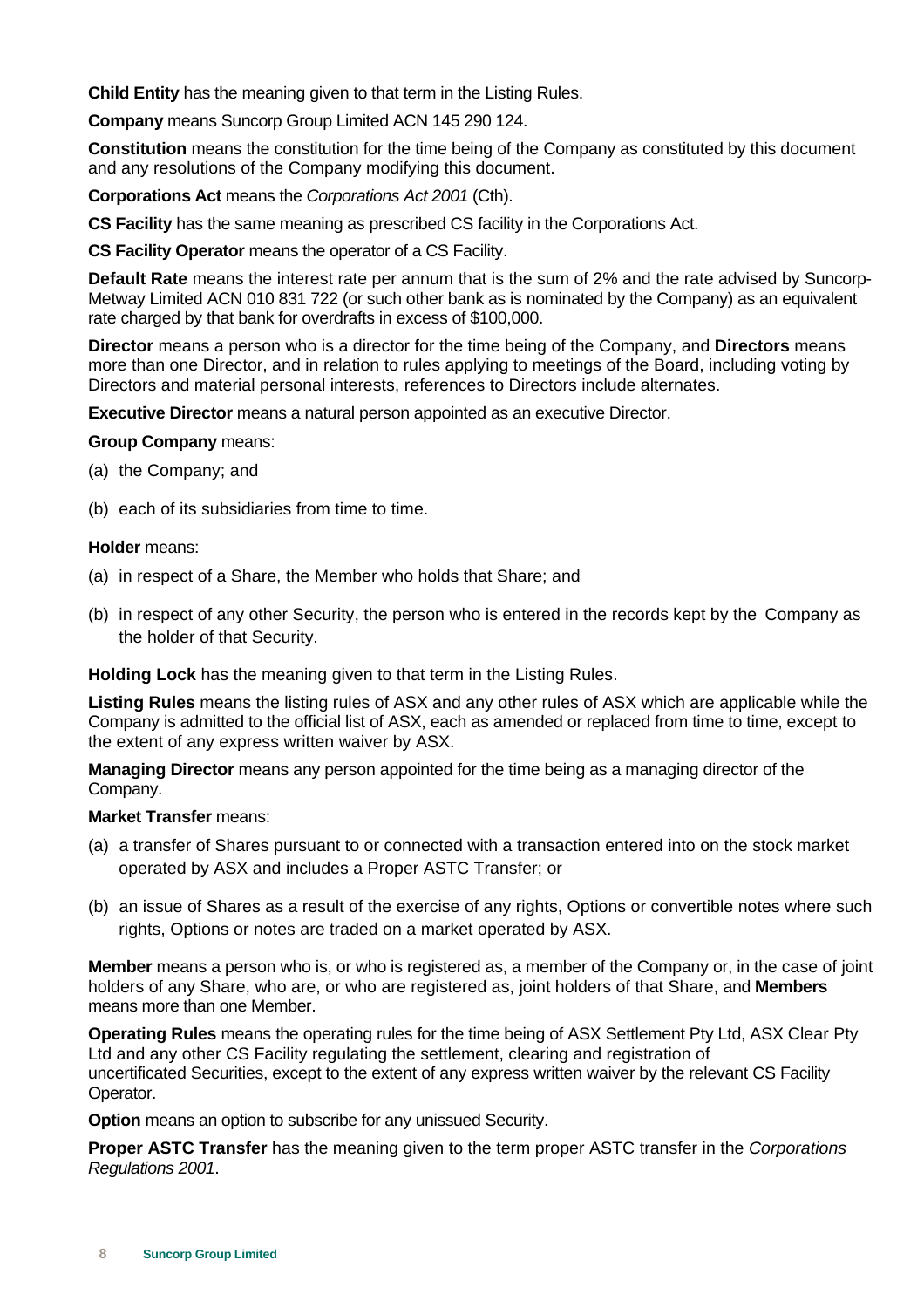**Child Entity** has the meaning given to that term in the Listing Rules.

**Company** means Suncorp Group Limited ACN 145 290 124.

**Constitution** means the constitution for the time being of the Company as constituted by this document and any resolutions of the Company modifying this document.

**Corporations Act** means the *Corporations Act 2001* (Cth).

**CS Facility** has the same meaning as prescribed CS facility in the Corporations Act.

**CS Facility Operator** means the operator of a CS Facility.

**Default Rate** means the interest rate per annum that is the sum of 2% and the rate advised by Suncorp-Metway Limited ACN 010 831 722 (or such other bank as is nominated by the Company) as an equivalent rate charged by that bank for overdrafts in excess of \$100,000.

**Director** means a person who is a director for the time being of the Company, and **Directors** means more than one Director, and in relation to rules applying to meetings of the Board, including voting by Directors and material personal interests, references to Directors include alternates.

**Executive Director** means a natural person appointed as an executive Director.

#### **Group Company** means:

- (a) the Company; and
- (b) each of its subsidiaries from time to time.

#### **Holder** means:

- (a) in respect of a Share, the Member who holds that Share; and
- (b) in respect of any other Security, the person who is entered in the records kept by the Company as the holder of that Security.

**Holding Lock** has the meaning given to that term in the Listing Rules.

**Listing Rules** means the listing rules of ASX and any other rules of ASX which are applicable while the Company is admitted to the official list of ASX, each as amended or replaced from time to time, except to the extent of any express written waiver by ASX.

**Managing Director** means any person appointed for the time being as a managing director of the Company.

#### **Market Transfer** means:

- (a) a transfer of Shares pursuant to or connected with a transaction entered into on the stock market operated by ASX and includes a Proper ASTC Transfer; or
- (b) an issue of Shares as a result of the exercise of any rights, Options or convertible notes where such rights, Options or notes are traded on a market operated by ASX.

**Member** means a person who is, or who is registered as, a member of the Company or, in the case of joint holders of any Share, who are, or who are registered as, joint holders of that Share, and **Members** means more than one Member.

**Operating Rules** means the operating rules for the time being of ASX Settlement Pty Ltd, ASX Clear Pty Ltd and any other CS Facility regulating the settlement, clearing and registration of uncertificated Securities, except to the extent of any express written waiver by the relevant CS Facility Operator.

**Option** means an option to subscribe for any unissued Security.

**Proper ASTC Transfer** has the meaning given to the term proper ASTC transfer in the *Corporations Regulations 2001*.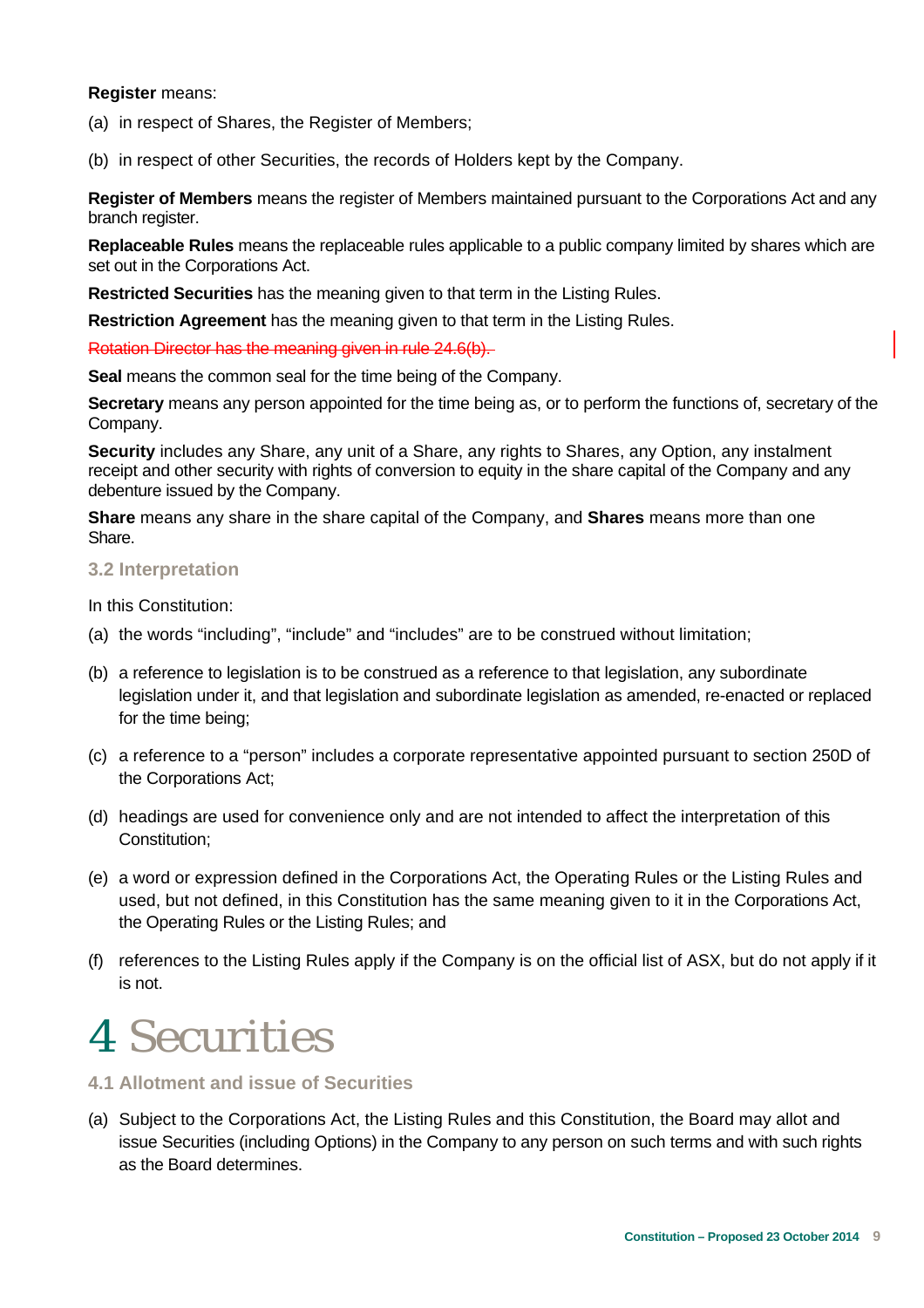#### **Register** means:

- (a) in respect of Shares, the Register of Members;
- (b) in respect of other Securities, the records of Holders kept by the Company.

**Register of Members** means the register of Members maintained pursuant to the Corporations Act and any branch register.

**Replaceable Rules** means the replaceable rules applicable to a public company limited by shares which are set out in the Corporations Act.

**Restricted Securities** has the meaning given to that term in the Listing Rules.

**Restriction Agreement** has the meaning given to that term in the Listing Rules.

Rotation Director has the meaning given in rule 24.6(b).

**Seal** means the common seal for the time being of the Company.

**Secretary** means any person appointed for the time being as, or to perform the functions of, secretary of the Company.

**Security** includes any Share, any unit of a Share, any rights to Shares, any Option, any instalment receipt and other security with rights of conversion to equity in the share capital of the Company and any debenture issued by the Company.

**Share** means any share in the share capital of the Company, and **Shares** means more than one Share.

### **3.2 Interpretation**

In this Constitution:

- (a) the words "including", "include" and "includes" are to be construed without limitation;
- (b) a reference to legislation is to be construed as a reference to that legislation, any subordinate legislation under it, and that legislation and subordinate legislation as amended, re-enacted or replaced for the time being;
- (c) a reference to a "person" includes a corporate representative appointed pursuant to section 250D of the Corporations Act;
- (d) headings are used for convenience only and are not intended to affect the interpretation of this Constitution;
- (e) a word or expression defined in the Corporations Act, the Operating Rules or the Listing Rules and used, but not defined, in this Constitution has the same meaning given to it in the Corporations Act, the Operating Rules or the Listing Rules; and
- (f) references to the Listing Rules apply if the Company is on the official list of ASX, but do not apply if it is not.

### 4 Securities

### **4.1 Allotment and issue of Securities**

(a) Subject to the Corporations Act, the Listing Rules and this Constitution, the Board may allot and issue Securities (including Options) in the Company to any person on such terms and with such rights as the Board determines.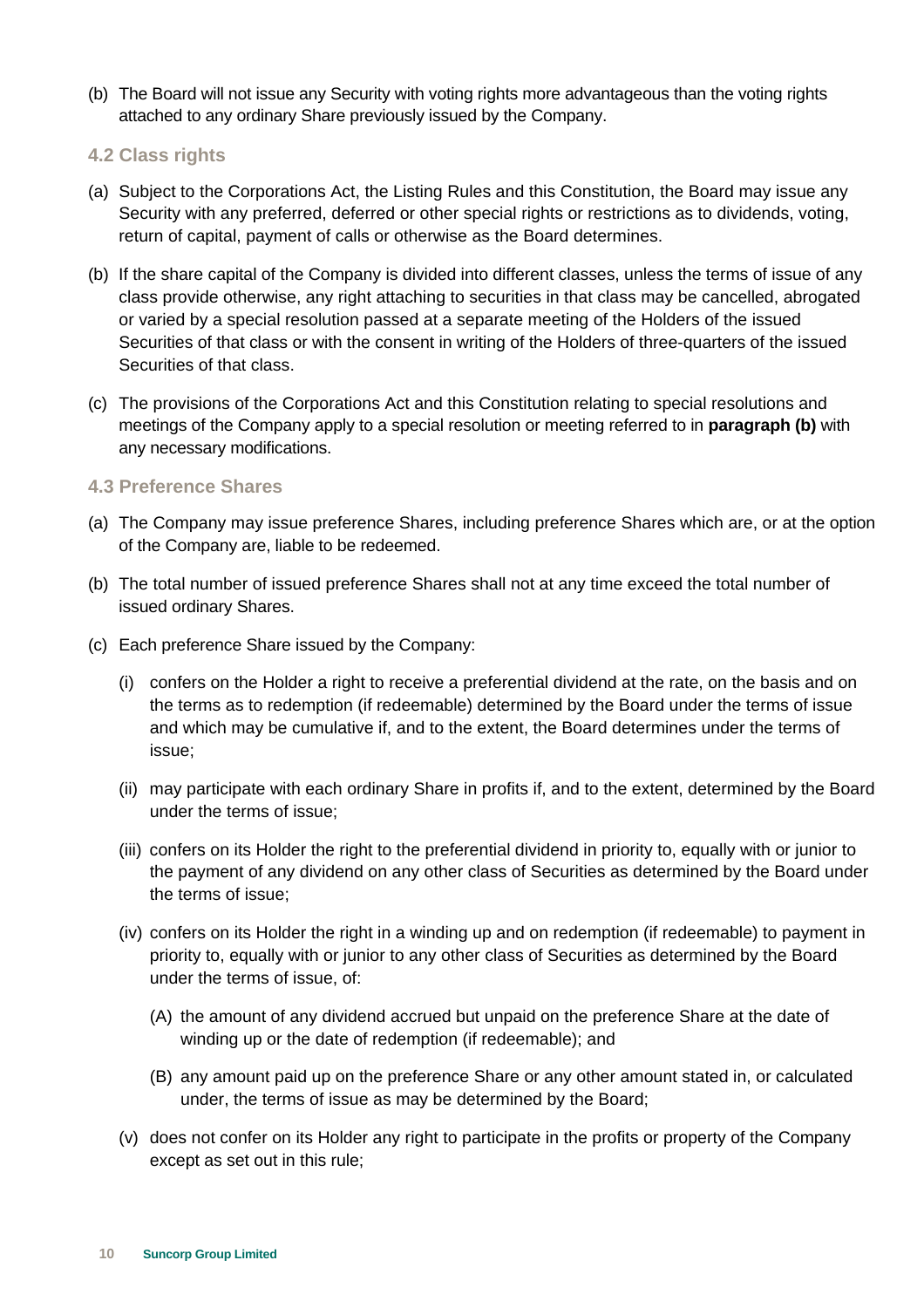- (b) The Board will not issue any Security with voting rights more advantageous than the voting rights attached to any ordinary Share previously issued by the Company.
- **4.2 Class rights**
- (a) Subject to the Corporations Act, the Listing Rules and this Constitution, the Board may issue any Security with any preferred, deferred or other special rights or restrictions as to dividends, voting, return of capital, payment of calls or otherwise as the Board determines.
- (b) If the share capital of the Company is divided into different classes, unless the terms of issue of any class provide otherwise, any right attaching to securities in that class may be cancelled, abrogated or varied by a special resolution passed at a separate meeting of the Holders of the issued Securities of that class or with the consent in writing of the Holders of three-quarters of the issued Securities of that class.
- (c) The provisions of the Corporations Act and this Constitution relating to special resolutions and meetings of the Company apply to a special resolution or meeting referred to in **paragraph (b)** with any necessary modifications.

### **4.3 Preference Shares**

- (a) The Company may issue preference Shares, including preference Shares which are, or at the option of the Company are, liable to be redeemed.
- (b) The total number of issued preference Shares shall not at any time exceed the total number of issued ordinary Shares.
- (c) Each preference Share issued by the Company:
	- (i) confers on the Holder a right to receive a preferential dividend at the rate, on the basis and on the terms as to redemption (if redeemable) determined by the Board under the terms of issue and which may be cumulative if, and to the extent, the Board determines under the terms of issue;
	- (ii) may participate with each ordinary Share in profits if, and to the extent, determined by the Board under the terms of issue;
	- (iii) confers on its Holder the right to the preferential dividend in priority to, equally with or junior to the payment of any dividend on any other class of Securities as determined by the Board under the terms of issue;
	- (iv) confers on its Holder the right in a winding up and on redemption (if redeemable) to payment in priority to, equally with or junior to any other class of Securities as determined by the Board under the terms of issue, of:
		- (A) the amount of any dividend accrued but unpaid on the preference Share at the date of winding up or the date of redemption (if redeemable); and
		- (B) any amount paid up on the preference Share or any other amount stated in, or calculated under, the terms of issue as may be determined by the Board;
	- (v) does not confer on its Holder any right to participate in the profits or property of the Company except as set out in this rule;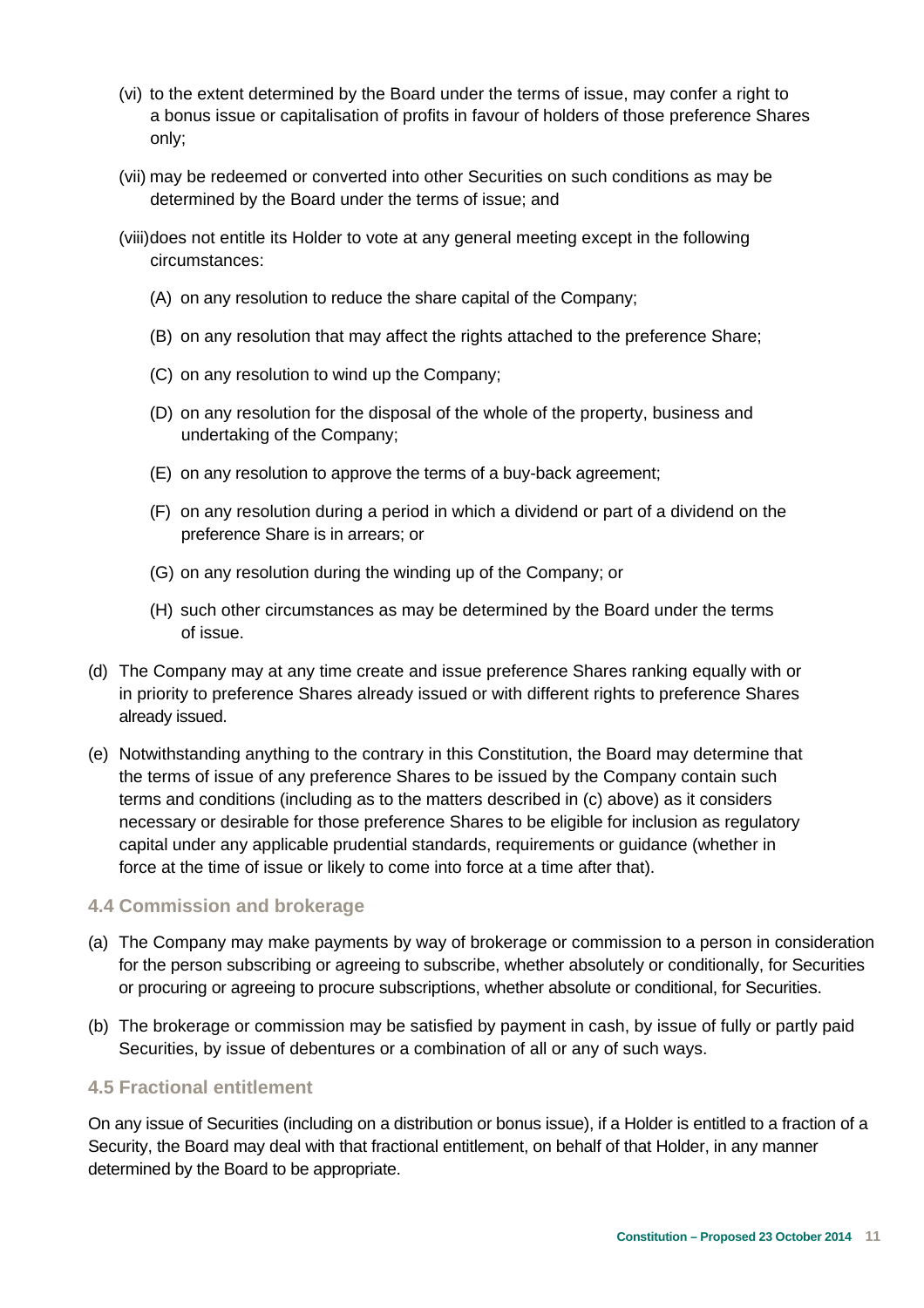- (vi) to the extent determined by the Board under the terms of issue, may confer a right to a bonus issue or capitalisation of profits in favour of holders of those preference Shares only;
- (vii) may be redeemed or converted into other Securities on such conditions as may be determined by the Board under the terms of issue; and
- (viii) does not entitle its Holder to vote at any general meeting except in the following circumstances:
	- (A) on any resolution to reduce the share capital of the Company;
	- (B) on any resolution that may affect the rights attached to the preference Share;
	- (C) on any resolution to wind up the Company;
	- (D) on any resolution for the disposal of the whole of the property, business and undertaking of the Company;
	- (E) on any resolution to approve the terms of a buy-back agreement;
	- (F) on any resolution during a period in which a dividend or part of a dividend on the preference Share is in arrears; or
	- (G) on any resolution during the winding up of the Company; or
	- (H) such other circumstances as may be determined by the Board under the terms of issue.
- (d) The Company may at any time create and issue preference Shares ranking equally with or in priority to preference Shares already issued or with different rights to preference Shares already issued.
- (e) Notwithstanding anything to the contrary in this Constitution, the Board may determine that the terms of issue of any preference Shares to be issued by the Company contain such terms and conditions (including as to the matters described in (c) above) as it considers necessary or desirable for those preference Shares to be eligible for inclusion as regulatory capital under any applicable prudential standards, requirements or guidance (whether in force at the time of issue or likely to come into force at a time after that).

### **4.4 Commission and brokerage**

- (a) The Company may make payments by way of brokerage or commission to a person in consideration for the person subscribing or agreeing to subscribe, whether absolutely or conditionally, for Securities or procuring or agreeing to procure subscriptions, whether absolute or conditional, for Securities.
- (b) The brokerage or commission may be satisfied by payment in cash, by issue of fully or partly paid Securities, by issue of debentures or a combination of all or any of such ways.

### **4.5 Fractional entitlement**

On any issue of Securities (including on a distribution or bonus issue), if a Holder is entitled to a fraction of a Security, the Board may deal with that fractional entitlement, on behalf of that Holder, in any manner determined by the Board to be appropriate.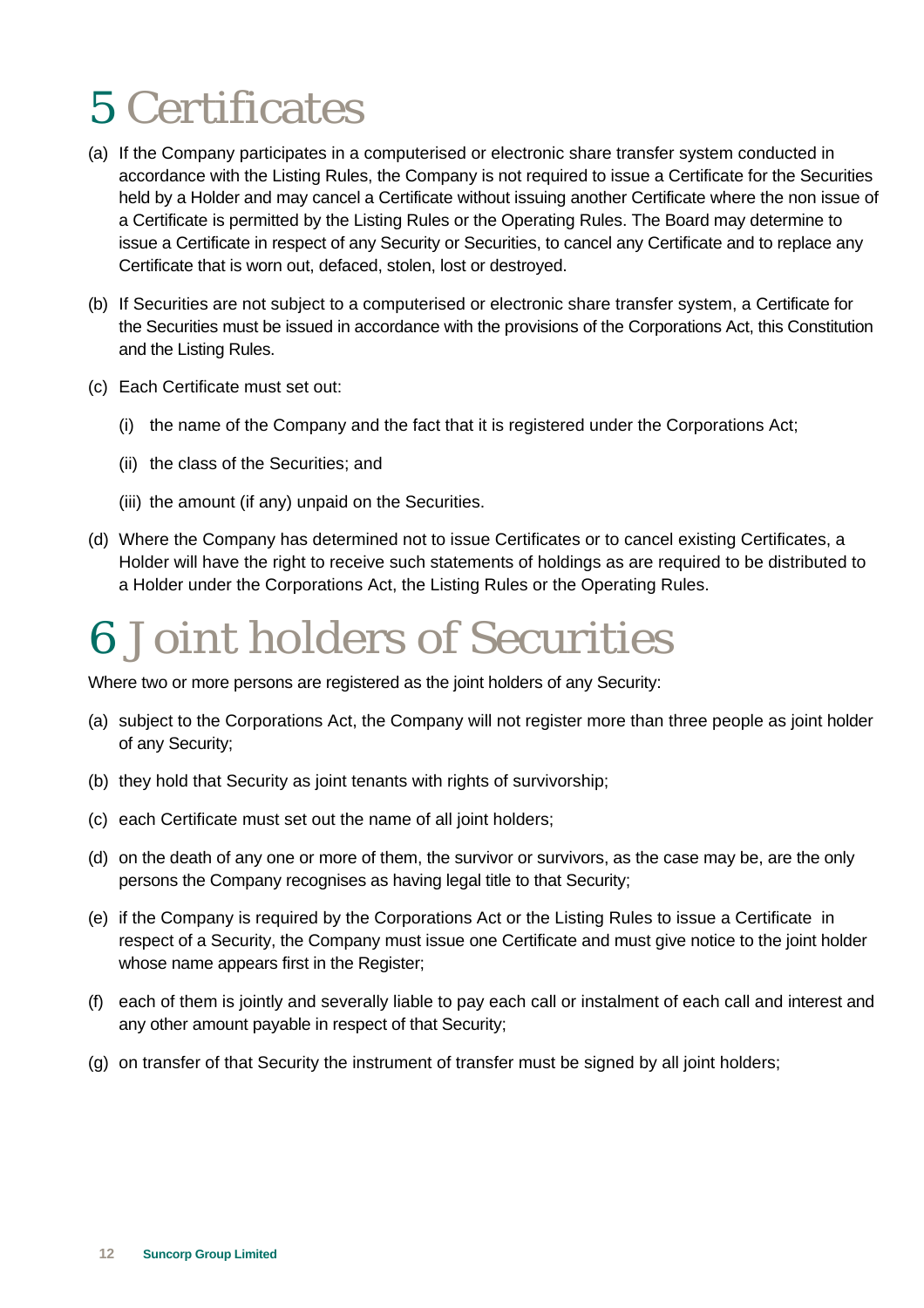### 5 Certificates

- (a) If the Company participates in a computerised or electronic share transfer system conducted in accordance with the Listing Rules, the Company is not required to issue a Certificate for the Securities held by a Holder and may cancel a Certificate without issuing another Certificate where the non issue of a Certificate is permitted by the Listing Rules or the Operating Rules. The Board may determine to issue a Certificate in respect of any Security or Securities, to cancel any Certificate and to replace any Certificate that is worn out, defaced, stolen, lost or destroyed.
- (b) If Securities are not subject to a computerised or electronic share transfer system, a Certificate for the Securities must be issued in accordance with the provisions of the Corporations Act, this Constitution and the Listing Rules.
- (c) Each Certificate must set out:
	- (i) the name of the Company and the fact that it is registered under the Corporations Act;
	- (ii) the class of the Securities; and
	- (iii) the amount (if any) unpaid on the Securities.
- (d) Where the Company has determined not to issue Certificates or to cancel existing Certificates, a Holder will have the right to receive such statements of holdings as are required to be distributed to a Holder under the Corporations Act, the Listing Rules or the Operating Rules.

### 6 Joint holders of Securities

Where two or more persons are registered as the joint holders of any Security:

- (a) subject to the Corporations Act, the Company will not register more than three people as joint holder of any Security;
- (b) they hold that Security as joint tenants with rights of survivorship;
- (c) each Certificate must set out the name of all joint holders;
- (d) on the death of any one or more of them, the survivor or survivors, as the case may be, are the only persons the Company recognises as having legal title to that Security;
- (e) if the Company is required by the Corporations Act or the Listing Rules to issue a Certificate in respect of a Security, the Company must issue one Certificate and must give notice to the joint holder whose name appears first in the Register:
- (f) each of them is jointly and severally liable to pay each call or instalment of each call and interest and any other amount payable in respect of that Security;
- (g) on transfer of that Security the instrument of transfer must be signed by all joint holders;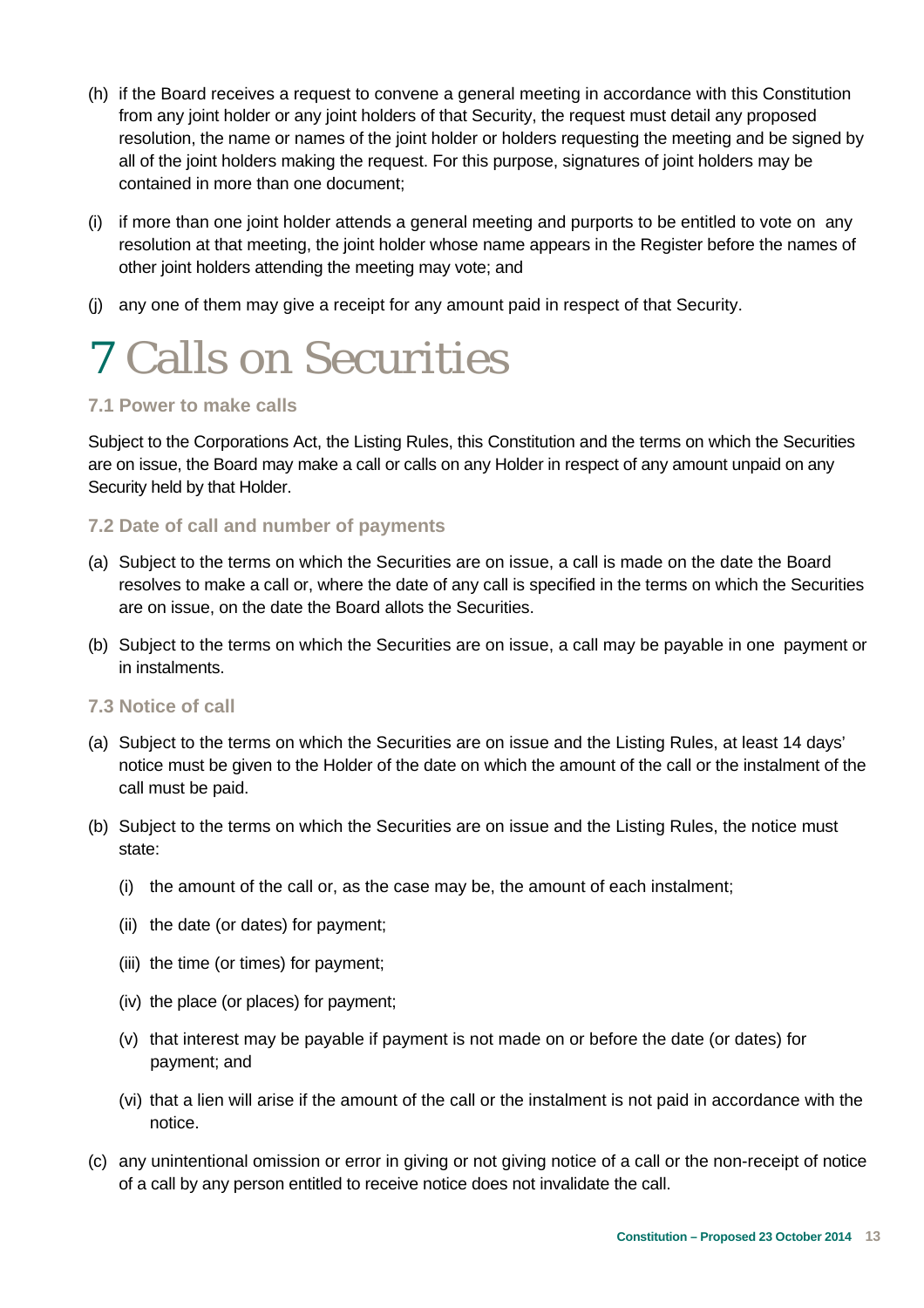- (h) if the Board receives a request to convene a general meeting in accordance with this Constitution from any joint holder or any joint holders of that Security, the request must detail any proposed resolution, the name or names of the joint holder or holders requesting the meeting and be signed by all of the joint holders making the request. For this purpose, signatures of joint holders may be contained in more than one document;
- (i) if more than one joint holder attends a general meeting and purports to be entitled to vote on any resolution at that meeting, the joint holder whose name appears in the Register before the names of other joint holders attending the meeting may vote; and
- (j) any one of them may give a receipt for any amount paid in respect of that Security.

### 7 Calls on Securities

### **7.1 Power to make calls**

Subject to the Corporations Act, the Listing Rules, this Constitution and the terms on which the Securities are on issue, the Board may make a call or calls on any Holder in respect of any amount unpaid on any Security held by that Holder.

### **7.2 Date of call and number of payments**

- (a) Subject to the terms on which the Securities are on issue, a call is made on the date the Board resolves to make a call or, where the date of any call is specified in the terms on which the Securities are on issue, on the date the Board allots the Securities.
- (b) Subject to the terms on which the Securities are on issue, a call may be payable in one payment or in instalments.

### **7.3 Notice of call**

- (a) Subject to the terms on which the Securities are on issue and the Listing Rules, at least 14 days' notice must be given to the Holder of the date on which the amount of the call or the instalment of the call must be paid.
- (b) Subject to the terms on which the Securities are on issue and the Listing Rules, the notice must state:
	- (i) the amount of the call or, as the case may be, the amount of each instalment;
	- (ii) the date (or dates) for payment;
	- (iii) the time (or times) for payment;
	- (iv) the place (or places) for payment;
	- (v) that interest may be payable if payment is not made on or before the date (or dates) for payment; and
	- (vi) that a lien will arise if the amount of the call or the instalment is not paid in accordance with the notice.
- (c) any unintentional omission or error in giving or not giving notice of a call or the non-receipt of notice of a call by any person entitled to receive notice does not invalidate the call.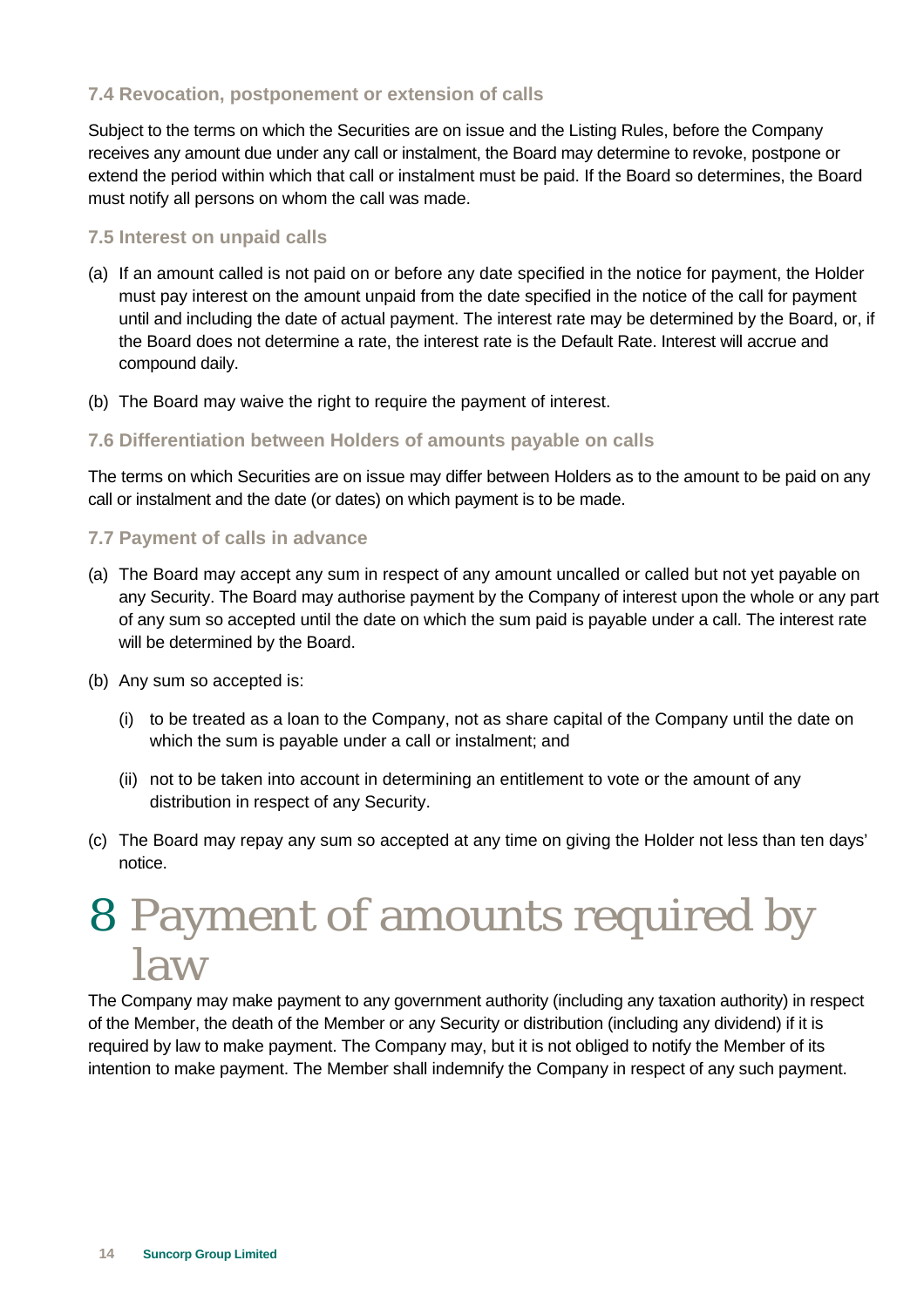### **7.4 Revocation, postponement or extension of calls**

Subject to the terms on which the Securities are on issue and the Listing Rules, before the Company receives any amount due under any call or instalment, the Board may determine to revoke, postpone or extend the period within which that call or instalment must be paid. If the Board so determines, the Board must notify all persons on whom the call was made.

### **7.5 Interest on unpaid calls**

- (a) If an amount called is not paid on or before any date specified in the notice for payment, the Holder must pay interest on the amount unpaid from the date specified in the notice of the call for payment until and including the date of actual payment. The interest rate may be determined by the Board, or, if the Board does not determine a rate, the interest rate is the Default Rate. Interest will accrue and compound daily.
- (b) The Board may waive the right to require the payment of interest.

### **7.6 Differentiation between Holders of amounts payable on calls**

The terms on which Securities are on issue may differ between Holders as to the amount to be paid on any call or instalment and the date (or dates) on which payment is to be made.

### **7.7 Payment of calls in advance**

- (a) The Board may accept any sum in respect of any amount uncalled or called but not yet payable on any Security. The Board may authorise payment by the Company of interest upon the whole or any part of any sum so accepted until the date on which the sum paid is payable under a call. The interest rate will be determined by the Board.
- (b) Any sum so accepted is:
	- (i) to be treated as a loan to the Company, not as share capital of the Company until the date on which the sum is payable under a call or instalment; and
	- (ii) not to be taken into account in determining an entitlement to vote or the amount of any distribution in respect of any Security.
- (c) The Board may repay any sum so accepted at any time on giving the Holder not less than ten days' notice.

### 8 Payment of amounts required by law

The Company may make payment to any government authority (including any taxation authority) in respect of the Member, the death of the Member or any Security or distribution (including any dividend) if it is required by law to make payment. The Company may, but it is not obliged to notify the Member of its intention to make payment. The Member shall indemnify the Company in respect of any such payment.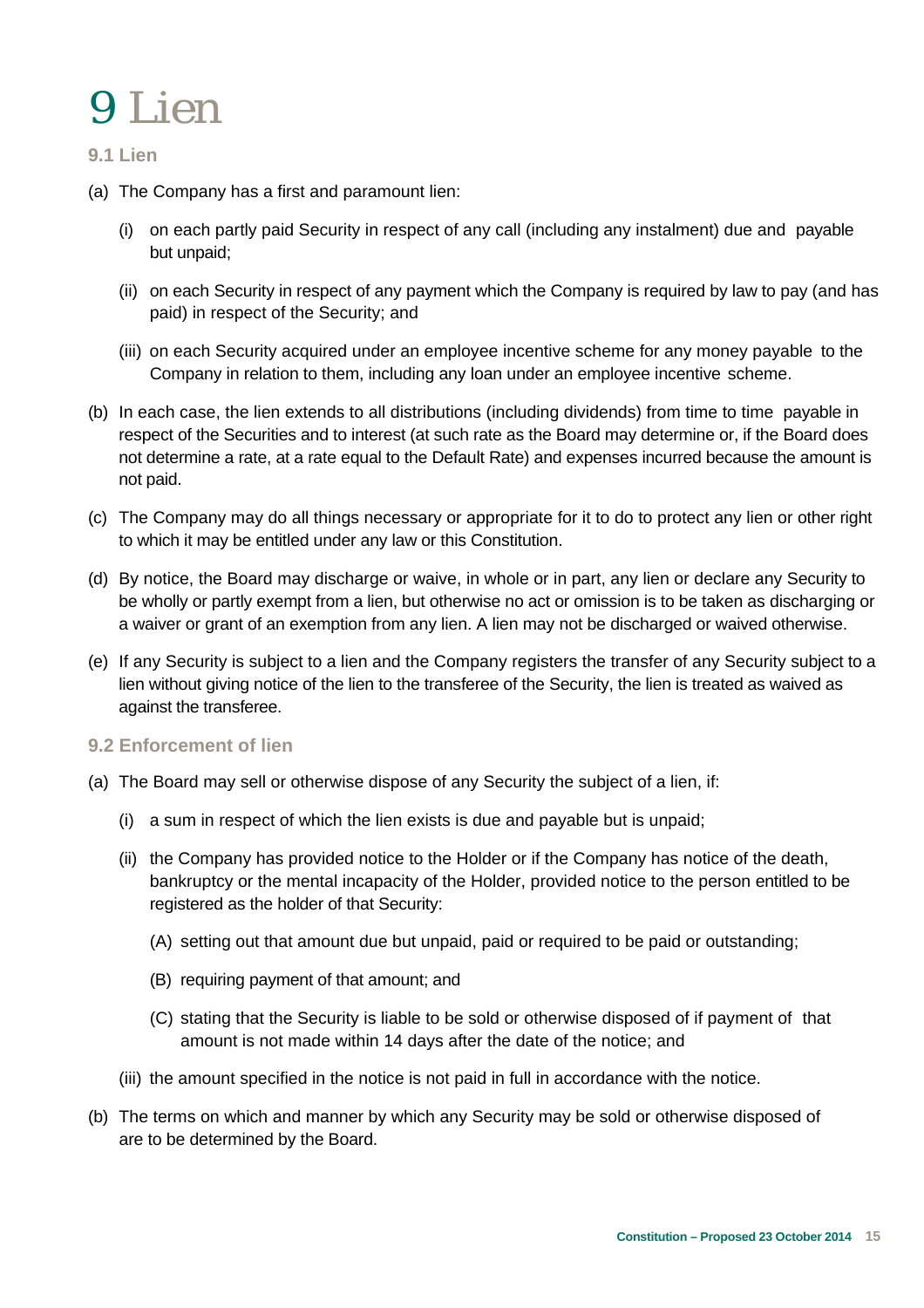### 9 Lien

### **9.1 Lien**

- (a) The Company has a first and paramount lien:
	- (i) on each partly paid Security in respect of any call (including any instalment) due and payable but unpaid;
	- (ii) on each Security in respect of any payment which the Company is required by law to pay (and has paid) in respect of the Security; and
	- (iii) on each Security acquired under an employee incentive scheme for any money payable to the Company in relation to them, including any loan under an employee incentive scheme.
- (b) In each case, the lien extends to all distributions (including dividends) from time to time payable in respect of the Securities and to interest (at such rate as the Board may determine or, if the Board does not determine a rate, at a rate equal to the Default Rate) and expenses incurred because the amount is not paid.
- (c) The Company may do all things necessary or appropriate for it to do to protect any lien or other right to which it may be entitled under any law or this Constitution.
- (d) By notice, the Board may discharge or waive, in whole or in part, any lien or declare any Security to be wholly or partly exempt from a lien, but otherwise no act or omission is to be taken as discharging or a waiver or grant of an exemption from any lien. A lien may not be discharged or waived otherwise.
- (e) If any Security is subject to a lien and the Company registers the transfer of any Security subject to a lien without giving notice of the lien to the transferee of the Security, the lien is treated as waived as against the transferee.

### **9.2 Enforcement of lien**

- (a) The Board may sell or otherwise dispose of any Security the subject of a lien, if:
	- (i) a sum in respect of which the lien exists is due and payable but is unpaid;
	- (ii) the Company has provided notice to the Holder or if the Company has notice of the death, bankruptcy or the mental incapacity of the Holder, provided notice to the person entitled to be registered as the holder of that Security:
		- (A) setting out that amount due but unpaid, paid or required to be paid or outstanding;
		- (B) requiring payment of that amount; and
		- (C) stating that the Security is liable to be sold or otherwise disposed of if payment of that amount is not made within 14 days after the date of the notice; and
	- (iii) the amount specified in the notice is not paid in full in accordance with the notice.
- (b) The terms on which and manner by which any Security may be sold or otherwise disposed of are to be determined by the Board.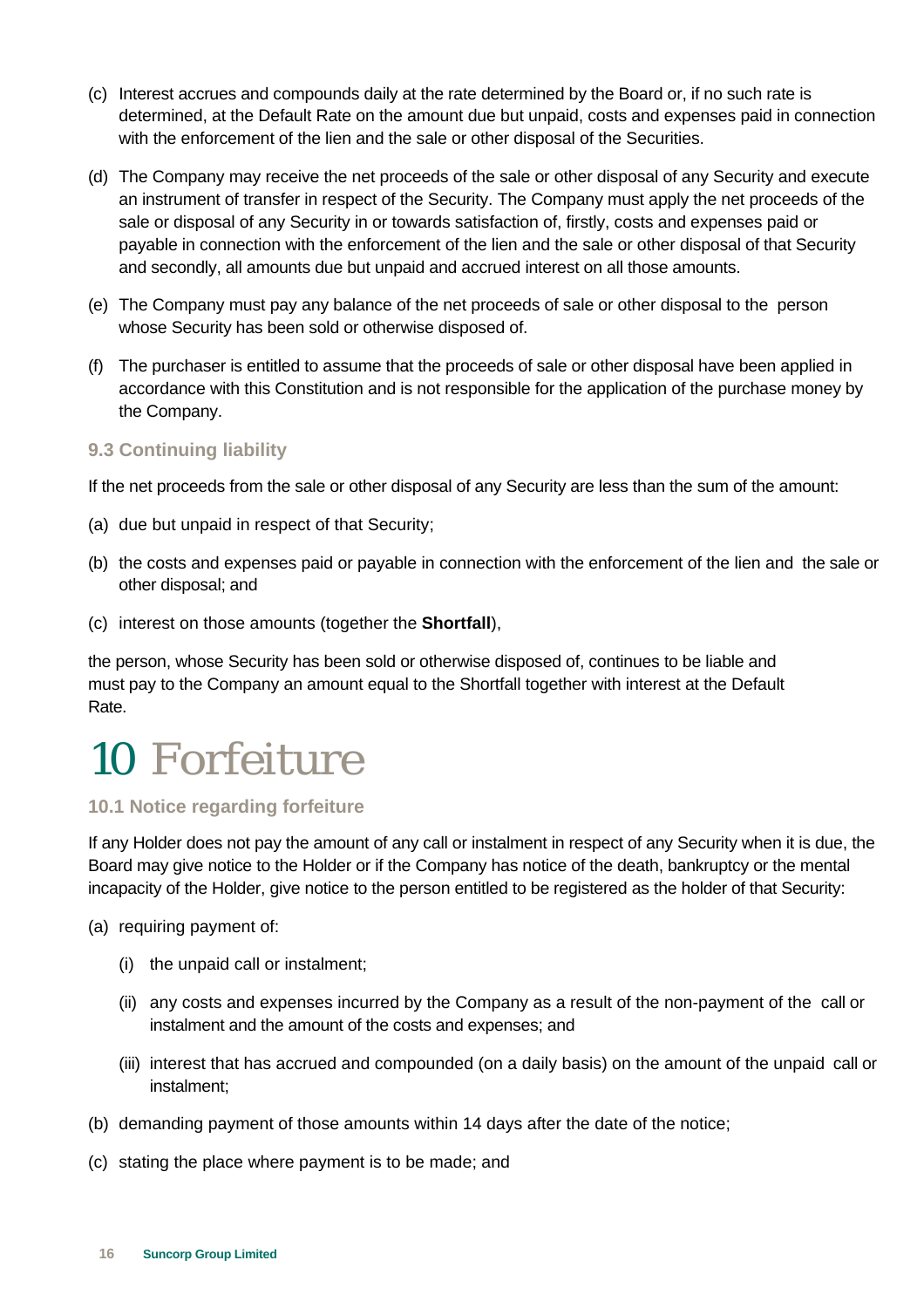- (c) Interest accrues and compounds daily at the rate determined by the Board or, if no such rate is determined, at the Default Rate on the amount due but unpaid, costs and expenses paid in connection with the enforcement of the lien and the sale or other disposal of the Securities.
- (d) The Company may receive the net proceeds of the sale or other disposal of any Security and execute an instrument of transfer in respect of the Security. The Company must apply the net proceeds of the sale or disposal of any Security in or towards satisfaction of, firstly, costs and expenses paid or payable in connection with the enforcement of the lien and the sale or other disposal of that Security and secondly, all amounts due but unpaid and accrued interest on all those amounts.
- (e) The Company must pay any balance of the net proceeds of sale or other disposal to the person whose Security has been sold or otherwise disposed of.
- (f) The purchaser is entitled to assume that the proceeds of sale or other disposal have been applied in accordance with this Constitution and is not responsible for the application of the purchase money by the Company.

### **9.3 Continuing liability**

If the net proceeds from the sale or other disposal of any Security are less than the sum of the amount:

- (a) due but unpaid in respect of that Security;
- (b) the costs and expenses paid or payable in connection with the enforcement of the lien and the sale or other disposal; and
- (c) interest on those amounts (together the **Shortfall**),

the person, whose Security has been sold or otherwise disposed of, continues to be liable and must pay to the Company an amount equal to the Shortfall together with interest at the Default Rate.

### 10 Forfeiture

### **10.1 Notice regarding forfeiture**

If any Holder does not pay the amount of any call or instalment in respect of any Security when it is due, the Board may give notice to the Holder or if the Company has notice of the death, bankruptcy or the mental incapacity of the Holder, give notice to the person entitled to be registered as the holder of that Security:

(a) requiring payment of:

- (i) the unpaid call or instalment;
- (ii) any costs and expenses incurred by the Company as a result of the non-payment of the call or instalment and the amount of the costs and expenses; and
- (iii) interest that has accrued and compounded (on a daily basis) on the amount of the unpaid call or instalment;
- (b) demanding payment of those amounts within 14 days after the date of the notice;
- (c) stating the place where payment is to be made; and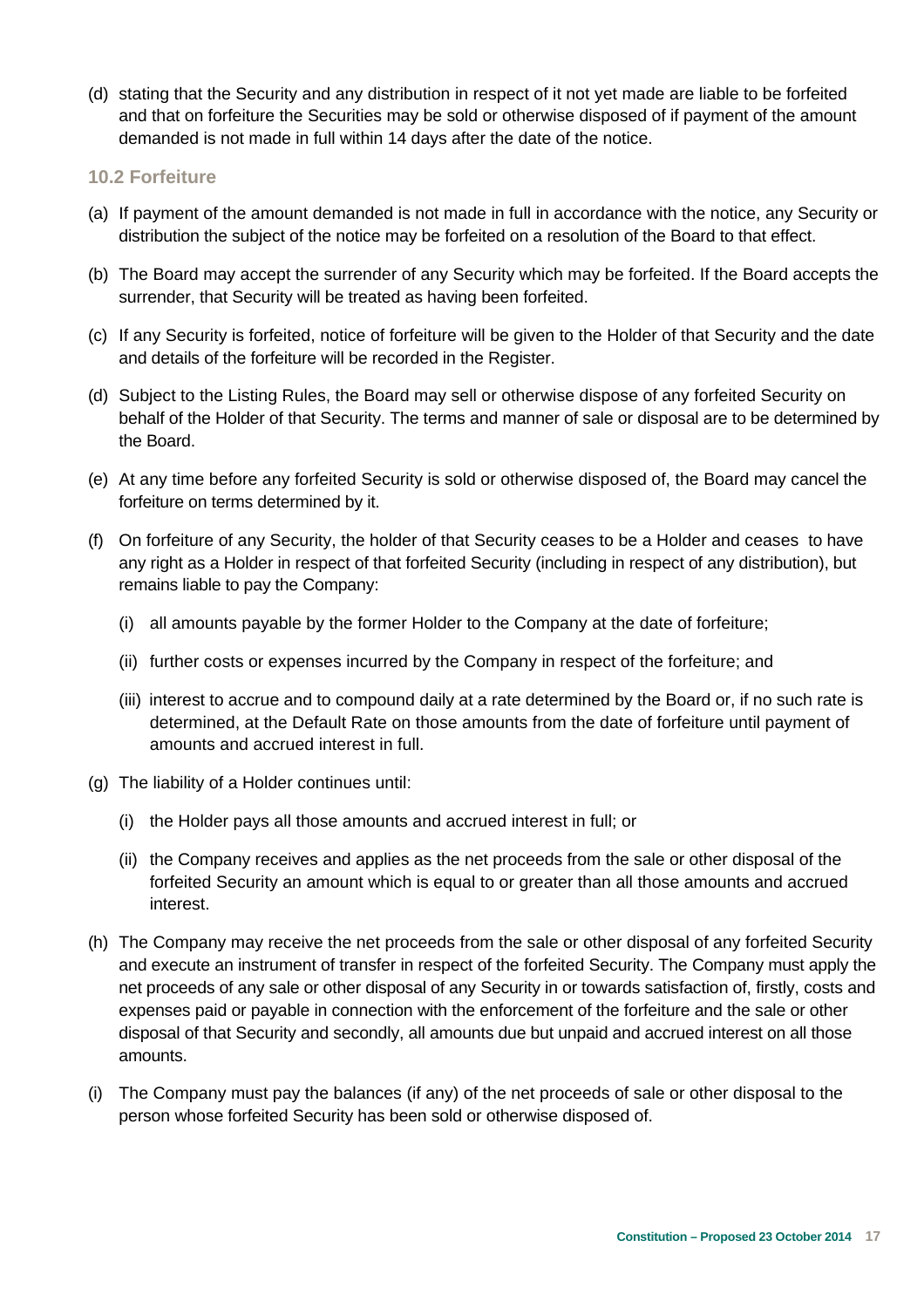(d) stating that the Security and any distribution in respect of it not yet made are liable to be forfeited and that on forfeiture the Securities may be sold or otherwise disposed of if payment of the amount demanded is not made in full within 14 days after the date of the notice.

### **10.2 Forfeiture**

- (a) If payment of the amount demanded is not made in full in accordance with the notice, any Security or distribution the subject of the notice may be forfeited on a resolution of the Board to that effect.
- (b) The Board may accept the surrender of any Security which may be forfeited. If the Board accepts the surrender, that Security will be treated as having been forfeited.
- (c) If any Security is forfeited, notice of forfeiture will be given to the Holder of that Security and the date and details of the forfeiture will be recorded in the Register.
- (d) Subject to the Listing Rules, the Board may sell or otherwise dispose of any forfeited Security on behalf of the Holder of that Security. The terms and manner of sale or disposal are to be determined by the Board.
- (e) At any time before any forfeited Security is sold or otherwise disposed of, the Board may cancel the forfeiture on terms determined by it.
- (f) On forfeiture of any Security, the holder of that Security ceases to be a Holder and ceases to have any right as a Holder in respect of that forfeited Security (including in respect of any distribution), but remains liable to pay the Company:
	- (i) all amounts payable by the former Holder to the Company at the date of forfeiture;
	- (ii) further costs or expenses incurred by the Company in respect of the forfeiture; and
	- (iii) interest to accrue and to compound daily at a rate determined by the Board or, if no such rate is determined, at the Default Rate on those amounts from the date of forfeiture until payment of amounts and accrued interest in full.
- (g) The liability of a Holder continues until:
	- (i) the Holder pays all those amounts and accrued interest in full; or
	- (ii) the Company receives and applies as the net proceeds from the sale or other disposal of the forfeited Security an amount which is equal to or greater than all those amounts and accrued interest.
- (h) The Company may receive the net proceeds from the sale or other disposal of any forfeited Security and execute an instrument of transfer in respect of the forfeited Security. The Company must apply the net proceeds of any sale or other disposal of any Security in or towards satisfaction of, firstly, costs and expenses paid or payable in connection with the enforcement of the forfeiture and the sale or other disposal of that Security and secondly, all amounts due but unpaid and accrued interest on all those amounts.
- (i) The Company must pay the balances (if any) of the net proceeds of sale or other disposal to the person whose forfeited Security has been sold or otherwise disposed of.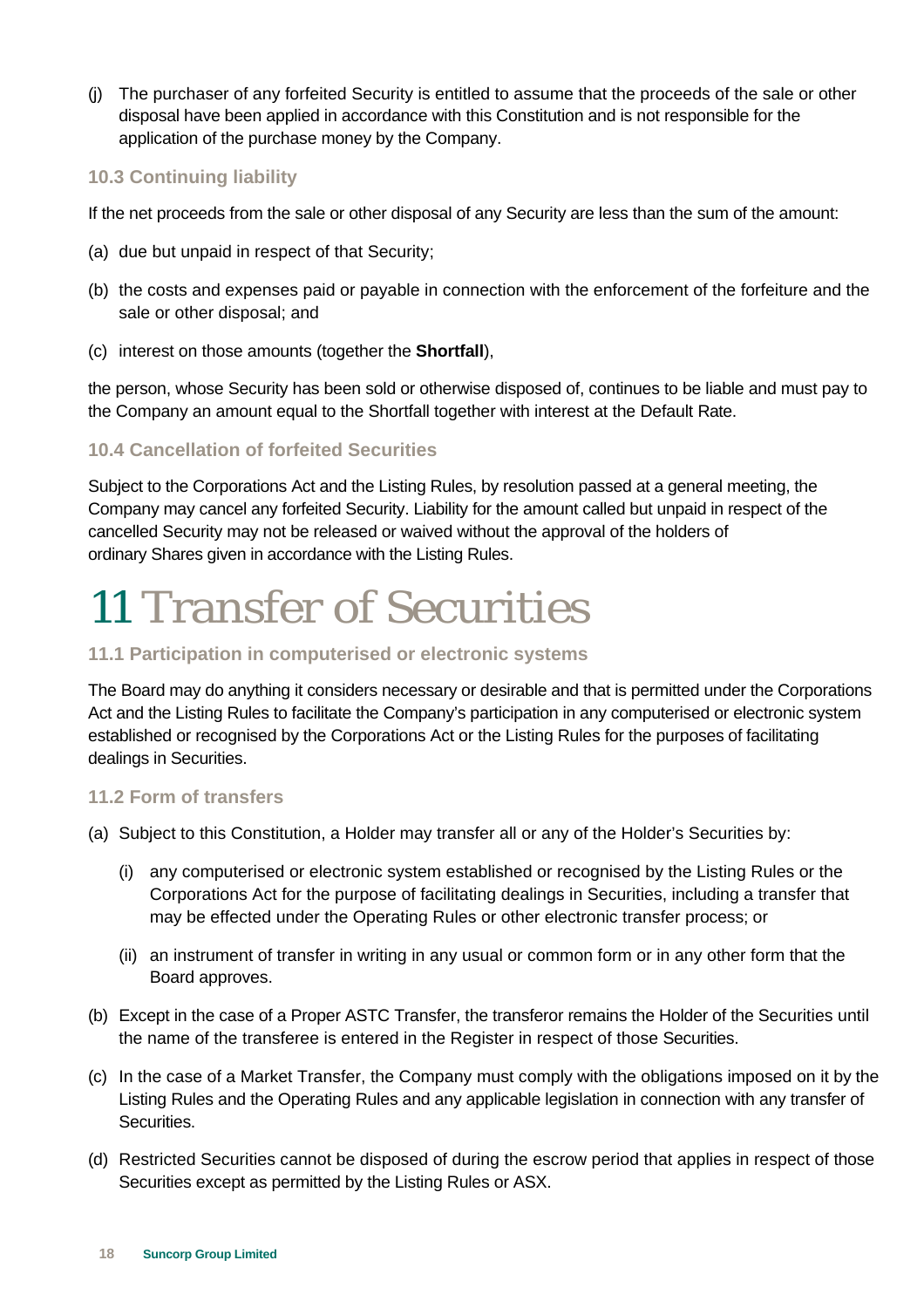(j) The purchaser of any forfeited Security is entitled to assume that the proceeds of the sale or other disposal have been applied in accordance with this Constitution and is not responsible for the application of the purchase money by the Company.

### **10.3 Continuing liability**

If the net proceeds from the sale or other disposal of any Security are less than the sum of the amount:

- (a) due but unpaid in respect of that Security;
- (b) the costs and expenses paid or payable in connection with the enforcement of the forfeiture and the sale or other disposal; and
- (c) interest on those amounts (together the **Shortfall**),

the person, whose Security has been sold or otherwise disposed of, continues to be liable and must pay to the Company an amount equal to the Shortfall together with interest at the Default Rate.

### **10.4 Cancellation of forfeited Securities**

Subject to the Corporations Act and the Listing Rules, by resolution passed at a general meeting, the Company may cancel any forfeited Security. Liability for the amount called but unpaid in respect of the cancelled Security may not be released or waived without the approval of the holders of ordinary Shares given in accordance with the Listing Rules.

### 11 Transfer of Securities

### **11.1 Participation in computerised or electronic systems**

The Board may do anything it considers necessary or desirable and that is permitted under the Corporations Act and the Listing Rules to facilitate the Company's participation in any computerised or electronic system established or recognised by the Corporations Act or the Listing Rules for the purposes of facilitating dealings in Securities.

### **11.2 Form of transfers**

- (a) Subject to this Constitution, a Holder may transfer all or any of the Holder's Securities by:
	- (i) any computerised or electronic system established or recognised by the Listing Rules or the Corporations Act for the purpose of facilitating dealings in Securities, including a transfer that may be effected under the Operating Rules or other electronic transfer process; or
	- (ii) an instrument of transfer in writing in any usual or common form or in any other form that the Board approves.
- (b) Except in the case of a Proper ASTC Transfer, the transferor remains the Holder of the Securities until the name of the transferee is entered in the Register in respect of those Securities.
- (c) In the case of a Market Transfer, the Company must comply with the obligations imposed on it by the Listing Rules and the Operating Rules and any applicable legislation in connection with any transfer of Securities.
- (d) Restricted Securities cannot be disposed of during the escrow period that applies in respect of those Securities except as permitted by the Listing Rules or ASX.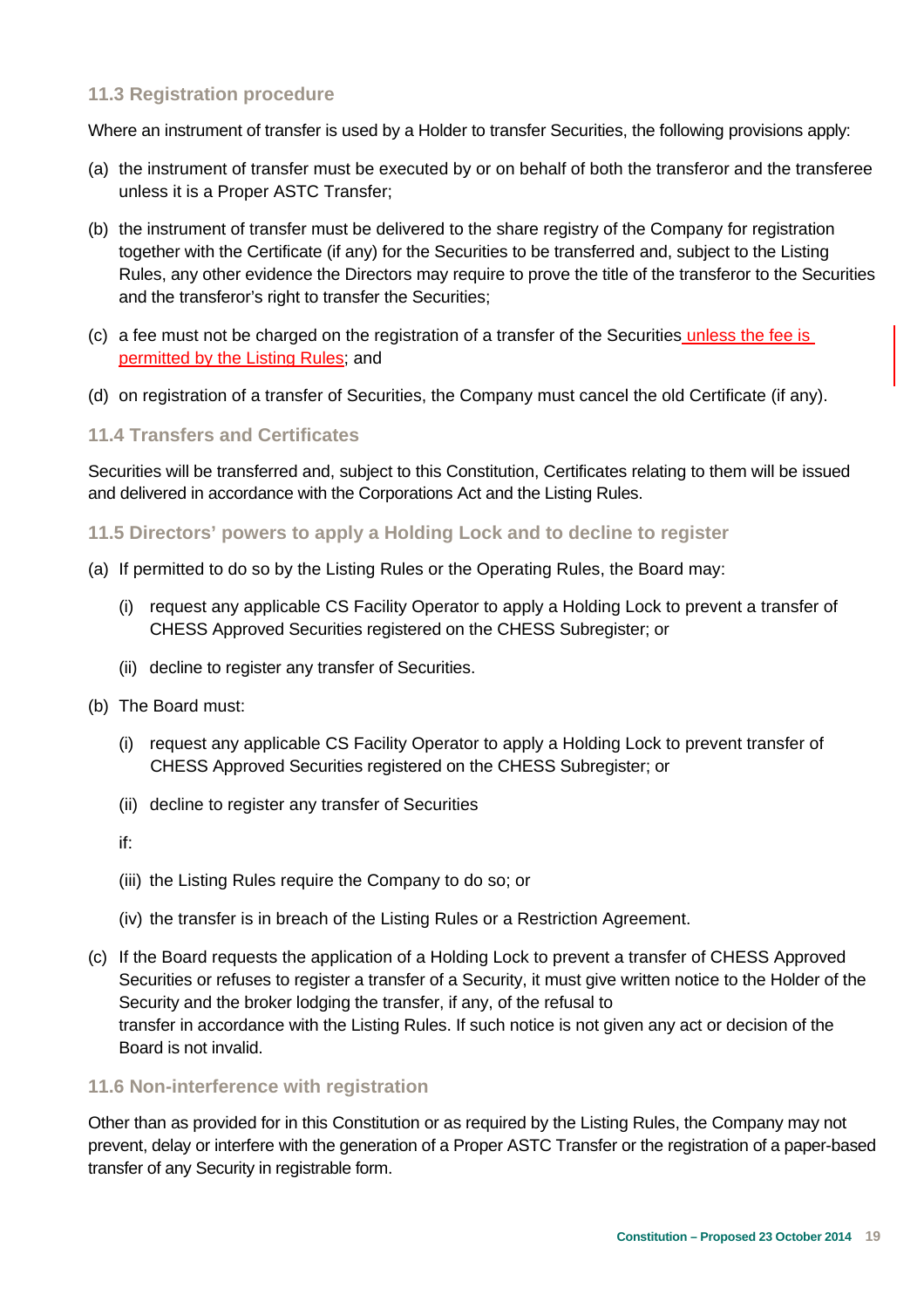### **11.3 Registration procedure**

Where an instrument of transfer is used by a Holder to transfer Securities, the following provisions apply:

- (a) the instrument of transfer must be executed by or on behalf of both the transferor and the transferee unless it is a Proper ASTC Transfer;
- (b) the instrument of transfer must be delivered to the share registry of the Company for registration together with the Certificate (if any) for the Securities to be transferred and, subject to the Listing Rules, any other evidence the Directors may require to prove the title of the transferor to the Securities and the transferor's right to transfer the Securities;
- (c) a fee must not be charged on the registration of a transfer of the Securities unless the fee is permitted by the Listing Rules; and
- (d) on registration of a transfer of Securities, the Company must cancel the old Certificate (if any).

### **11.4 Transfers and Certificates**

Securities will be transferred and, subject to this Constitution, Certificates relating to them will be issued and delivered in accordance with the Corporations Act and the Listing Rules.

#### **11.5 Directors' powers to apply a Holding Lock and to decline to register**

- (a) If permitted to do so by the Listing Rules or the Operating Rules, the Board may:
	- (i) request any applicable CS Facility Operator to apply a Holding Lock to prevent a transfer of CHESS Approved Securities registered on the CHESS Subregister; or
	- (ii) decline to register any transfer of Securities.
- (b) The Board must:
	- (i) request any applicable CS Facility Operator to apply a Holding Lock to prevent transfer of CHESS Approved Securities registered on the CHESS Subregister; or
	- (ii) decline to register any transfer of Securities
	- if:
	- (iii) the Listing Rules require the Company to do so; or
	- (iv) the transfer is in breach of the Listing Rules or a Restriction Agreement.
- (c) If the Board requests the application of a Holding Lock to prevent a transfer of CHESS Approved Securities or refuses to register a transfer of a Security, it must give written notice to the Holder of the Security and the broker lodging the transfer, if any, of the refusal to transfer in accordance with the Listing Rules. If such notice is not given any act or decision of the Board is not invalid.

#### **11.6 Non-interference with registration**

Other than as provided for in this Constitution or as required by the Listing Rules, the Company may not prevent, delay or interfere with the generation of a Proper ASTC Transfer or the registration of a paper-based transfer of any Security in registrable form.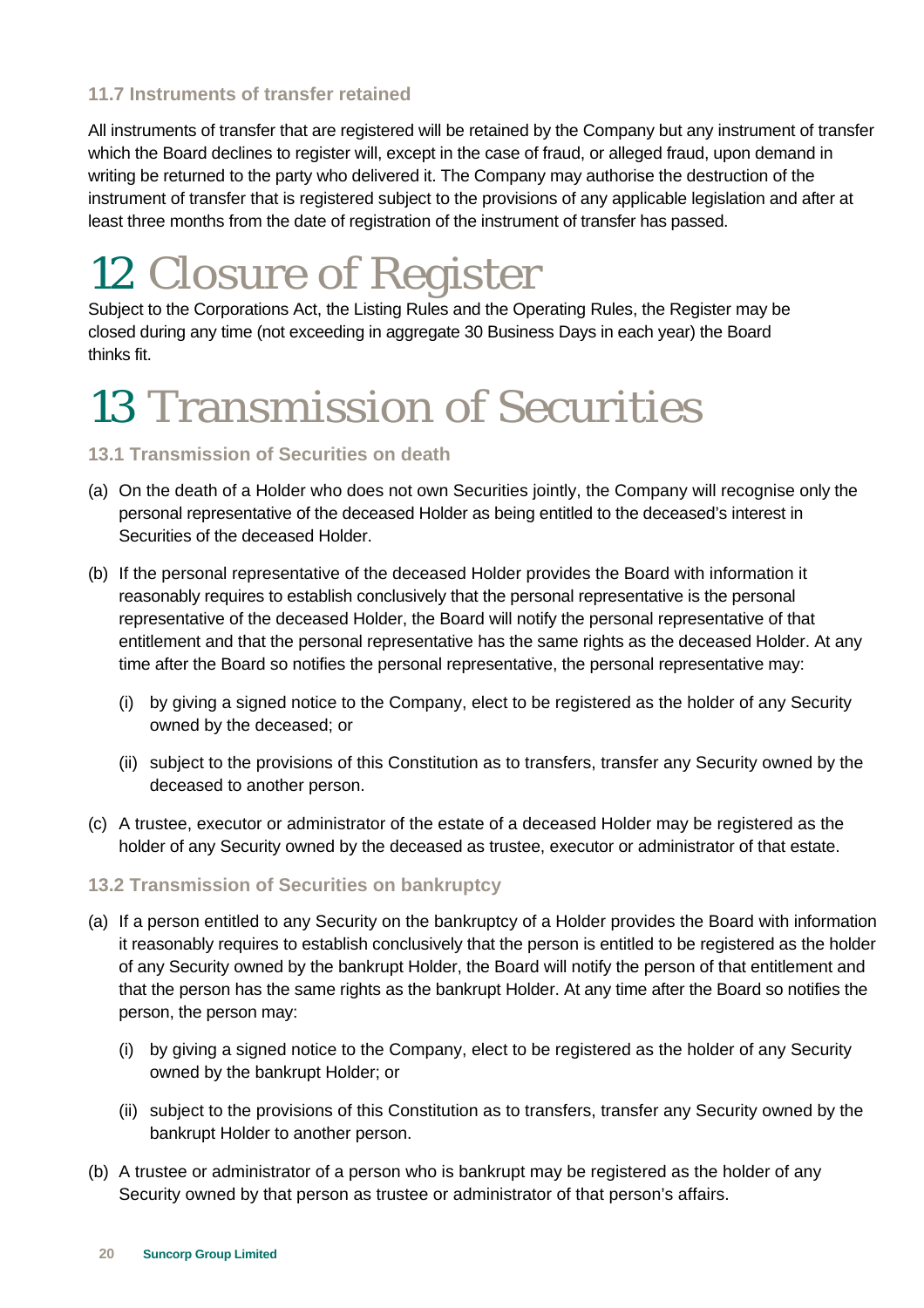### **11.7 Instruments of transfer retained**

All instruments of transfer that are registered will be retained by the Company but any instrument of transfer which the Board declines to register will, except in the case of fraud, or alleged fraud, upon demand in writing be returned to the party who delivered it. The Company may authorise the destruction of the instrument of transfer that is registered subject to the provisions of any applicable legislation and after at least three months from the date of registration of the instrument of transfer has passed.

### 12 Closure of Register

Subject to the Corporations Act, the Listing Rules and the Operating Rules, the Register may be closed during any time (not exceeding in aggregate 30 Business Days in each year) the Board thinks fit.

### 13 Transmission of Securities

### **13.1 Transmission of Securities on death**

- (a) On the death of a Holder who does not own Securities jointly, the Company will recognise only the personal representative of the deceased Holder as being entitled to the deceased's interest in Securities of the deceased Holder.
- (b) If the personal representative of the deceased Holder provides the Board with information it reasonably requires to establish conclusively that the personal representative is the personal representative of the deceased Holder, the Board will notify the personal representative of that entitlement and that the personal representative has the same rights as the deceased Holder. At any time after the Board so notifies the personal representative, the personal representative may:
	- (i) by giving a signed notice to the Company, elect to be registered as the holder of any Security owned by the deceased; or
	- (ii) subject to the provisions of this Constitution as to transfers, transfer any Security owned by the deceased to another person.
- (c) A trustee, executor or administrator of the estate of a deceased Holder may be registered as the holder of any Security owned by the deceased as trustee, executor or administrator of that estate.

### **13.2 Transmission of Securities on bankruptcy**

- (a) If a person entitled to any Security on the bankruptcy of a Holder provides the Board with information it reasonably requires to establish conclusively that the person is entitled to be registered as the holder of any Security owned by the bankrupt Holder, the Board will notify the person of that entitlement and that the person has the same rights as the bankrupt Holder. At any time after the Board so notifies the person, the person may:
	- (i) by giving a signed notice to the Company, elect to be registered as the holder of any Security owned by the bankrupt Holder; or
	- (ii) subject to the provisions of this Constitution as to transfers, transfer any Security owned by the bankrupt Holder to another person.
- (b) A trustee or administrator of a person who is bankrupt may be registered as the holder of any Security owned by that person as trustee or administrator of that person's affairs.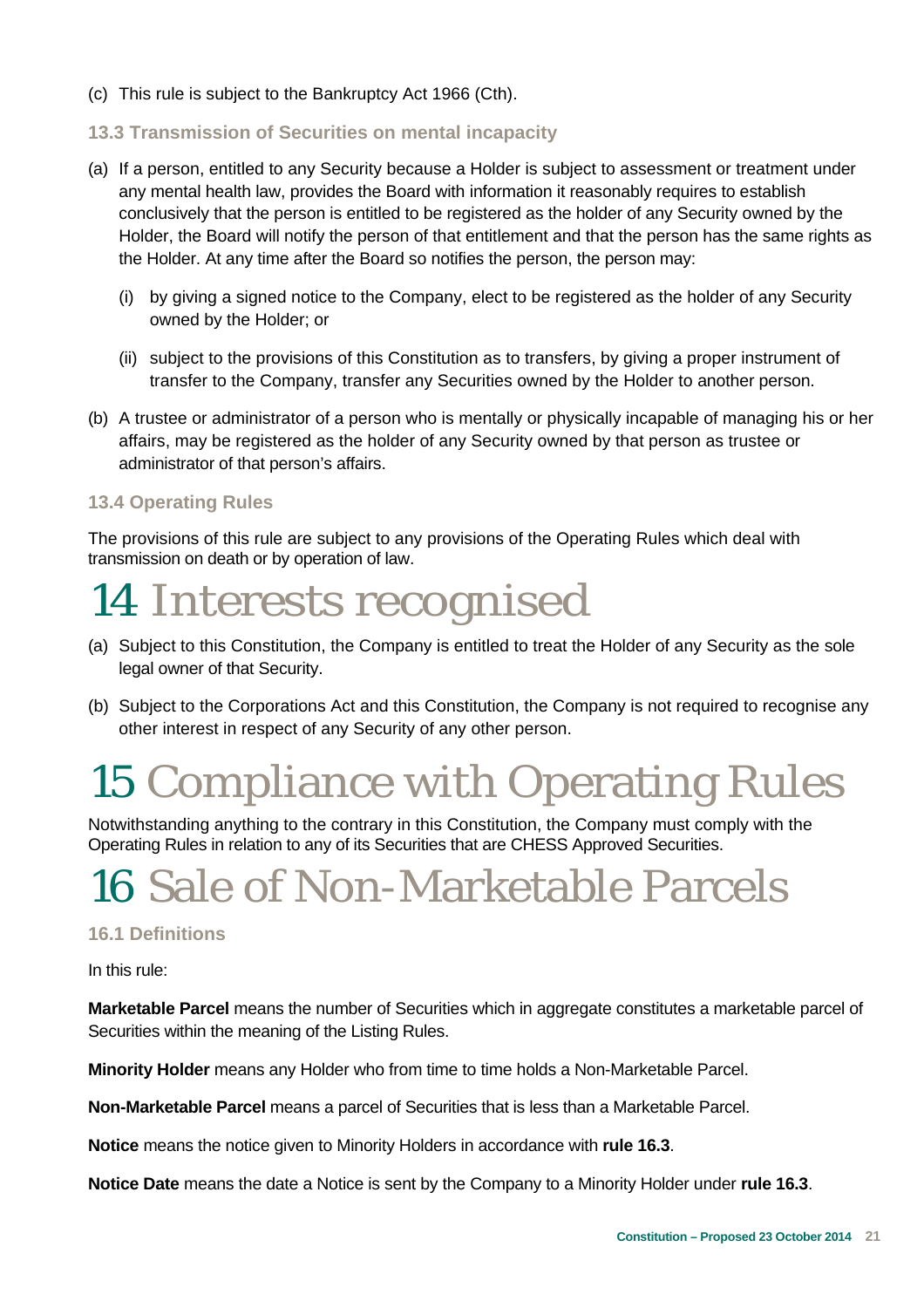- (c) This rule is subject to the Bankruptcy Act 1966 (Cth).
- **13.3 Transmission of Securities on mental incapacity**
- (a) If a person, entitled to any Security because a Holder is subject to assessment or treatment under any mental health law, provides the Board with information it reasonably requires to establish conclusively that the person is entitled to be registered as the holder of any Security owned by the Holder, the Board will notify the person of that entitlement and that the person has the same rights as the Holder. At any time after the Board so notifies the person, the person may:
	- (i) by giving a signed notice to the Company, elect to be registered as the holder of any Security owned by the Holder; or
	- (ii) subject to the provisions of this Constitution as to transfers, by giving a proper instrument of transfer to the Company, transfer any Securities owned by the Holder to another person.
- (b) A trustee or administrator of a person who is mentally or physically incapable of managing his or her affairs, may be registered as the holder of any Security owned by that person as trustee or administrator of that person's affairs.

### **13.4 Operating Rules**

The provisions of this rule are subject to any provisions of the Operating Rules which deal with transmission on death or by operation of law.

### 14 Interests recognised

- (a) Subject to this Constitution, the Company is entitled to treat the Holder of any Security as the sole legal owner of that Security.
- (b) Subject to the Corporations Act and this Constitution, the Company is not required to recognise any other interest in respect of any Security of any other person.

### 15 Compliance with Operating Rules

Notwithstanding anything to the contrary in this Constitution, the Company must comply with the Operating Rules in relation to any of its Securities that are CHESS Approved Securities.

### 16 Sale of Non-Marketable Parcels

### **16.1 Definitions**

In this rule:

**Marketable Parcel** means the number of Securities which in aggregate constitutes a marketable parcel of Securities within the meaning of the Listing Rules.

**Minority Holder** means any Holder who from time to time holds a Non-Marketable Parcel.

**Non-Marketable Parcel** means a parcel of Securities that is less than a Marketable Parcel.

**Notice** means the notice given to Minority Holders in accordance with **rule 16.3**.

**Notice Date** means the date a Notice is sent by the Company to a Minority Holder under **rule 16.3**.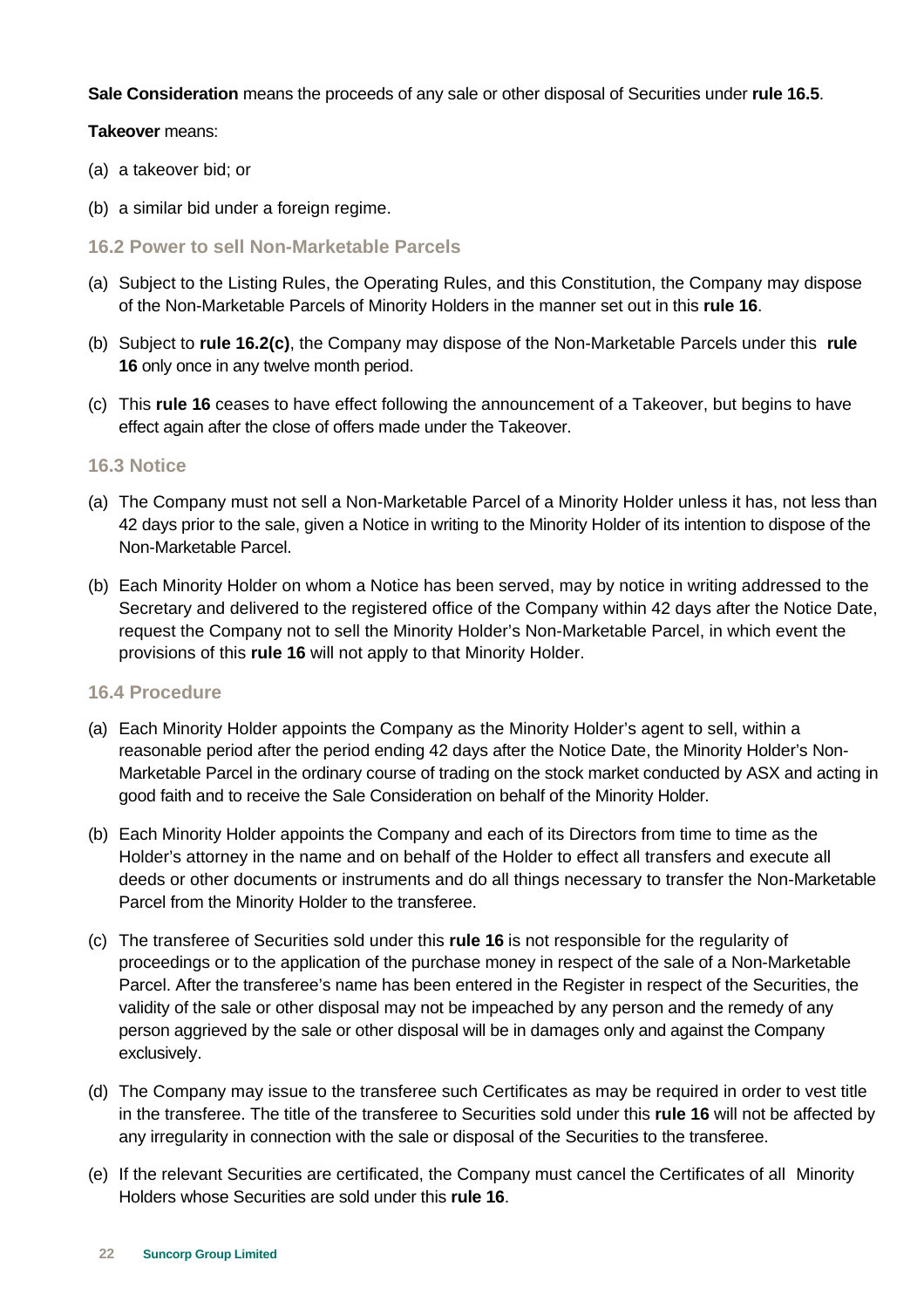**Sale Consideration** means the proceeds of any sale or other disposal of Securities under **rule 16.5**.

#### **Takeover** means:

- (a) a takeover bid; or
- (b) a similar bid under a foreign regime.
- **16.2 Power to sell Non-Marketable Parcels**
- (a) Subject to the Listing Rules, the Operating Rules, and this Constitution, the Company may dispose of the Non-Marketable Parcels of Minority Holders in the manner set out in this **rule 16**.
- (b) Subject to **rule 16.2(c)**, the Company may dispose of the Non-Marketable Parcels under this **rule 16** only once in any twelve month period.
- (c) This **rule 16** ceases to have effect following the announcement of a Takeover, but begins to have effect again after the close of offers made under the Takeover.

#### **16.3 Notice**

- (a) The Company must not sell a Non-Marketable Parcel of a Minority Holder unless it has, not less than 42 days prior to the sale, given a Notice in writing to the Minority Holder of its intention to dispose of the Non-Marketable Parcel.
- (b) Each Minority Holder on whom a Notice has been served, may by notice in writing addressed to the Secretary and delivered to the registered office of the Company within 42 days after the Notice Date, request the Company not to sell the Minority Holder's Non-Marketable Parcel, in which event the provisions of this **rule 16** will not apply to that Minority Holder.

#### **16.4 Procedure**

- (a) Each Minority Holder appoints the Company as the Minority Holder's agent to sell, within a reasonable period after the period ending 42 days after the Notice Date, the Minority Holder's Non-Marketable Parcel in the ordinary course of trading on the stock market conducted by ASX and acting in good faith and to receive the Sale Consideration on behalf of the Minority Holder.
- (b) Each Minority Holder appoints the Company and each of its Directors from time to time as the Holder's attorney in the name and on behalf of the Holder to effect all transfers and execute all deeds or other documents or instruments and do all things necessary to transfer the Non-Marketable Parcel from the Minority Holder to the transferee.
- (c) The transferee of Securities sold under this **rule 16** is not responsible for the regularity of proceedings or to the application of the purchase money in respect of the sale of a Non-Marketable Parcel. After the transferee's name has been entered in the Register in respect of the Securities, the validity of the sale or other disposal may not be impeached by any person and the remedy of any person aggrieved by the sale or other disposal will be in damages only and against the Company exclusively.
- (d) The Company may issue to the transferee such Certificates as may be required in order to vest title in the transferee. The title of the transferee to Securities sold under this **rule 16** will not be affected by any irregularity in connection with the sale or disposal of the Securities to the transferee.
- (e) If the relevant Securities are certificated, the Company must cancel the Certificates of all Minority Holders whose Securities are sold under this **rule 16**.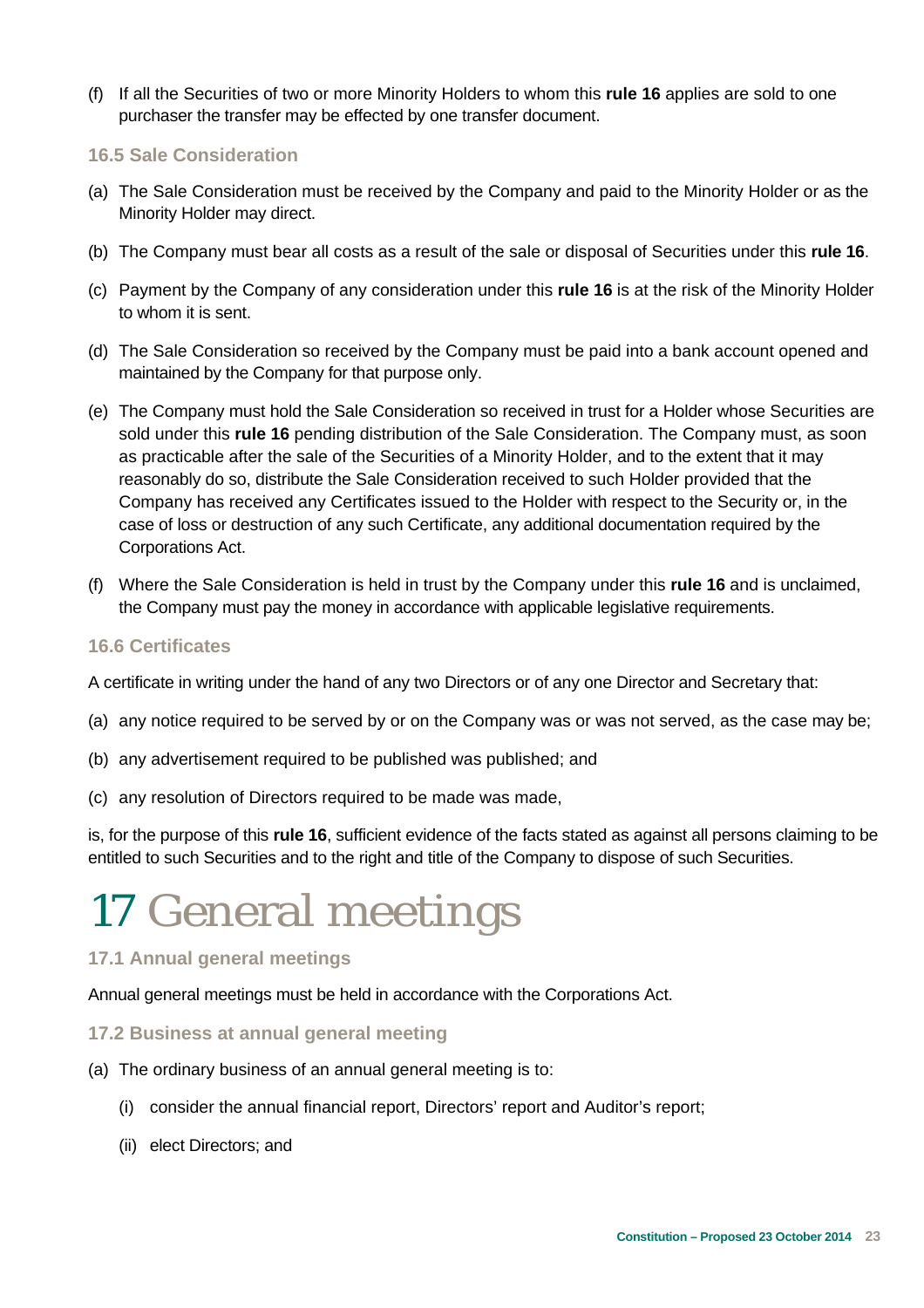- (f) If all the Securities of two or more Minority Holders to whom this **rule 16** applies are sold to one purchaser the transfer may be effected by one transfer document.
- **16.5 Sale Consideration**
- (a) The Sale Consideration must be received by the Company and paid to the Minority Holder or as the Minority Holder may direct.
- (b) The Company must bear all costs as a result of the sale or disposal of Securities under this **rule 16**.
- (c) Payment by the Company of any consideration under this **rule 16** is at the risk of the Minority Holder to whom it is sent.
- (d) The Sale Consideration so received by the Company must be paid into a bank account opened and maintained by the Company for that purpose only.
- (e) The Company must hold the Sale Consideration so received in trust for a Holder whose Securities are sold under this **rule 16** pending distribution of the Sale Consideration. The Company must, as soon as practicable after the sale of the Securities of a Minority Holder, and to the extent that it may reasonably do so, distribute the Sale Consideration received to such Holder provided that the Company has received any Certificates issued to the Holder with respect to the Security or, in the case of loss or destruction of any such Certificate, any additional documentation required by the Corporations Act.
- (f) Where the Sale Consideration is held in trust by the Company under this **rule 16** and is unclaimed, the Company must pay the money in accordance with applicable legislative requirements.

### **16.6 Certificates**

A certificate in writing under the hand of any two Directors or of any one Director and Secretary that:

- (a) any notice required to be served by or on the Company was or was not served, as the case may be;
- (b) any advertisement required to be published was published; and
- (c) any resolution of Directors required to be made was made,

is, for the purpose of this **rule 16**, sufficient evidence of the facts stated as against all persons claiming to be entitled to such Securities and to the right and title of the Company to dispose of such Securities.

### 17 General meetings

### **17.1 Annual general meetings**

Annual general meetings must be held in accordance with the Corporations Act.

### **17.2 Business at annual general meeting**

- (a) The ordinary business of an annual general meeting is to:
	- (i) consider the annual financial report, Directors' report and Auditor's report;
	- (ii) elect Directors; and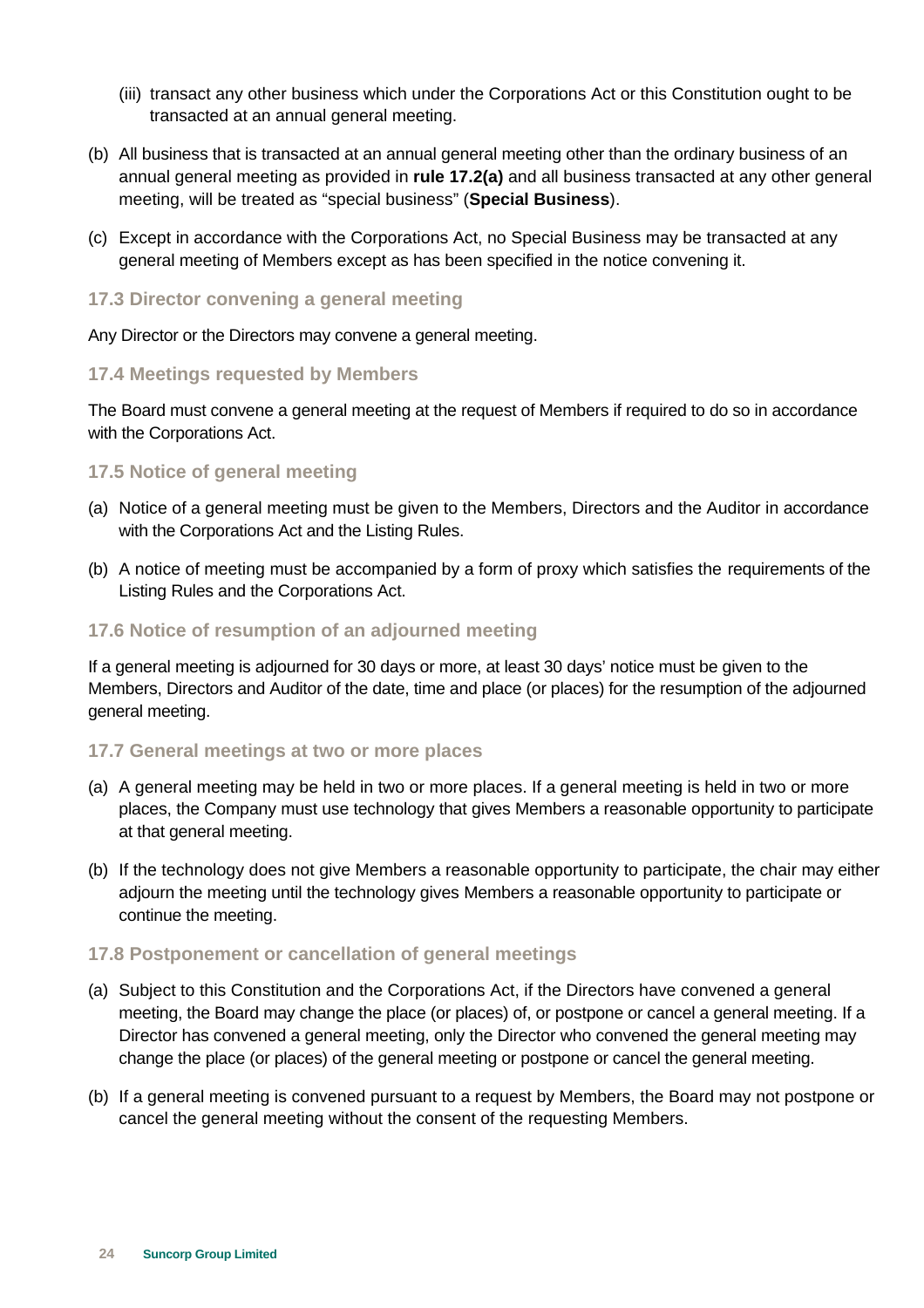- (iii) transact any other business which under the Corporations Act or this Constitution ought to be transacted at an annual general meeting.
- (b) All business that is transacted at an annual general meeting other than the ordinary business of an annual general meeting as provided in **rule 17.2(a)** and all business transacted at any other general meeting, will be treated as "special business" (**Special Business**).
- (c) Except in accordance with the Corporations Act, no Special Business may be transacted at any general meeting of Members except as has been specified in the notice convening it.
- **17.3 Director convening a general meeting**

Any Director or the Directors may convene a general meeting.

#### **17.4 Meetings requested by Members**

The Board must convene a general meeting at the request of Members if required to do so in accordance with the Corporations Act.

#### **17.5 Notice of general meeting**

- (a) Notice of a general meeting must be given to the Members, Directors and the Auditor in accordance with the Corporations Act and the Listing Rules.
- (b) A notice of meeting must be accompanied by a form of proxy which satisfies the requirements of the Listing Rules and the Corporations Act.

### **17.6 Notice of resumption of an adjourned meeting**

If a general meeting is adjourned for 30 days or more, at least 30 days' notice must be given to the Members, Directors and Auditor of the date, time and place (or places) for the resumption of the adjourned general meeting.

### **17.7 General meetings at two or more places**

- (a) A general meeting may be held in two or more places. If a general meeting is held in two or more places, the Company must use technology that gives Members a reasonable opportunity to participate at that general meeting.
- (b) If the technology does not give Members a reasonable opportunity to participate, the chair may either adjourn the meeting until the technology gives Members a reasonable opportunity to participate or continue the meeting.

#### **17.8 Postponement or cancellation of general meetings**

- (a) Subject to this Constitution and the Corporations Act, if the Directors have convened a general meeting, the Board may change the place (or places) of, or postpone or cancel a general meeting. If a Director has convened a general meeting, only the Director who convened the general meeting may change the place (or places) of the general meeting or postpone or cancel the general meeting.
- (b) If a general meeting is convened pursuant to a request by Members, the Board may not postpone or cancel the general meeting without the consent of the requesting Members.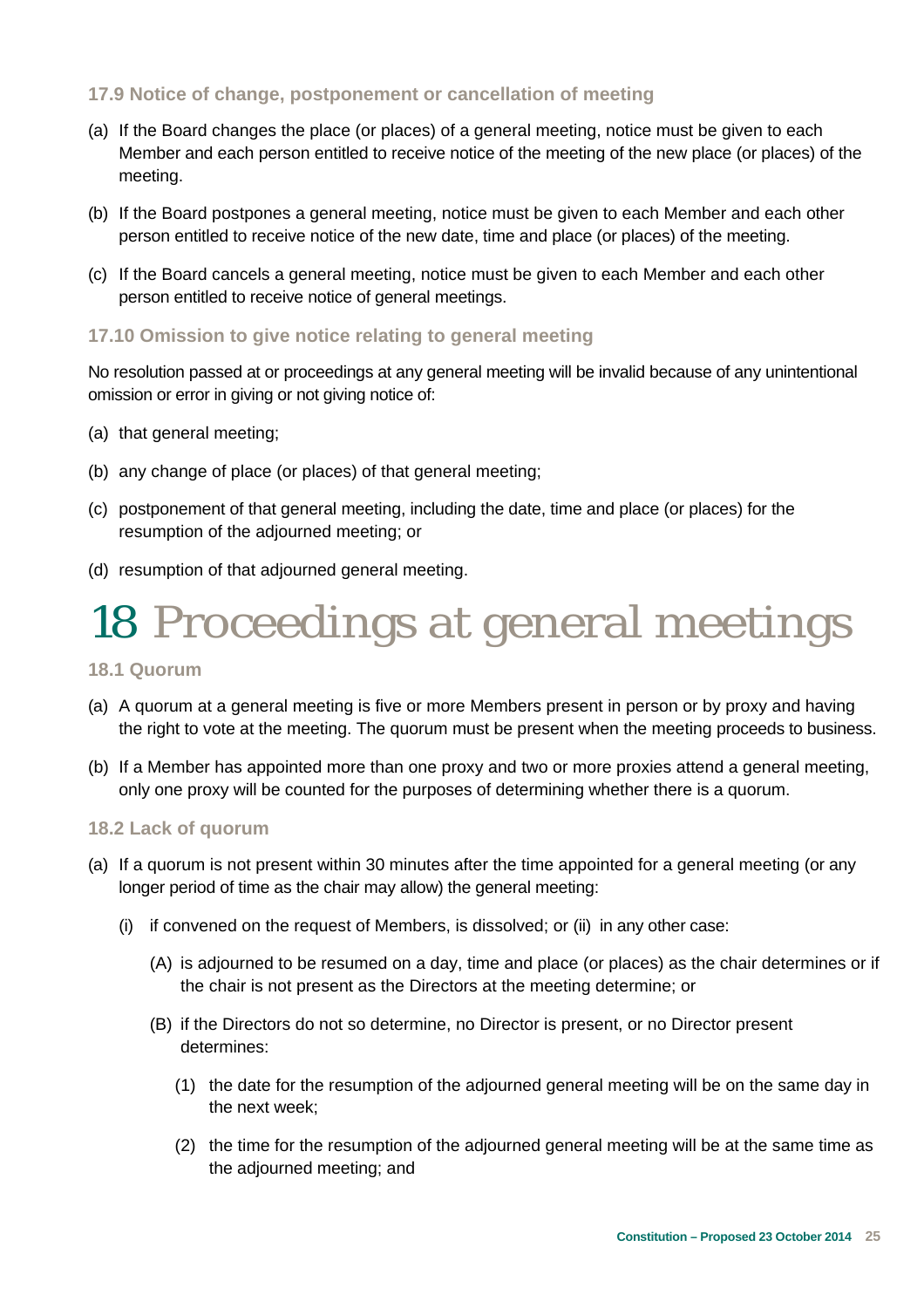### **17.9 Notice of change, postponement or cancellation of meeting**

- (a) If the Board changes the place (or places) of a general meeting, notice must be given to each Member and each person entitled to receive notice of the meeting of the new place (or places) of the meeting.
- (b) If the Board postpones a general meeting, notice must be given to each Member and each other person entitled to receive notice of the new date, time and place (or places) of the meeting.
- (c) If the Board cancels a general meeting, notice must be given to each Member and each other person entitled to receive notice of general meetings.

#### **17.10 Omission to give notice relating to general meeting**

No resolution passed at or proceedings at any general meeting will be invalid because of any unintentional omission or error in giving or not giving notice of:

- (a) that general meeting;
- (b) any change of place (or places) of that general meeting;
- (c) postponement of that general meeting, including the date, time and place (or places) for the resumption of the adjourned meeting; or
- (d) resumption of that adjourned general meeting.

### 18 Proceedings at general meetings

**18.1 Quorum** 

- (a) A quorum at a general meeting is five or more Members present in person or by proxy and having the right to vote at the meeting. The quorum must be present when the meeting proceeds to business.
- (b) If a Member has appointed more than one proxy and two or more proxies attend a general meeting, only one proxy will be counted for the purposes of determining whether there is a quorum.

#### **18.2 Lack of quorum**

- (a) If a quorum is not present within 30 minutes after the time appointed for a general meeting (or any longer period of time as the chair may allow) the general meeting:
	- (i) if convened on the request of Members, is dissolved; or (ii) in any other case:
		- (A) is adjourned to be resumed on a day, time and place (or places) as the chair determines or if the chair is not present as the Directors at the meeting determine; or
		- (B) if the Directors do not so determine, no Director is present, or no Director present determines:
			- (1) the date for the resumption of the adjourned general meeting will be on the same day in the next week;
			- (2) the time for the resumption of the adjourned general meeting will be at the same time as the adjourned meeting; and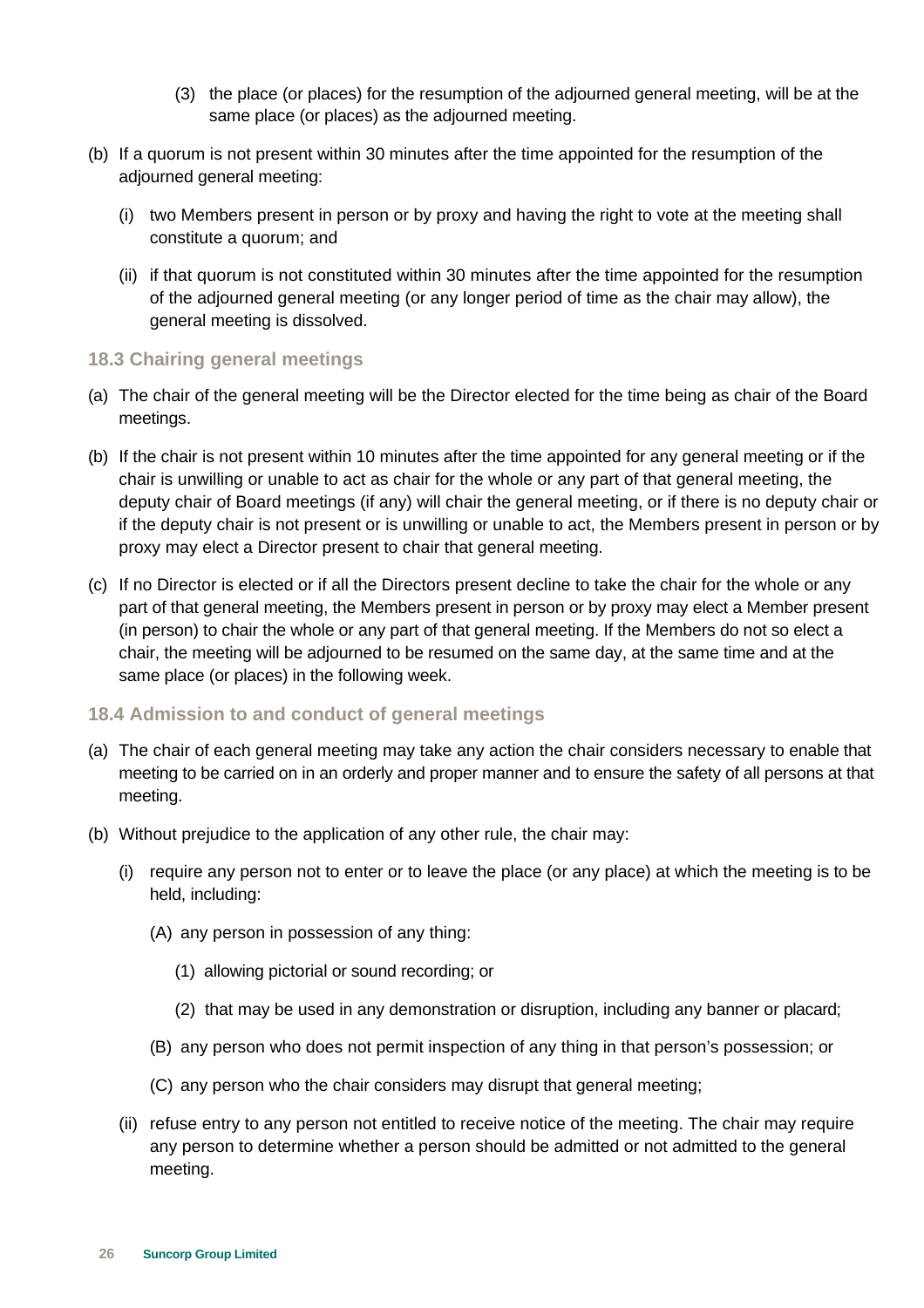- (3) the place (or places) for the resumption of the adjourned general meeting, will be at the same place (or places) as the adjourned meeting.
- (b) If a quorum is not present within 30 minutes after the time appointed for the resumption of the adjourned general meeting:
	- (i) two Members present in person or by proxy and having the right to vote at the meeting shall constitute a quorum; and
	- (ii) if that quorum is not constituted within 30 minutes after the time appointed for the resumption of the adjourned general meeting (or any longer period of time as the chair may allow), the general meeting is dissolved.

### **18.3 Chairing general meetings**

- (a) The chair of the general meeting will be the Director elected for the time being as chair of the Board meetings.
- (b) If the chair is not present within 10 minutes after the time appointed for any general meeting or if the chair is unwilling or unable to act as chair for the whole or any part of that general meeting, the deputy chair of Board meetings (if any) will chair the general meeting, or if there is no deputy chair or if the deputy chair is not present or is unwilling or unable to act, the Members present in person or by proxy may elect a Director present to chair that general meeting.
- (c) If no Director is elected or if all the Directors present decline to take the chair for the whole or any part of that general meeting, the Members present in person or by proxy may elect a Member present (in person) to chair the whole or any part of that general meeting. If the Members do not so elect a chair, the meeting will be adjourned to be resumed on the same day, at the same time and at the same place (or places) in the following week.

### **18.4 Admission to and conduct of general meetings**

- (a) The chair of each general meeting may take any action the chair considers necessary to enable that meeting to be carried on in an orderly and proper manner and to ensure the safety of all persons at that meeting.
- (b) Without prejudice to the application of any other rule, the chair may:
	- (i) require any person not to enter or to leave the place (or any place) at which the meeting is to be held, including:
		- (A) any person in possession of any thing:
			- (1) allowing pictorial or sound recording; or
			- (2) that may be used in any demonstration or disruption, including any banner or placard;
		- (B) any person who does not permit inspection of any thing in that person's possession; or
		- (C) any person who the chair considers may disrupt that general meeting;
	- (ii) refuse entry to any person not entitled to receive notice of the meeting. The chair may require any person to determine whether a person should be admitted or not admitted to the general meeting.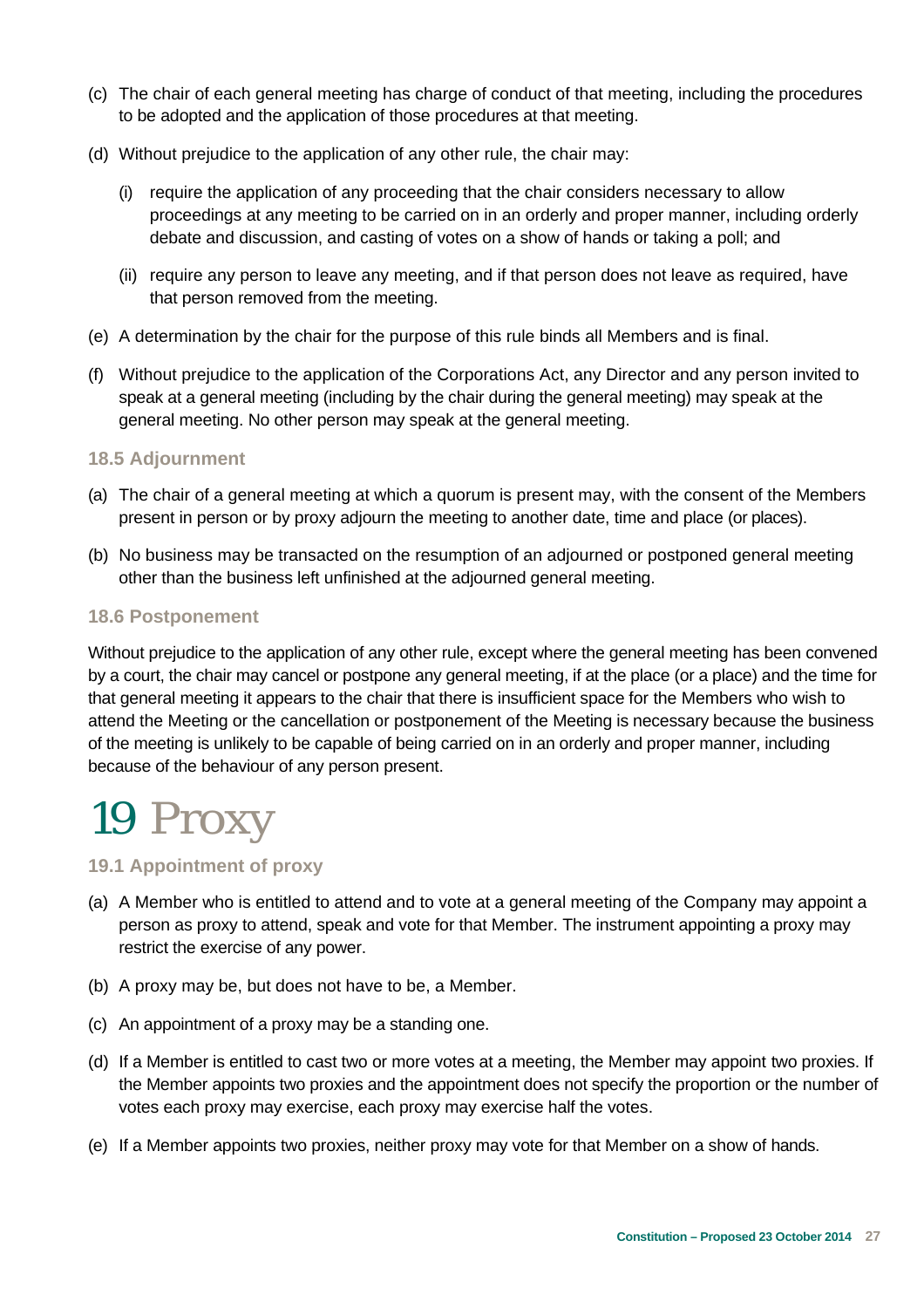- (c) The chair of each general meeting has charge of conduct of that meeting, including the procedures to be adopted and the application of those procedures at that meeting.
- (d) Without prejudice to the application of any other rule, the chair may:
	- (i) require the application of any proceeding that the chair considers necessary to allow proceedings at any meeting to be carried on in an orderly and proper manner, including orderly debate and discussion, and casting of votes on a show of hands or taking a poll; and
	- (ii) require any person to leave any meeting, and if that person does not leave as required, have that person removed from the meeting.
- (e) A determination by the chair for the purpose of this rule binds all Members and is final.
- (f) Without prejudice to the application of the Corporations Act, any Director and any person invited to speak at a general meeting (including by the chair during the general meeting) may speak at the general meeting. No other person may speak at the general meeting.

### **18.5 Adjournment**

- (a) The chair of a general meeting at which a quorum is present may, with the consent of the Members present in person or by proxy adjourn the meeting to another date, time and place (or places).
- (b) No business may be transacted on the resumption of an adjourned or postponed general meeting other than the business left unfinished at the adjourned general meeting.

### **18.6 Postponement**

Without prejudice to the application of any other rule, except where the general meeting has been convened by a court, the chair may cancel or postpone any general meeting, if at the place (or a place) and the time for that general meeting it appears to the chair that there is insufficient space for the Members who wish to attend the Meeting or the cancellation or postponement of the Meeting is necessary because the business of the meeting is unlikely to be capable of being carried on in an orderly and proper manner, including because of the behaviour of any person present.

### 19 Proxy

### **19.1 Appointment of proxy**

- (a) A Member who is entitled to attend and to vote at a general meeting of the Company may appoint a person as proxy to attend, speak and vote for that Member. The instrument appointing a proxy may restrict the exercise of any power.
- (b) A proxy may be, but does not have to be, a Member.
- (c) An appointment of a proxy may be a standing one.
- (d) If a Member is entitled to cast two or more votes at a meeting, the Member may appoint two proxies. If the Member appoints two proxies and the appointment does not specify the proportion or the number of votes each proxy may exercise, each proxy may exercise half the votes.
- (e) If a Member appoints two proxies, neither proxy may vote for that Member on a show of hands.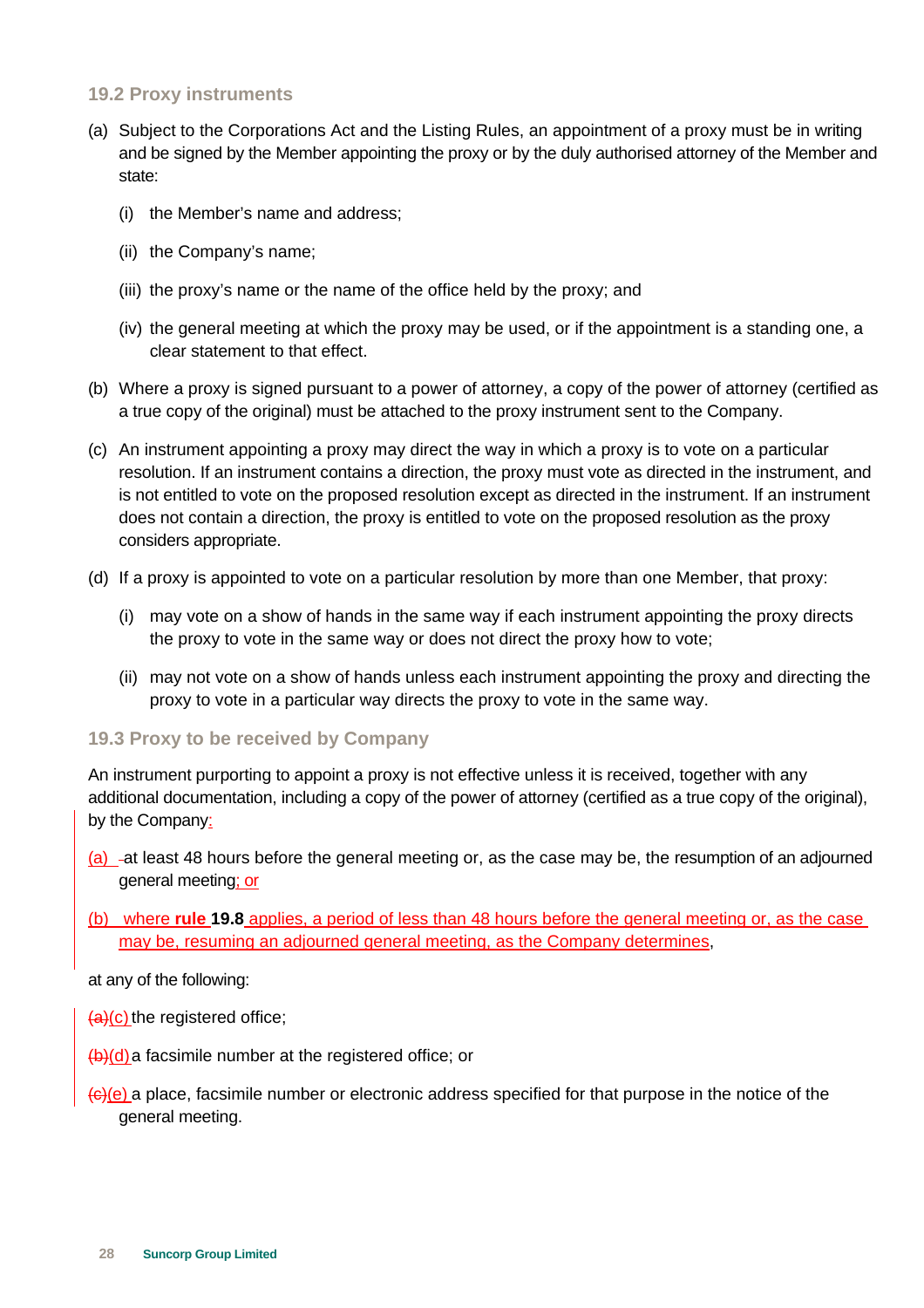### **19.2 Proxy instruments**

- (a) Subject to the Corporations Act and the Listing Rules, an appointment of a proxy must be in writing and be signed by the Member appointing the proxy or by the duly authorised attorney of the Member and state:
	- (i) the Member's name and address;
	- (ii) the Company's name;
	- (iii) the proxy's name or the name of the office held by the proxy; and
	- (iv) the general meeting at which the proxy may be used, or if the appointment is a standing one, a clear statement to that effect.
- (b) Where a proxy is signed pursuant to a power of attorney, a copy of the power of attorney (certified as a true copy of the original) must be attached to the proxy instrument sent to the Company.
- (c) An instrument appointing a proxy may direct the way in which a proxy is to vote on a particular resolution. If an instrument contains a direction, the proxy must vote as directed in the instrument, and is not entitled to vote on the proposed resolution except as directed in the instrument. If an instrument does not contain a direction, the proxy is entitled to vote on the proposed resolution as the proxy considers appropriate.
- (d) If a proxy is appointed to vote on a particular resolution by more than one Member, that proxy:
	- (i) may vote on a show of hands in the same way if each instrument appointing the proxy directs the proxy to vote in the same way or does not direct the proxy how to vote;
	- (ii) may not vote on a show of hands unless each instrument appointing the proxy and directing the proxy to vote in a particular way directs the proxy to vote in the same way.

### **19.3 Proxy to be received by Company**

An instrument purporting to appoint a proxy is not effective unless it is received, together with any additional documentation, including a copy of the power of attorney (certified as a true copy of the original), by the Company:

- (a)  $-$ at least 48 hours before the general meeting or, as the case may be, the resumption of an adjourned general meeting; or
- (b) where **rule 19.8** applies, a period of less than 48 hours before the general meeting or, as the case may be, resuming an adjourned general meeting, as the Company determines,

at any of the following:

- (a)(c) the registered office;
- $\frac{1}{2}$ (d) a facsimile number at the registered office; or
- $\left(\frac{c}{c}\right)$  a place, facsimile number or electronic address specified for that purpose in the notice of the general meeting.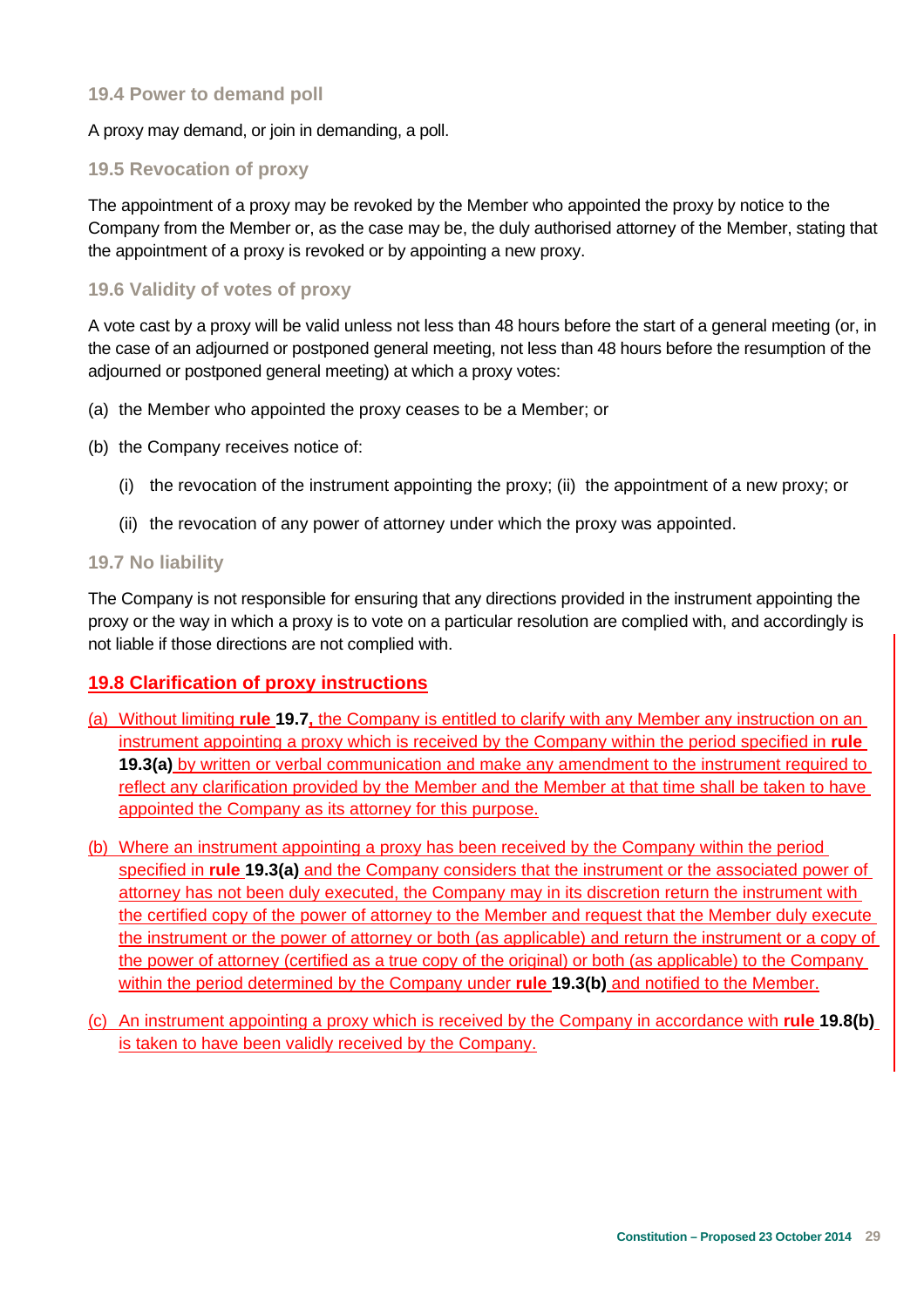### **19.4 Power to demand poll**

A proxy may demand, or join in demanding, a poll.

### **19.5 Revocation of proxy**

The appointment of a proxy may be revoked by the Member who appointed the proxy by notice to the Company from the Member or, as the case may be, the duly authorised attorney of the Member, stating that the appointment of a proxy is revoked or by appointing a new proxy.

### **19.6 Validity of votes of proxy**

A vote cast by a proxy will be valid unless not less than 48 hours before the start of a general meeting (or, in the case of an adjourned or postponed general meeting, not less than 48 hours before the resumption of the adjourned or postponed general meeting) at which a proxy votes:

- (a) the Member who appointed the proxy ceases to be a Member; or
- (b) the Company receives notice of:
	- (i) the revocation of the instrument appointing the proxy; (ii) the appointment of a new proxy; or
	- (ii) the revocation of any power of attorney under which the proxy was appointed.

#### **19.7 No liability**

The Company is not responsible for ensuring that any directions provided in the instrument appointing the proxy or the way in which a proxy is to vote on a particular resolution are complied with, and accordingly is not liable if those directions are not complied with.

### **19.8 Clarification of proxy instructions**

- (a) Without limiting **rule 19.7,** the Company is entitled to clarify with any Member any instruction on an instrument appointing a proxy which is received by the Company within the period specified in **rule 19.3(a)** by written or verbal communication and make any amendment to the instrument required to reflect any clarification provided by the Member and the Member at that time shall be taken to have appointed the Company as its attorney for this purpose.
- (b) Where an instrument appointing a proxy has been received by the Company within the period specified in **rule 19.3(a)** and the Company considers that the instrument or the associated power of attorney has not been duly executed, the Company may in its discretion return the instrument with the certified copy of the power of attorney to the Member and request that the Member duly execute the instrument or the power of attorney or both (as applicable) and return the instrument or a copy of the power of attorney (certified as a true copy of the original) or both (as applicable) to the Company within the period determined by the Company under **rule 19.3(b)** and notified to the Member.
- (c) An instrument appointing a proxy which is received by the Company in accordance with **rule 19.8(b)** is taken to have been validly received by the Company.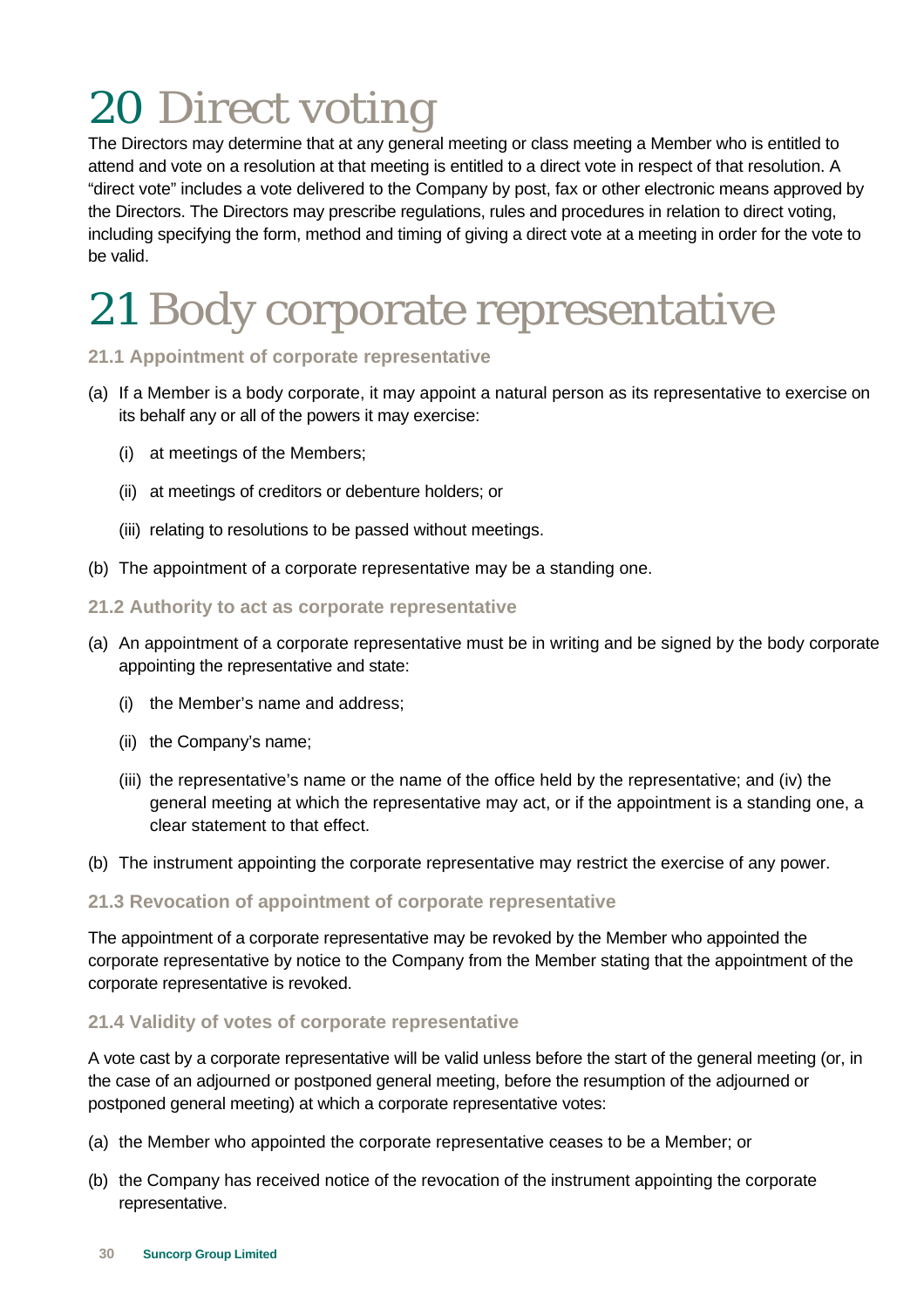# 20 Direct voting

The Directors may determine that at any general meeting or class meeting a Member who is entitled to attend and vote on a resolution at that meeting is entitled to a direct vote in respect of that resolution. A "direct vote" includes a vote delivered to the Company by post, fax or other electronic means approved by the Directors. The Directors may prescribe regulations, rules and procedures in relation to direct voting, including specifying the form, method and timing of giving a direct vote at a meeting in order for the vote to be valid.

### 21 Body corporate representative

### **21.1 Appointment of corporate representative**

- (a) If a Member is a body corporate, it may appoint a natural person as its representative to exercise on its behalf any or all of the powers it may exercise:
	- (i) at meetings of the Members;
	- (ii) at meetings of creditors or debenture holders; or
	- (iii) relating to resolutions to be passed without meetings.
- (b) The appointment of a corporate representative may be a standing one.

### **21.2 Authority to act as corporate representative**

- (a) An appointment of a corporate representative must be in writing and be signed by the body corporate appointing the representative and state:
	- (i) the Member's name and address;
	- (ii) the Company's name;
	- (iii) the representative's name or the name of the office held by the representative; and (iv) the general meeting at which the representative may act, or if the appointment is a standing one, a clear statement to that effect.
- (b) The instrument appointing the corporate representative may restrict the exercise of any power.

### **21.3 Revocation of appointment of corporate representative**

The appointment of a corporate representative may be revoked by the Member who appointed the corporate representative by notice to the Company from the Member stating that the appointment of the corporate representative is revoked.

### **21.4 Validity of votes of corporate representative**

A vote cast by a corporate representative will be valid unless before the start of the general meeting (or, in the case of an adjourned or postponed general meeting, before the resumption of the adjourned or postponed general meeting) at which a corporate representative votes:

- (a) the Member who appointed the corporate representative ceases to be a Member; or
- (b) the Company has received notice of the revocation of the instrument appointing the corporate representative.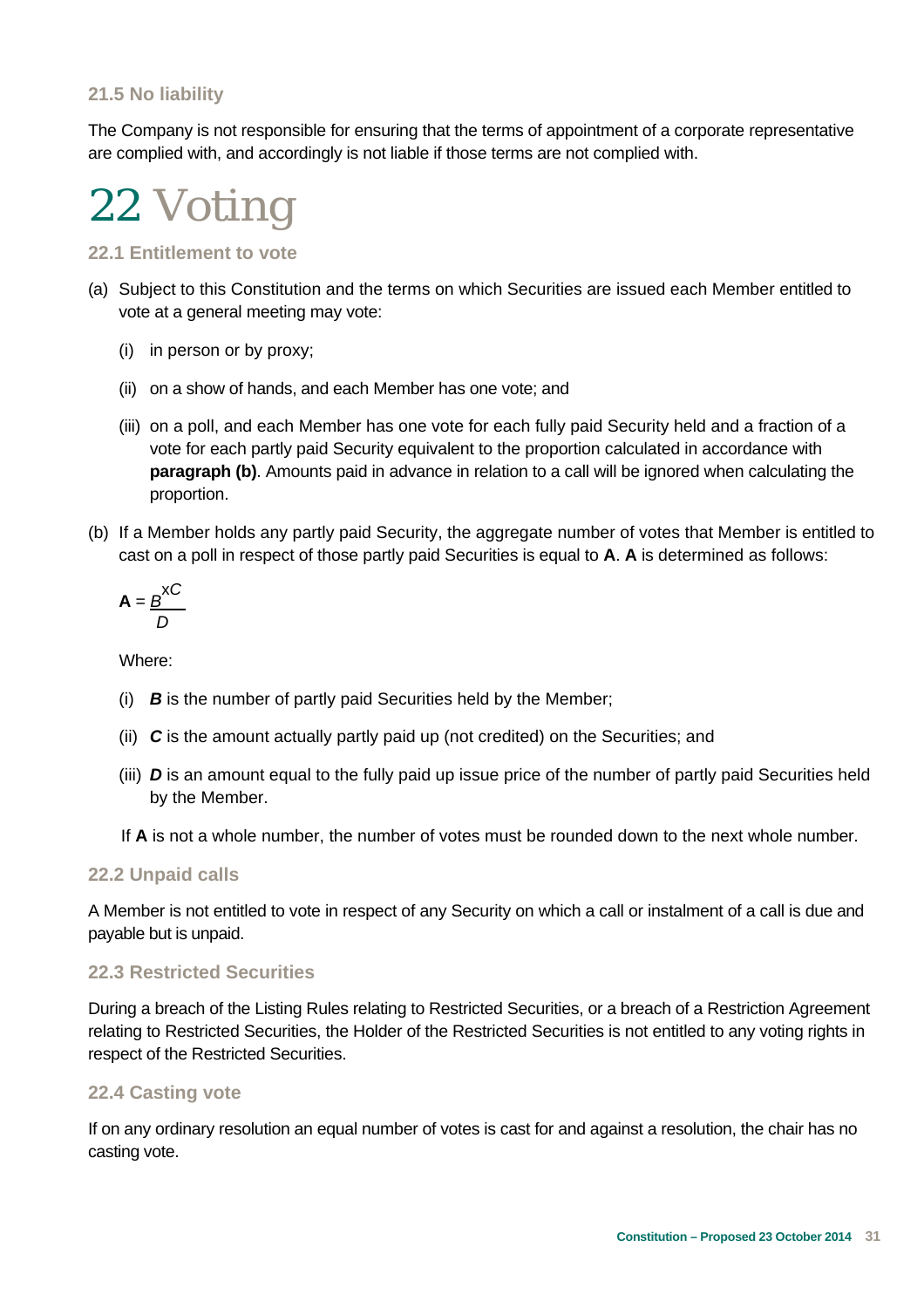### **21.5 No liability**

The Company is not responsible for ensuring that the terms of appointment of a corporate representative are complied with, and accordingly is not liable if those terms are not complied with.



**22.1 Entitlement to vote** 

- (a) Subject to this Constitution and the terms on which Securities are issued each Member entitled to vote at a general meeting may vote:
	- (i) in person or by proxy;
	- (ii) on a show of hands, and each Member has one vote; and
	- (iii) on a poll, and each Member has one vote for each fully paid Security held and a fraction of a vote for each partly paid Security equivalent to the proportion calculated in accordance with **paragraph (b)**. Amounts paid in advance in relation to a call will be ignored when calculating the proportion.
- (b) If a Member holds any partly paid Security, the aggregate number of votes that Member is entitled to cast on a poll in respect of those partly paid Securities is equal to **A**. **A** is determined as follows:

$$
\mathbf{A} = \frac{B}{D} \mathbf{A} C
$$

Where:

- (i) *B* is the number of partly paid Securities held by the Member;
- (ii) *C* is the amount actually partly paid up (not credited) on the Securities; and
- (iii) *D* is an amount equal to the fully paid up issue price of the number of partly paid Securities held by the Member.
- If **A** is not a whole number, the number of votes must be rounded down to the next whole number.

### **22.2 Unpaid calls**

A Member is not entitled to vote in respect of any Security on which a call or instalment of a call is due and payable but is unpaid.

### **22.3 Restricted Securities**

During a breach of the Listing Rules relating to Restricted Securities, or a breach of a Restriction Agreement relating to Restricted Securities, the Holder of the Restricted Securities is not entitled to any voting rights in respect of the Restricted Securities.

### **22.4 Casting vote**

If on any ordinary resolution an equal number of votes is cast for and against a resolution, the chair has no casting vote.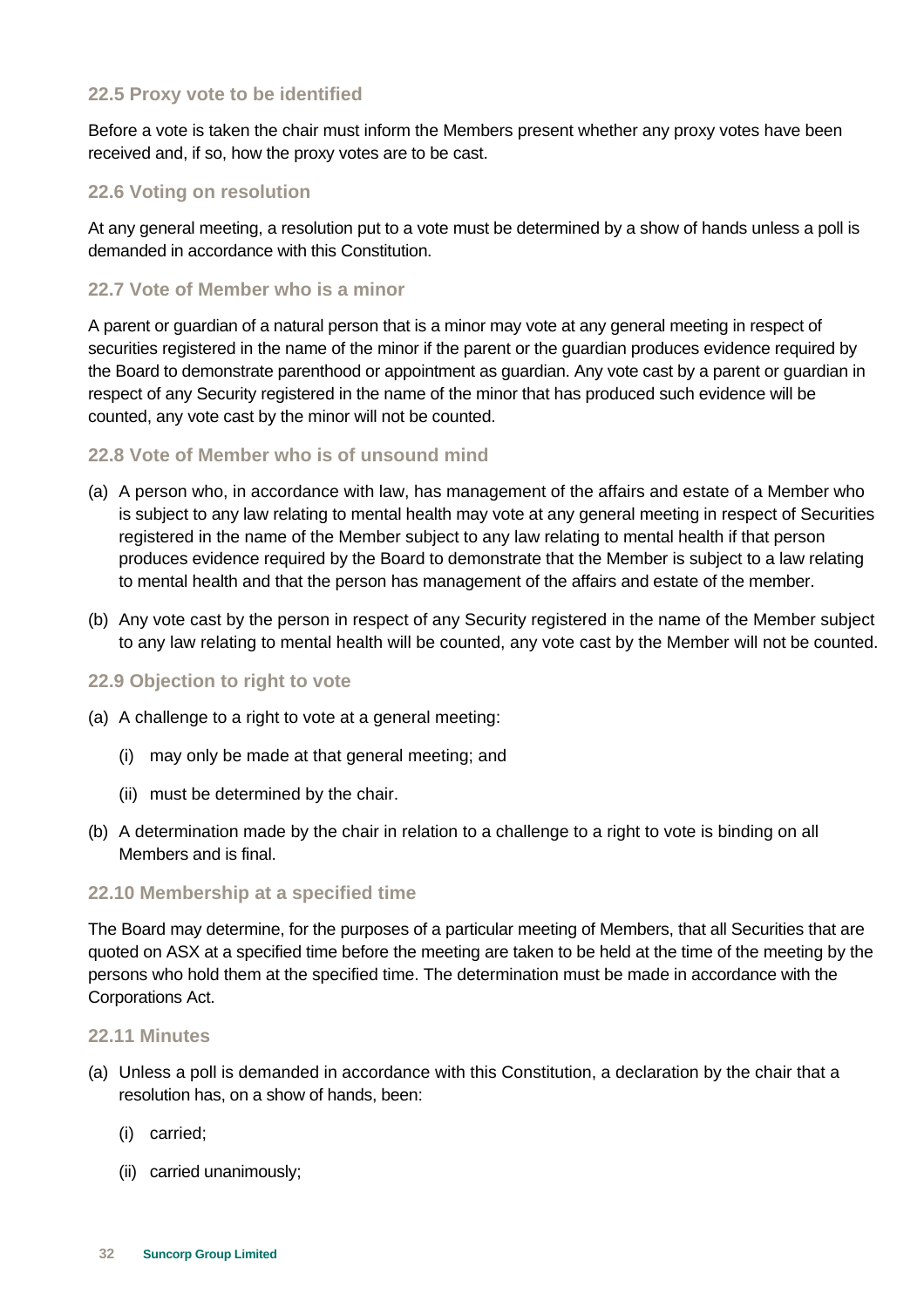### **22.5 Proxy vote to be identified**

Before a vote is taken the chair must inform the Members present whether any proxy votes have been received and, if so, how the proxy votes are to be cast.

### **22.6 Voting on resolution**

At any general meeting, a resolution put to a vote must be determined by a show of hands unless a poll is demanded in accordance with this Constitution.

### **22.7 Vote of Member who is a minor**

A parent or guardian of a natural person that is a minor may vote at any general meeting in respect of securities registered in the name of the minor if the parent or the guardian produces evidence required by the Board to demonstrate parenthood or appointment as guardian. Any vote cast by a parent or guardian in respect of any Security registered in the name of the minor that has produced such evidence will be counted, any vote cast by the minor will not be counted.

### **22.8 Vote of Member who is of unsound mind**

- (a) A person who, in accordance with law, has management of the affairs and estate of a Member who is subject to any law relating to mental health may vote at any general meeting in respect of Securities registered in the name of the Member subject to any law relating to mental health if that person produces evidence required by the Board to demonstrate that the Member is subject to a law relating to mental health and that the person has management of the affairs and estate of the member.
- (b) Any vote cast by the person in respect of any Security registered in the name of the Member subject to any law relating to mental health will be counted, any vote cast by the Member will not be counted.

#### **22.9 Objection to right to vote**

- (a) A challenge to a right to vote at a general meeting:
	- (i) may only be made at that general meeting; and
	- (ii) must be determined by the chair.
- (b) A determination made by the chair in relation to a challenge to a right to vote is binding on all Members and is final.

#### **22.10 Membership at a specified time**

The Board may determine, for the purposes of a particular meeting of Members, that all Securities that are quoted on ASX at a specified time before the meeting are taken to be held at the time of the meeting by the persons who hold them at the specified time. The determination must be made in accordance with the Corporations Act.

#### **22.11 Minutes**

- (a) Unless a poll is demanded in accordance with this Constitution, a declaration by the chair that a resolution has, on a show of hands, been:
	- (i) carried;
	- (ii) carried unanimously;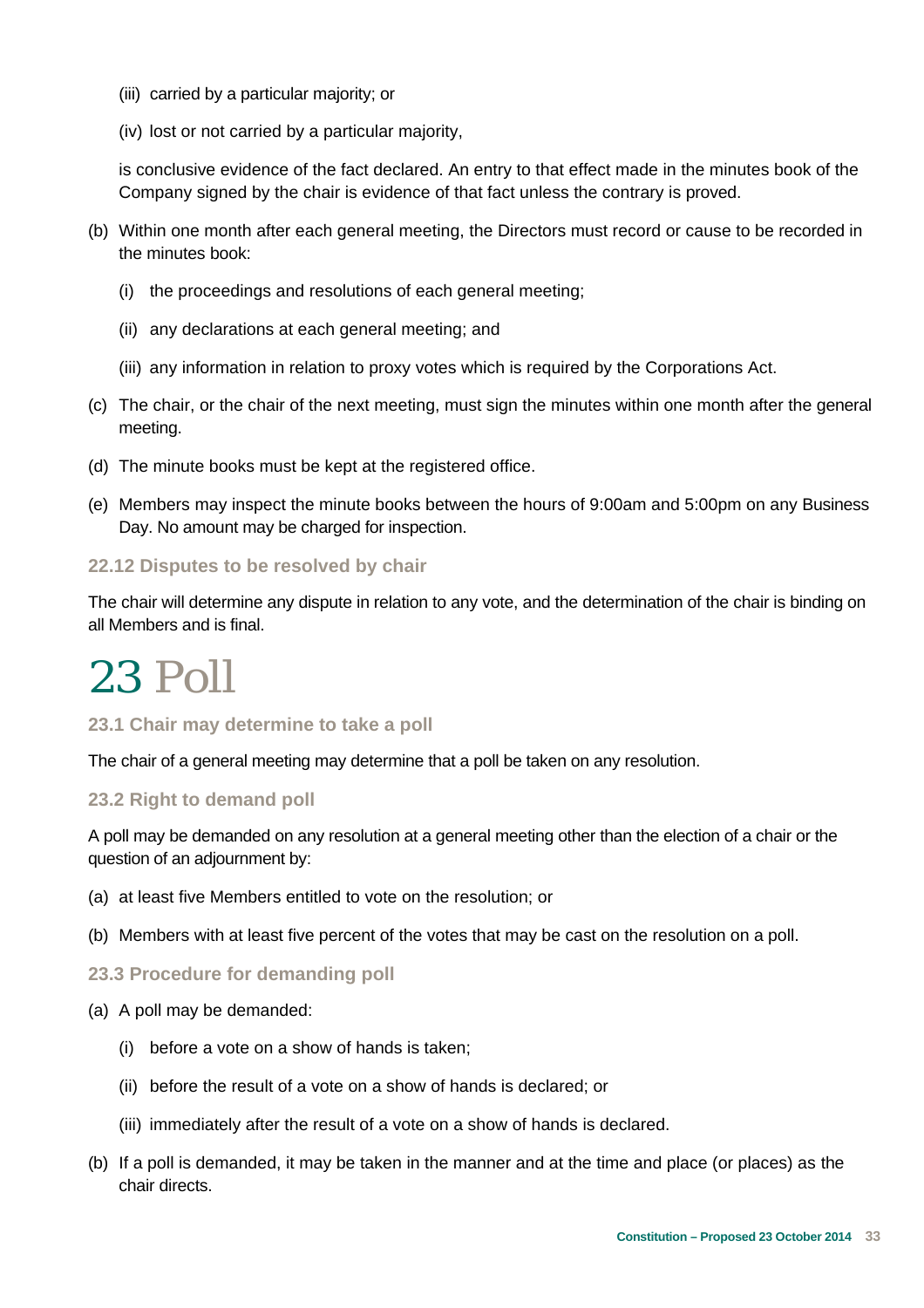- (iii) carried by a particular majority; or
- (iv) lost or not carried by a particular majority,

is conclusive evidence of the fact declared. An entry to that effect made in the minutes book of the Company signed by the chair is evidence of that fact unless the contrary is proved.

- (b) Within one month after each general meeting, the Directors must record or cause to be recorded in the minutes book:
	- (i) the proceedings and resolutions of each general meeting;
	- (ii) any declarations at each general meeting; and
	- (iii) any information in relation to proxy votes which is required by the Corporations Act.
- (c) The chair, or the chair of the next meeting, must sign the minutes within one month after the general meeting.
- (d) The minute books must be kept at the registered office.
- (e) Members may inspect the minute books between the hours of 9:00am and 5:00pm on any Business Day. No amount may be charged for inspection.

### **22.12 Disputes to be resolved by chair**

The chair will determine any dispute in relation to any vote, and the determination of the chair is binding on all Members and is final.

### 23 Poll

### **23.1 Chair may determine to take a poll**

The chair of a general meeting may determine that a poll be taken on any resolution.

#### **23.2 Right to demand poll**

A poll may be demanded on any resolution at a general meeting other than the election of a chair or the question of an adjournment by:

- (a) at least five Members entitled to vote on the resolution; or
- (b) Members with at least five percent of the votes that may be cast on the resolution on a poll.

### **23.3 Procedure for demanding poll**

- (a) A poll may be demanded:
	- (i) before a vote on a show of hands is taken;
	- (ii) before the result of a vote on a show of hands is declared; or
	- (iii) immediately after the result of a vote on a show of hands is declared.
- (b) If a poll is demanded, it may be taken in the manner and at the time and place (or places) as the chair directs.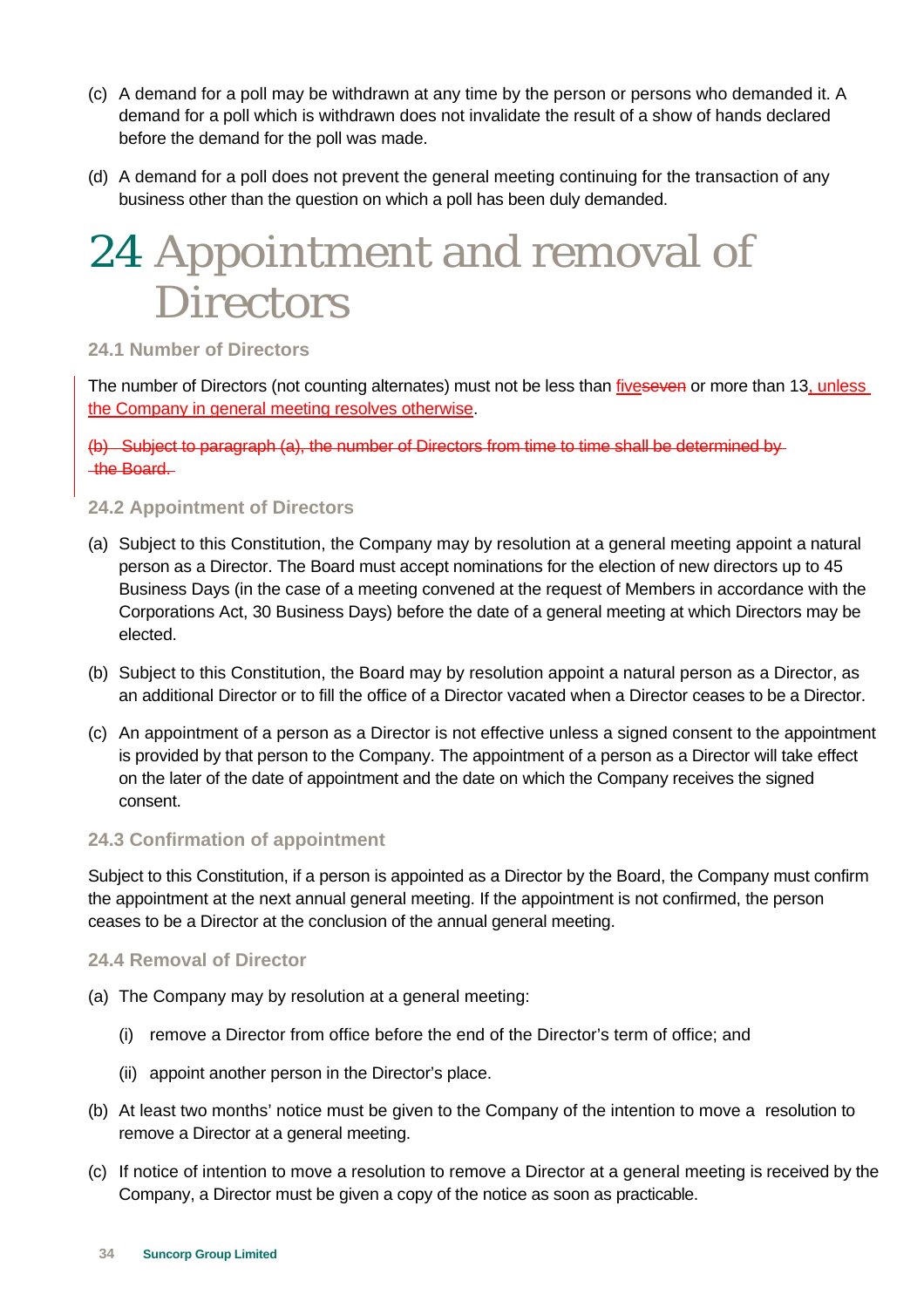- (c) A demand for a poll may be withdrawn at any time by the person or persons who demanded it. A demand for a poll which is withdrawn does not invalidate the result of a show of hands declared before the demand for the poll was made.
- (d) A demand for a poll does not prevent the general meeting continuing for the transaction of any business other than the question on which a poll has been duly demanded.

### 24 Appointment and removal of **Directors**

### **24.1 Number of Directors**

The number of Directors (not counting alternates) must not be less than fiveseven or more than 13, unless the Company in general meeting resolves otherwise.

(b) Subject to paragraph (a), the number of Directors from time to time shall be determined by the Board.

### **24.2 Appointment of Directors**

- (a) Subject to this Constitution, the Company may by resolution at a general meeting appoint a natural person as a Director. The Board must accept nominations for the election of new directors up to 45 Business Days (in the case of a meeting convened at the request of Members in accordance with the Corporations Act, 30 Business Days) before the date of a general meeting at which Directors may be elected.
- (b) Subject to this Constitution, the Board may by resolution appoint a natural person as a Director, as an additional Director or to fill the office of a Director vacated when a Director ceases to be a Director.
- (c) An appointment of a person as a Director is not effective unless a signed consent to the appointment is provided by that person to the Company. The appointment of a person as a Director will take effect on the later of the date of appointment and the date on which the Company receives the signed consent.

### **24.3 Confirmation of appointment**

Subject to this Constitution, if a person is appointed as a Director by the Board, the Company must confirm the appointment at the next annual general meeting. If the appointment is not confirmed, the person ceases to be a Director at the conclusion of the annual general meeting.

### **24.4 Removal of Director**

- (a) The Company may by resolution at a general meeting:
	- (i) remove a Director from office before the end of the Director's term of office; and
	- (ii) appoint another person in the Director's place.
- (b) At least two months' notice must be given to the Company of the intention to move a resolution to remove a Director at a general meeting.
- (c) If notice of intention to move a resolution to remove a Director at a general meeting is received by the Company, a Director must be given a copy of the notice as soon as practicable.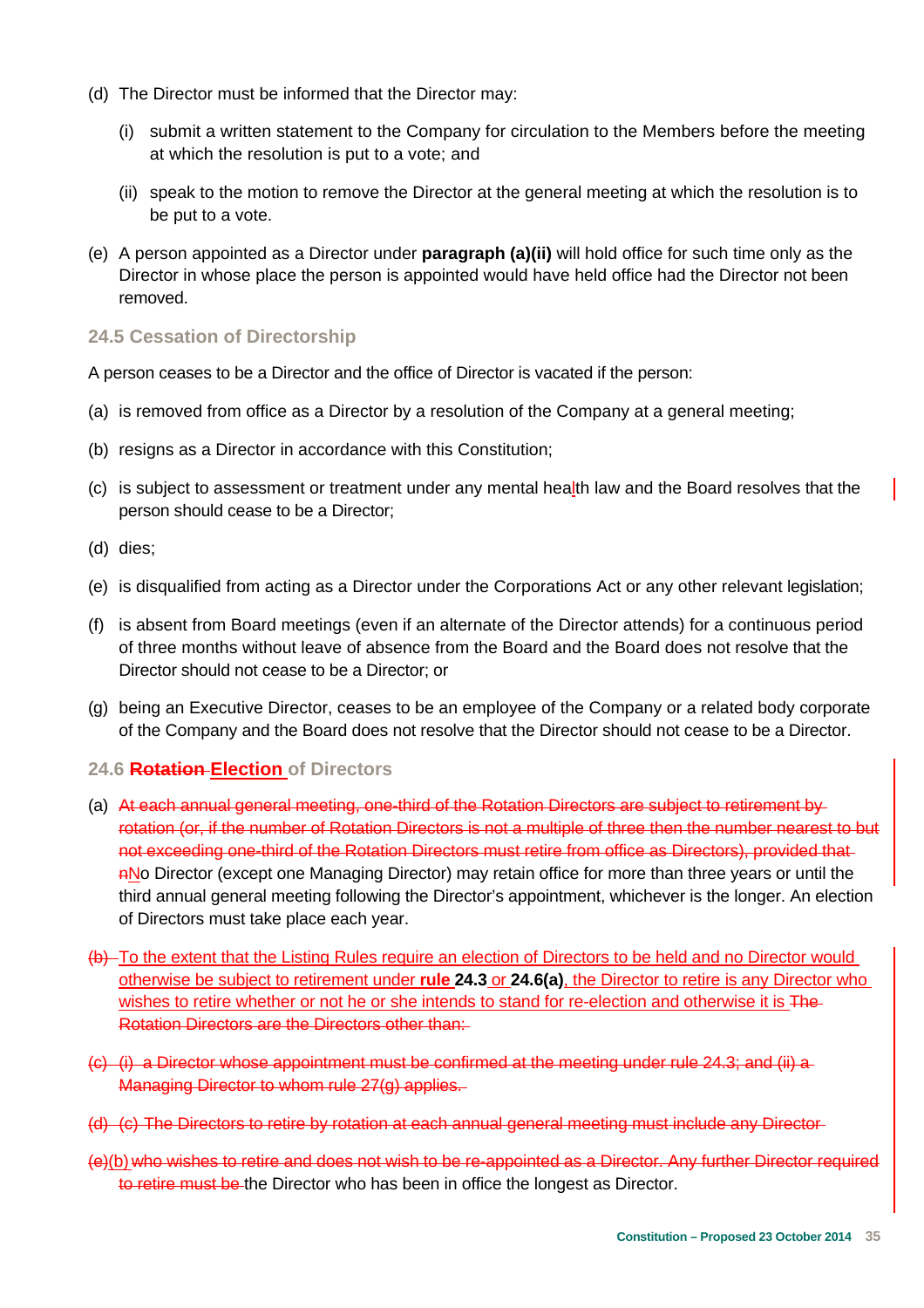- (d) The Director must be informed that the Director may:
	- (i) submit a written statement to the Company for circulation to the Members before the meeting at which the resolution is put to a vote; and
	- (ii) speak to the motion to remove the Director at the general meeting at which the resolution is to be put to a vote.
- (e) A person appointed as a Director under **paragraph (a)(ii)** will hold office for such time only as the Director in whose place the person is appointed would have held office had the Director not been removed.

### **24.5 Cessation of Directorship**

A person ceases to be a Director and the office of Director is vacated if the person:

- (a) is removed from office as a Director by a resolution of the Company at a general meeting;
- (b) resigns as a Director in accordance with this Constitution;
- (c) is subject to assessment or treatment under any mental health law and the Board resolves that the person should cease to be a Director;
- (d) dies;
- (e) is disqualified from acting as a Director under the Corporations Act or any other relevant legislation;
- (f) is absent from Board meetings (even if an alternate of the Director attends) for a continuous period of three months without leave of absence from the Board and the Board does not resolve that the Director should not cease to be a Director; or
- (g) being an Executive Director, ceases to be an employee of the Company or a related body corporate of the Company and the Board does not resolve that the Director should not cease to be a Director.

### **24.6 Rotation Election of Directors**

- (a) At each annual general meeting, one-third of the Rotation Directors are subject to retirement by rotation (or, if the number of Rotation Directors is not a multiple of three then the number nearest to but not exceeding one-third of the Rotation Directors must retire from office as Directors), provided that nNo Director (except one Managing Director) may retain office for more than three years or until the third annual general meeting following the Director's appointment, whichever is the longer. An election of Directors must take place each year.
- (b) To the extent that the Listing Rules require an election of Directors to be held and no Director would otherwise be subject to retirement under **rule 24.3** or **24.6(a)**, the Director to retire is any Director who wishes to retire whether or not he or she intends to stand for re-election and otherwise it is The-Rotation Directors are the Directors other than:
- (c) (i) a Director whose appointment must be confirmed at the meeting under rule 24.3; and (ii) a Managing Director to whom rule 27(g) applies.
- (d) (c) The Directors to retire by rotation at each annual general meeting must include any Director
- (e)(b) who wishes to retire and does not wish to be re-appointed as a Director. Any further Director required to retire must be the Director who has been in office the longest as Director.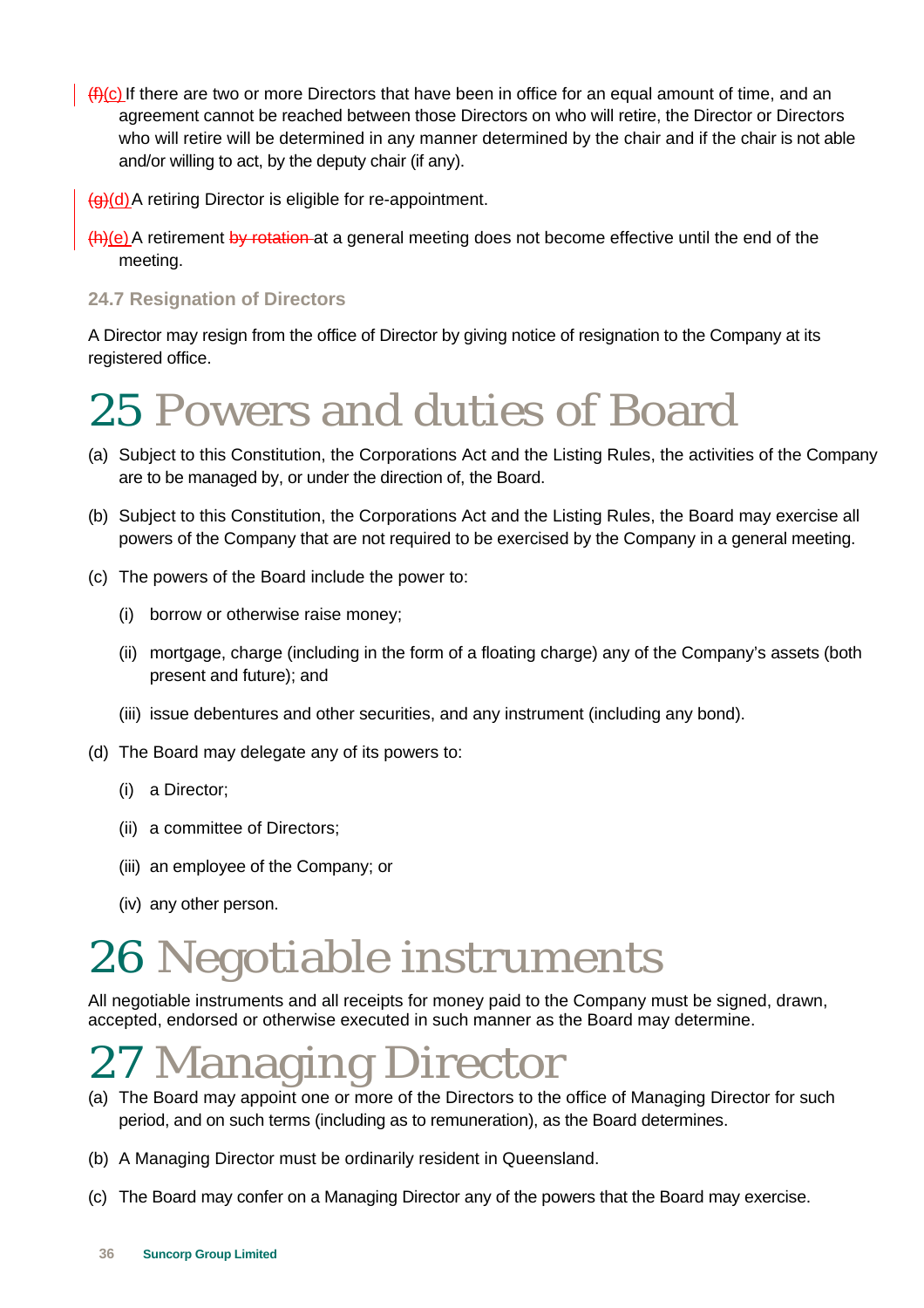$(f<sub>1</sub>(c)$  If there are two or more Directors that have been in office for an equal amount of time, and an agreement cannot be reached between those Directors on who will retire, the Director or Directors who will retire will be determined in any manner determined by the chair and if the chair is not able and/or willing to act, by the deputy chair (if any).

(g)(d) A retiring Director is eligible for re-appointment.

(h)(e) A retirement by rotation at a general meeting does not become effective until the end of the meeting.

### **24.7 Resignation of Directors**

A Director may resign from the office of Director by giving notice of resignation to the Company at its registered office.

### 25 Powers and duties of Board

- (a) Subject to this Constitution, the Corporations Act and the Listing Rules, the activities of the Company are to be managed by, or under the direction of, the Board.
- (b) Subject to this Constitution, the Corporations Act and the Listing Rules, the Board may exercise all powers of the Company that are not required to be exercised by the Company in a general meeting.
- (c) The powers of the Board include the power to:
	- (i) borrow or otherwise raise money;
	- (ii) mortgage, charge (including in the form of a floating charge) any of the Company's assets (both present and future); and
	- (iii) issue debentures and other securities, and any instrument (including any bond).
- (d) The Board may delegate any of its powers to:
	- (i) a Director;
	- (ii) a committee of Directors;
	- (iii) an employee of the Company; or
	- (iv) any other person.

### 26 Negotiable instruments

All negotiable instruments and all receipts for money paid to the Company must be signed, drawn, accepted, endorsed or otherwise executed in such manner as the Board may determine.

### 27 Managing Director

- (a) The Board may appoint one or more of the Directors to the office of Managing Director for such period, and on such terms (including as to remuneration), as the Board determines.
- (b) A Managing Director must be ordinarily resident in Queensland.
- (c) The Board may confer on a Managing Director any of the powers that the Board may exercise.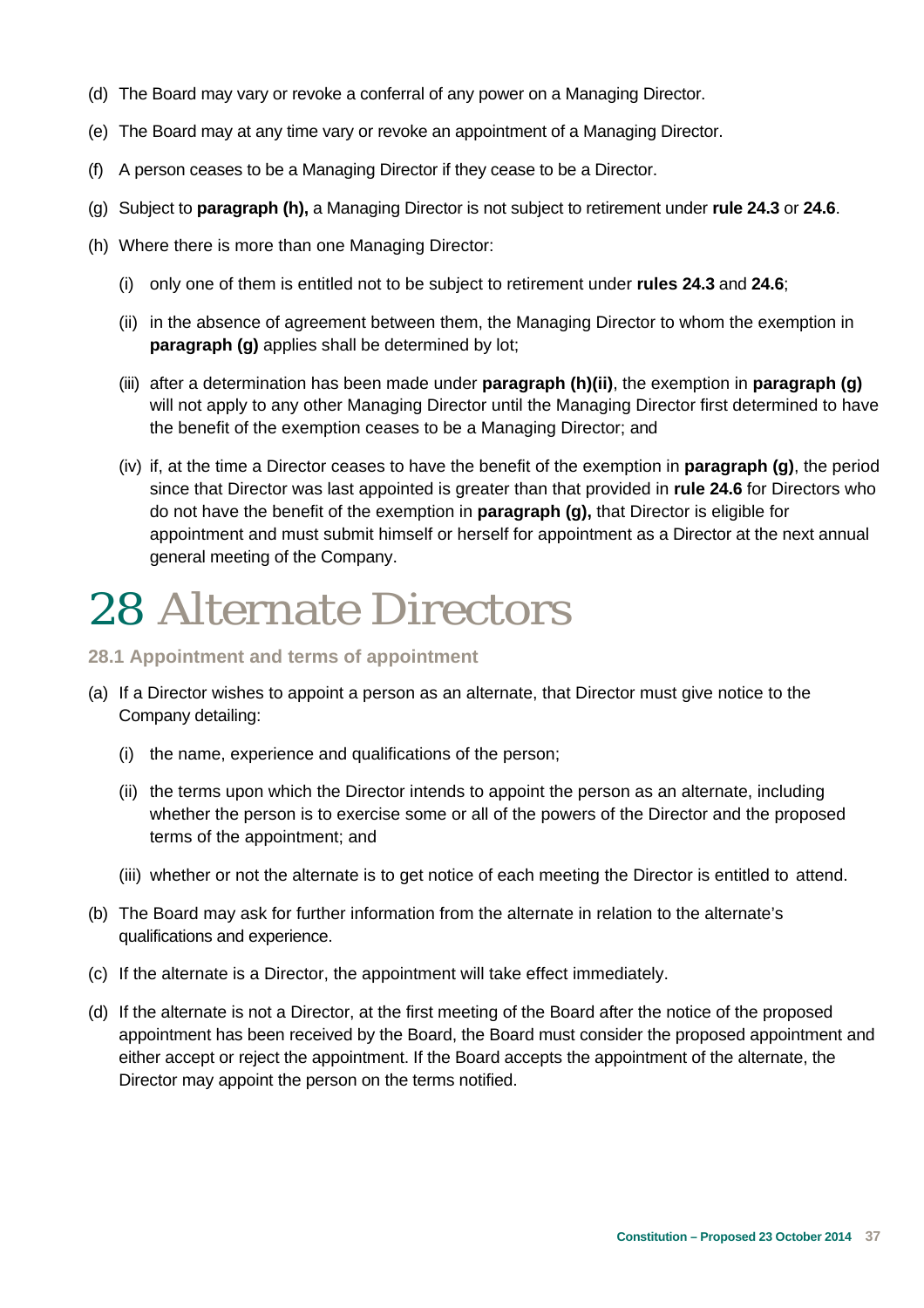- (d) The Board may vary or revoke a conferral of any power on a Managing Director.
- (e) The Board may at any time vary or revoke an appointment of a Managing Director.
- (f) A person ceases to be a Managing Director if they cease to be a Director.
- (g) Subject to **paragraph (h),** a Managing Director is not subject to retirement under **rule 24.3** or **24.6**.
- (h) Where there is more than one Managing Director:
	- (i) only one of them is entitled not to be subject to retirement under **rules 24.3** and **24.6**;
	- (ii) in the absence of agreement between them, the Managing Director to whom the exemption in **paragraph (g)** applies shall be determined by lot;
	- (iii) after a determination has been made under **paragraph (h)(ii)**, the exemption in **paragraph (g)** will not apply to any other Managing Director until the Managing Director first determined to have the benefit of the exemption ceases to be a Managing Director; and
	- (iv) if, at the time a Director ceases to have the benefit of the exemption in **paragraph (g)**, the period since that Director was last appointed is greater than that provided in **rule 24.6** for Directors who do not have the benefit of the exemption in **paragraph (g),** that Director is eligible for appointment and must submit himself or herself for appointment as a Director at the next annual general meeting of the Company.

### 28 Alternate Directors

#### **28.1 Appointment and terms of appointment**

- (a) If a Director wishes to appoint a person as an alternate, that Director must give notice to the Company detailing:
	- (i) the name, experience and qualifications of the person;
	- (ii) the terms upon which the Director intends to appoint the person as an alternate, including whether the person is to exercise some or all of the powers of the Director and the proposed terms of the appointment; and
	- (iii) whether or not the alternate is to get notice of each meeting the Director is entitled to attend.
- (b) The Board may ask for further information from the alternate in relation to the alternate's qualifications and experience.
- (c) If the alternate is a Director, the appointment will take effect immediately.
- (d) If the alternate is not a Director, at the first meeting of the Board after the notice of the proposed appointment has been received by the Board, the Board must consider the proposed appointment and either accept or reject the appointment. If the Board accepts the appointment of the alternate, the Director may appoint the person on the terms notified.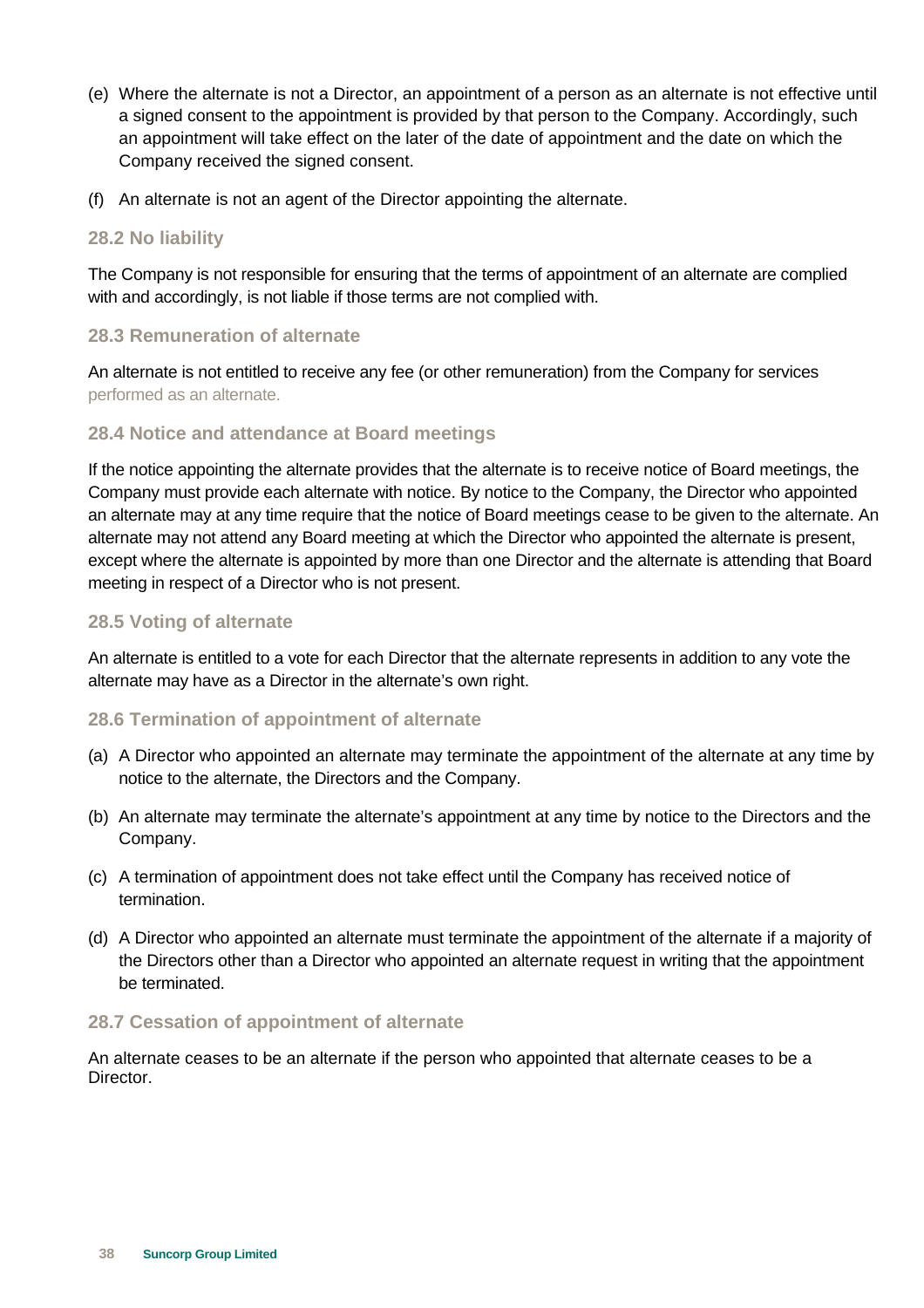- (e) Where the alternate is not a Director, an appointment of a person as an alternate is not effective until a signed consent to the appointment is provided by that person to the Company. Accordingly, such an appointment will take effect on the later of the date of appointment and the date on which the Company received the signed consent.
- (f) An alternate is not an agent of the Director appointing the alternate.

### **28.2 No liability**

The Company is not responsible for ensuring that the terms of appointment of an alternate are complied with and accordingly, is not liable if those terms are not complied with.

### **28.3 Remuneration of alternate**

An alternate is not entitled to receive any fee (or other remuneration) from the Company for services performed as an alternate.

### **28.4 Notice and attendance at Board meetings**

If the notice appointing the alternate provides that the alternate is to receive notice of Board meetings, the Company must provide each alternate with notice. By notice to the Company, the Director who appointed an alternate may at any time require that the notice of Board meetings cease to be given to the alternate. An alternate may not attend any Board meeting at which the Director who appointed the alternate is present, except where the alternate is appointed by more than one Director and the alternate is attending that Board meeting in respect of a Director who is not present.

### **28.5 Voting of alternate**

An alternate is entitled to a vote for each Director that the alternate represents in addition to any vote the alternate may have as a Director in the alternate's own right.

### **28.6 Termination of appointment of alternate**

- (a) A Director who appointed an alternate may terminate the appointment of the alternate at any time by notice to the alternate, the Directors and the Company.
- (b) An alternate may terminate the alternate's appointment at any time by notice to the Directors and the Company.
- (c) A termination of appointment does not take effect until the Company has received notice of termination.
- (d) A Director who appointed an alternate must terminate the appointment of the alternate if a majority of the Directors other than a Director who appointed an alternate request in writing that the appointment be terminated.

### **28.7 Cessation of appointment of alternate**

An alternate ceases to be an alternate if the person who appointed that alternate ceases to be a Director.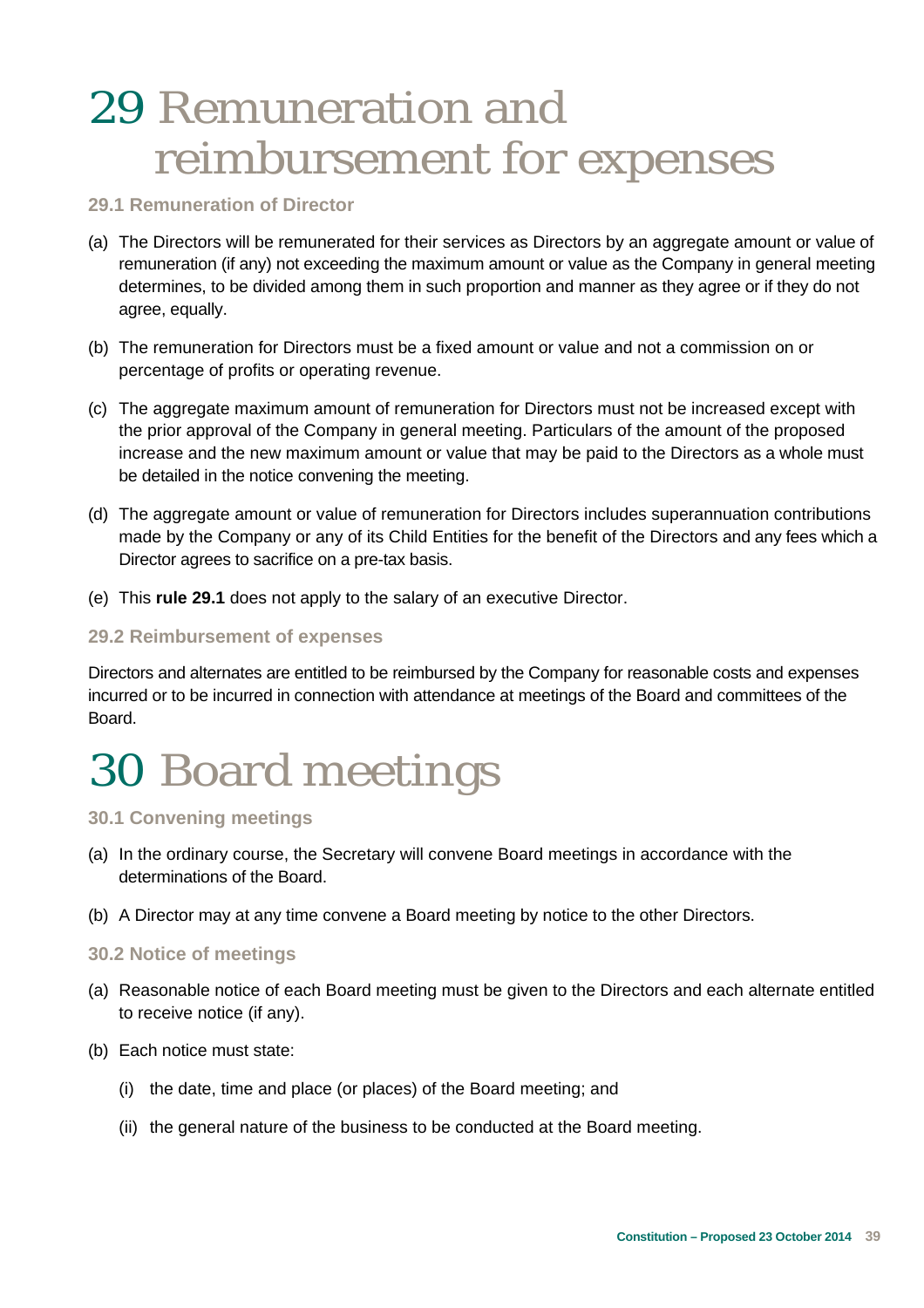### 29 Remuneration and reimbursement for expenses

### **29.1 Remuneration of Director**

- (a) The Directors will be remunerated for their services as Directors by an aggregate amount or value of remuneration (if any) not exceeding the maximum amount or value as the Company in general meeting determines, to be divided among them in such proportion and manner as they agree or if they do not agree, equally.
- (b) The remuneration for Directors must be a fixed amount or value and not a commission on or percentage of profits or operating revenue.
- (c) The aggregate maximum amount of remuneration for Directors must not be increased except with the prior approval of the Company in general meeting. Particulars of the amount of the proposed increase and the new maximum amount or value that may be paid to the Directors as a whole must be detailed in the notice convening the meeting.
- (d) The aggregate amount or value of remuneration for Directors includes superannuation contributions made by the Company or any of its Child Entities for the benefit of the Directors and any fees which a Director agrees to sacrifice on a pre-tax basis.
- (e) This **rule 29.1** does not apply to the salary of an executive Director.

### **29.2 Reimbursement of expenses**

Directors and alternates are entitled to be reimbursed by the Company for reasonable costs and expenses incurred or to be incurred in connection with attendance at meetings of the Board and committees of the Board.

### 30 Board meetings

### **30.1 Convening meetings**

- (a) In the ordinary course, the Secretary will convene Board meetings in accordance with the determinations of the Board.
- (b) A Director may at any time convene a Board meeting by notice to the other Directors.

#### **30.2 Notice of meetings**

- (a) Reasonable notice of each Board meeting must be given to the Directors and each alternate entitled to receive notice (if any).
- (b) Each notice must state:
	- (i) the date, time and place (or places) of the Board meeting; and
	- (ii) the general nature of the business to be conducted at the Board meeting.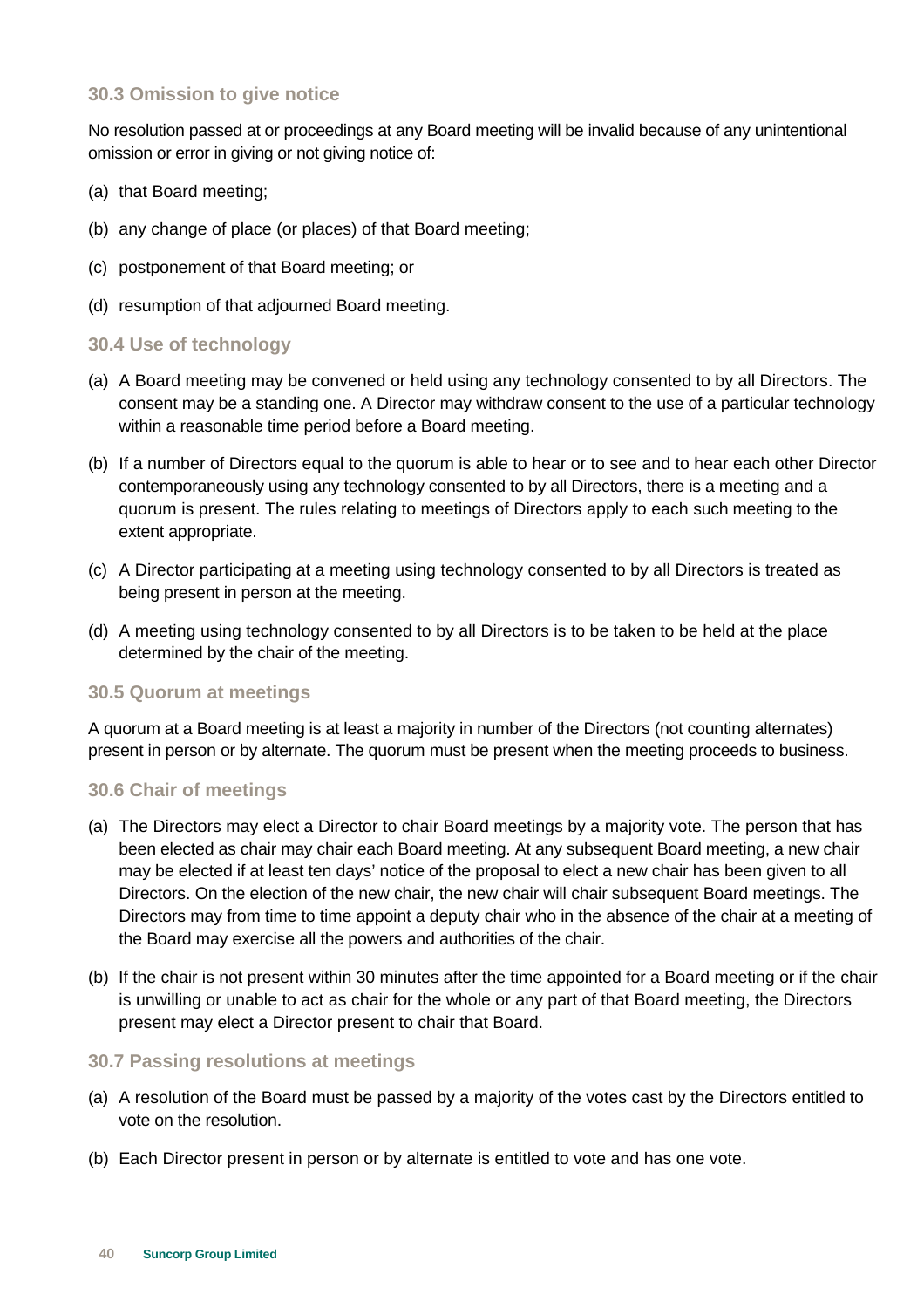### **30.3 Omission to give notice**

No resolution passed at or proceedings at any Board meeting will be invalid because of any unintentional omission or error in giving or not giving notice of:

- (a) that Board meeting;
- (b) any change of place (or places) of that Board meeting;
- (c) postponement of that Board meeting; or
- (d) resumption of that adjourned Board meeting.

#### **30.4 Use of technology**

- (a) A Board meeting may be convened or held using any technology consented to by all Directors. The consent may be a standing one. A Director may withdraw consent to the use of a particular technology within a reasonable time period before a Board meeting.
- (b) If a number of Directors equal to the quorum is able to hear or to see and to hear each other Director contemporaneously using any technology consented to by all Directors, there is a meeting and a quorum is present. The rules relating to meetings of Directors apply to each such meeting to the extent appropriate.
- (c) A Director participating at a meeting using technology consented to by all Directors is treated as being present in person at the meeting.
- (d) A meeting using technology consented to by all Directors is to be taken to be held at the place determined by the chair of the meeting.

#### **30.5 Quorum at meetings**

A quorum at a Board meeting is at least a majority in number of the Directors (not counting alternates) present in person or by alternate. The quorum must be present when the meeting proceeds to business.

### **30.6 Chair of meetings**

- (a) The Directors may elect a Director to chair Board meetings by a majority vote. The person that has been elected as chair may chair each Board meeting. At any subsequent Board meeting, a new chair may be elected if at least ten days' notice of the proposal to elect a new chair has been given to all Directors. On the election of the new chair, the new chair will chair subsequent Board meetings. The Directors may from time to time appoint a deputy chair who in the absence of the chair at a meeting of the Board may exercise all the powers and authorities of the chair.
- (b) If the chair is not present within 30 minutes after the time appointed for a Board meeting or if the chair is unwilling or unable to act as chair for the whole or any part of that Board meeting, the Directors present may elect a Director present to chair that Board.

#### **30.7 Passing resolutions at meetings**

- (a) A resolution of the Board must be passed by a majority of the votes cast by the Directors entitled to vote on the resolution.
- (b) Each Director present in person or by alternate is entitled to vote and has one vote.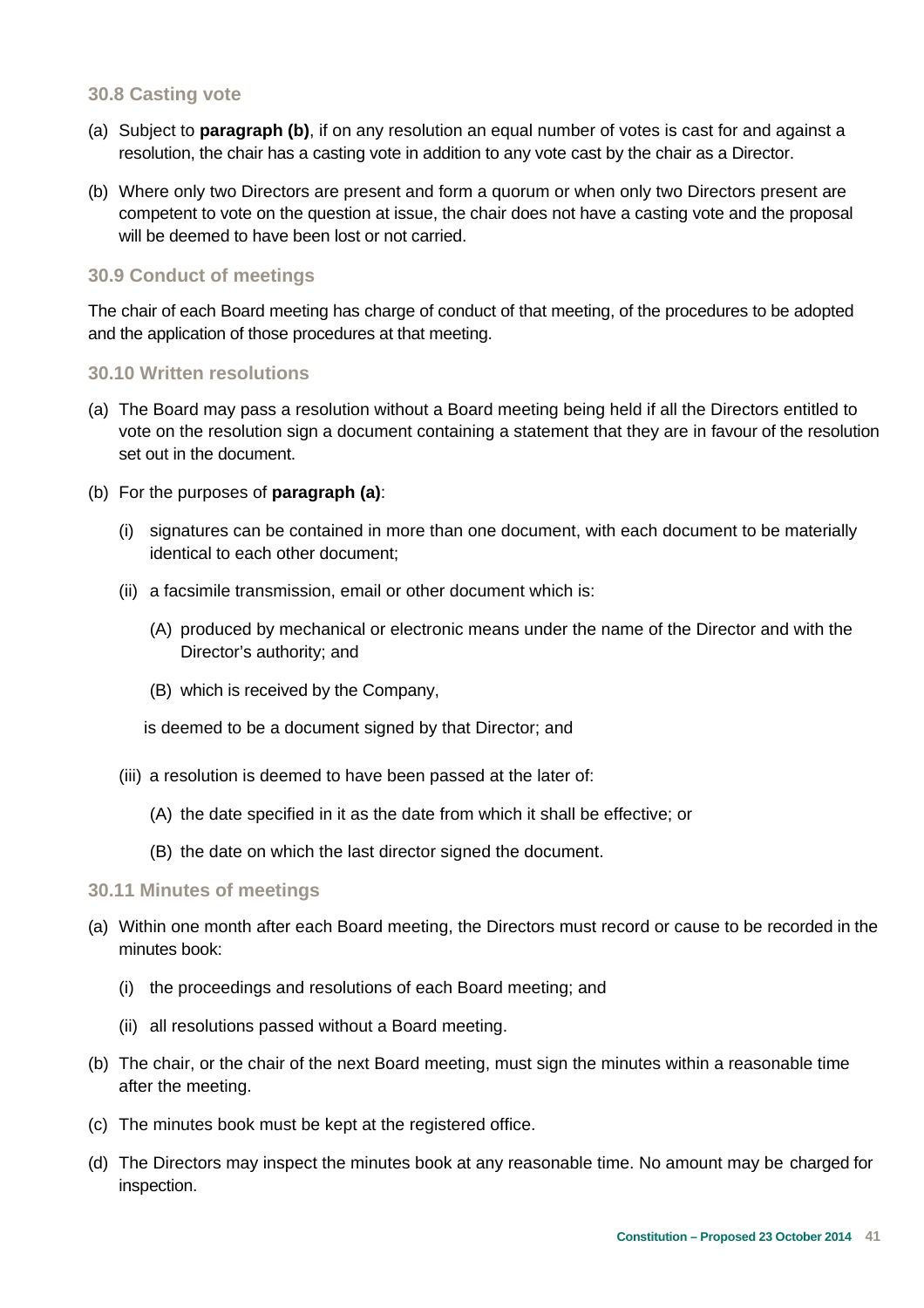### **30.8 Casting vote**

- (a) Subject to **paragraph (b)**, if on any resolution an equal number of votes is cast for and against a resolution, the chair has a casting vote in addition to any vote cast by the chair as a Director.
- (b) Where only two Directors are present and form a quorum or when only two Directors present are competent to vote on the question at issue, the chair does not have a casting vote and the proposal will be deemed to have been lost or not carried.

### **30.9 Conduct of meetings**

The chair of each Board meeting has charge of conduct of that meeting, of the procedures to be adopted and the application of those procedures at that meeting.

#### **30.10 Written resolutions**

- (a) The Board may pass a resolution without a Board meeting being held if all the Directors entitled to vote on the resolution sign a document containing a statement that they are in favour of the resolution set out in the document.
- (b) For the purposes of **paragraph (a)**:
	- (i) signatures can be contained in more than one document, with each document to be materially identical to each other document;
	- (ii) a facsimile transmission, email or other document which is:
		- (A) produced by mechanical or electronic means under the name of the Director and with the Director's authority; and
		- (B) which is received by the Company,

is deemed to be a document signed by that Director; and

- (iii) a resolution is deemed to have been passed at the later of:
	- (A) the date specified in it as the date from which it shall be effective; or
	- (B) the date on which the last director signed the document.

#### **30.11 Minutes of meetings**

- (a) Within one month after each Board meeting, the Directors must record or cause to be recorded in the minutes book:
	- (i) the proceedings and resolutions of each Board meeting; and
	- (ii) all resolutions passed without a Board meeting.
- (b) The chair, or the chair of the next Board meeting, must sign the minutes within a reasonable time after the meeting.
- (c) The minutes book must be kept at the registered office.
- (d) The Directors may inspect the minutes book at any reasonable time. No amount may be charged for inspection.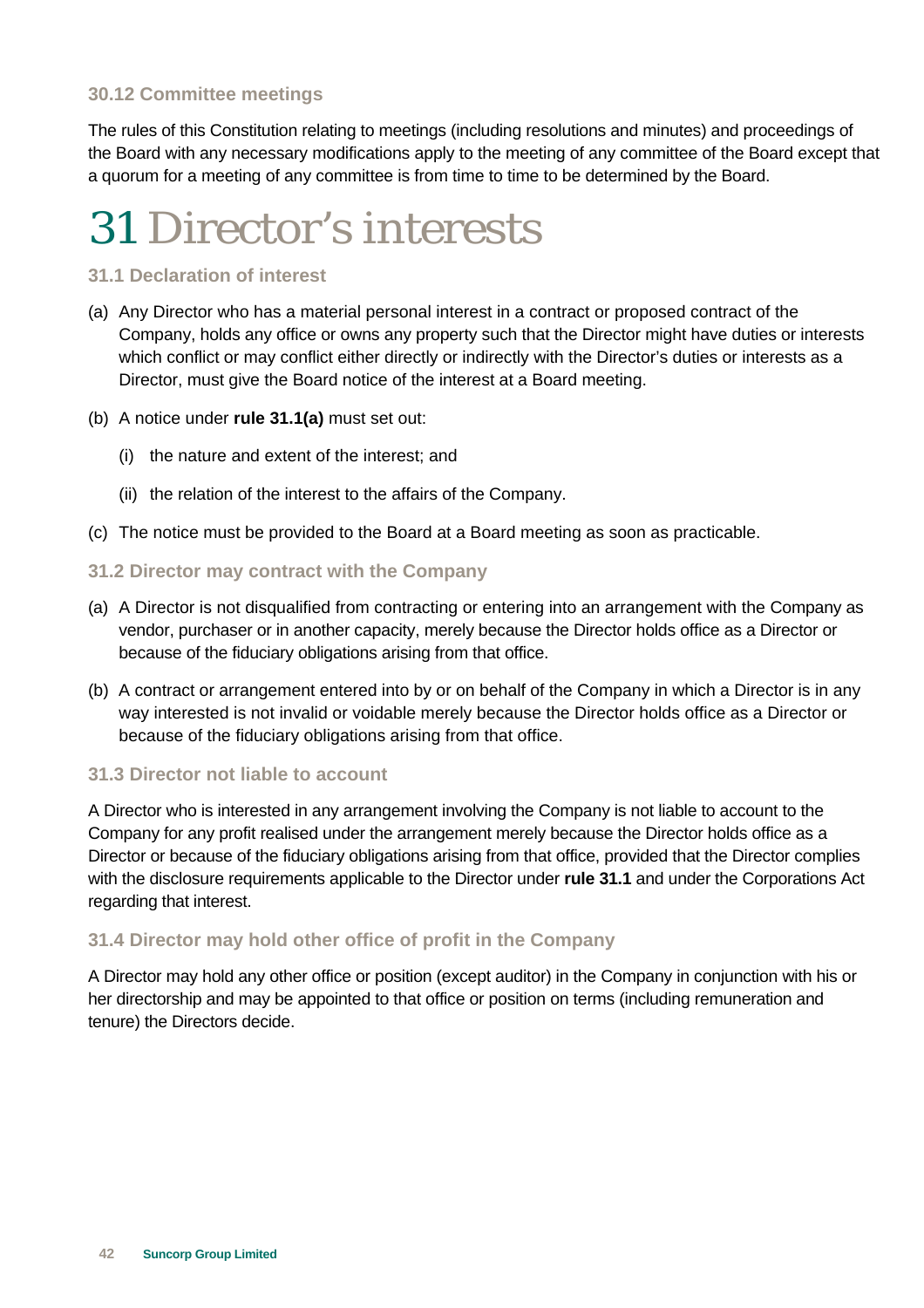### **30.12 Committee meetings**

The rules of this Constitution relating to meetings (including resolutions and minutes) and proceedings of the Board with any necessary modifications apply to the meeting of any committee of the Board except that a quorum for a meeting of any committee is from time to time to be determined by the Board.

### 31 Director's interests

### **31.1 Declaration of interest**

- (a) Any Director who has a material personal interest in a contract or proposed contract of the Company, holds any office or owns any property such that the Director might have duties or interests which conflict or may conflict either directly or indirectly with the Director's duties or interests as a Director, must give the Board notice of the interest at a Board meeting.
- (b) A notice under **rule 31.1(a)** must set out:
	- (i) the nature and extent of the interest; and
	- (ii) the relation of the interest to the affairs of the Company.
- (c) The notice must be provided to the Board at a Board meeting as soon as practicable.

#### **31.2 Director may contract with the Company**

- (a) A Director is not disqualified from contracting or entering into an arrangement with the Company as vendor, purchaser or in another capacity, merely because the Director holds office as a Director or because of the fiduciary obligations arising from that office.
- (b) A contract or arrangement entered into by or on behalf of the Company in which a Director is in any way interested is not invalid or voidable merely because the Director holds office as a Director or because of the fiduciary obligations arising from that office.

### **31.3 Director not liable to account**

A Director who is interested in any arrangement involving the Company is not liable to account to the Company for any profit realised under the arrangement merely because the Director holds office as a Director or because of the fiduciary obligations arising from that office, provided that the Director complies with the disclosure requirements applicable to the Director under **rule 31.1** and under the Corporations Act regarding that interest.

### **31.4 Director may hold other office of profit in the Company**

A Director may hold any other office or position (except auditor) in the Company in conjunction with his or her directorship and may be appointed to that office or position on terms (including remuneration and tenure) the Directors decide.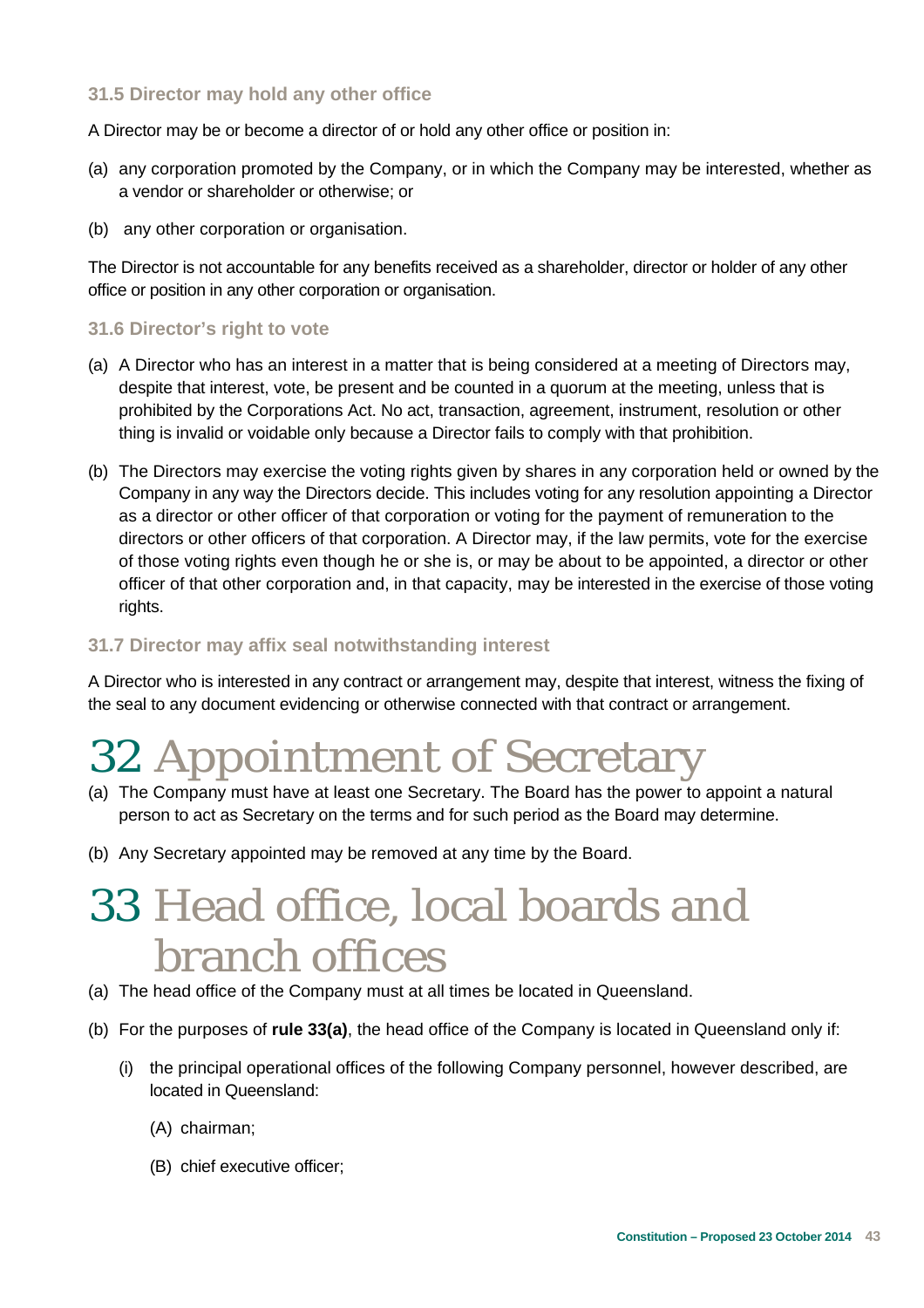### **31.5 Director may hold any other office**

A Director may be or become a director of or hold any other office or position in:

- (a) any corporation promoted by the Company, or in which the Company may be interested, whether as a vendor or shareholder or otherwise; or
- (b) any other corporation or organisation.

The Director is not accountable for any benefits received as a shareholder, director or holder of any other office or position in any other corporation or organisation.

#### **31.6 Director's right to vote**

- (a) A Director who has an interest in a matter that is being considered at a meeting of Directors may, despite that interest, vote, be present and be counted in a quorum at the meeting, unless that is prohibited by the Corporations Act. No act, transaction, agreement, instrument, resolution or other thing is invalid or voidable only because a Director fails to comply with that prohibition.
- (b) The Directors may exercise the voting rights given by shares in any corporation held or owned by the Company in any way the Directors decide. This includes voting for any resolution appointing a Director as a director or other officer of that corporation or voting for the payment of remuneration to the directors or other officers of that corporation. A Director may, if the law permits, vote for the exercise of those voting rights even though he or she is, or may be about to be appointed, a director or other officer of that other corporation and, in that capacity, may be interested in the exercise of those voting rights.

### **31.7 Director may affix seal notwithstanding interest**

A Director who is interested in any contract or arrangement may, despite that interest, witness the fixing of the seal to any document evidencing or otherwise connected with that contract or arrangement.

### 32 Appointment of Secretary

- (a) The Company must have at least one Secretary. The Board has the power to appoint a natural person to act as Secretary on the terms and for such period as the Board may determine.
- (b) Any Secretary appointed may be removed at any time by the Board.

### 33 Head office, local boards and branch offices

- (a) The head office of the Company must at all times be located in Queensland.
- (b) For the purposes of **rule 33(a)**, the head office of the Company is located in Queensland only if:
	- (i) the principal operational offices of the following Company personnel, however described, are located in Queensland:
		- (A) chairman;
		- (B) chief executive officer;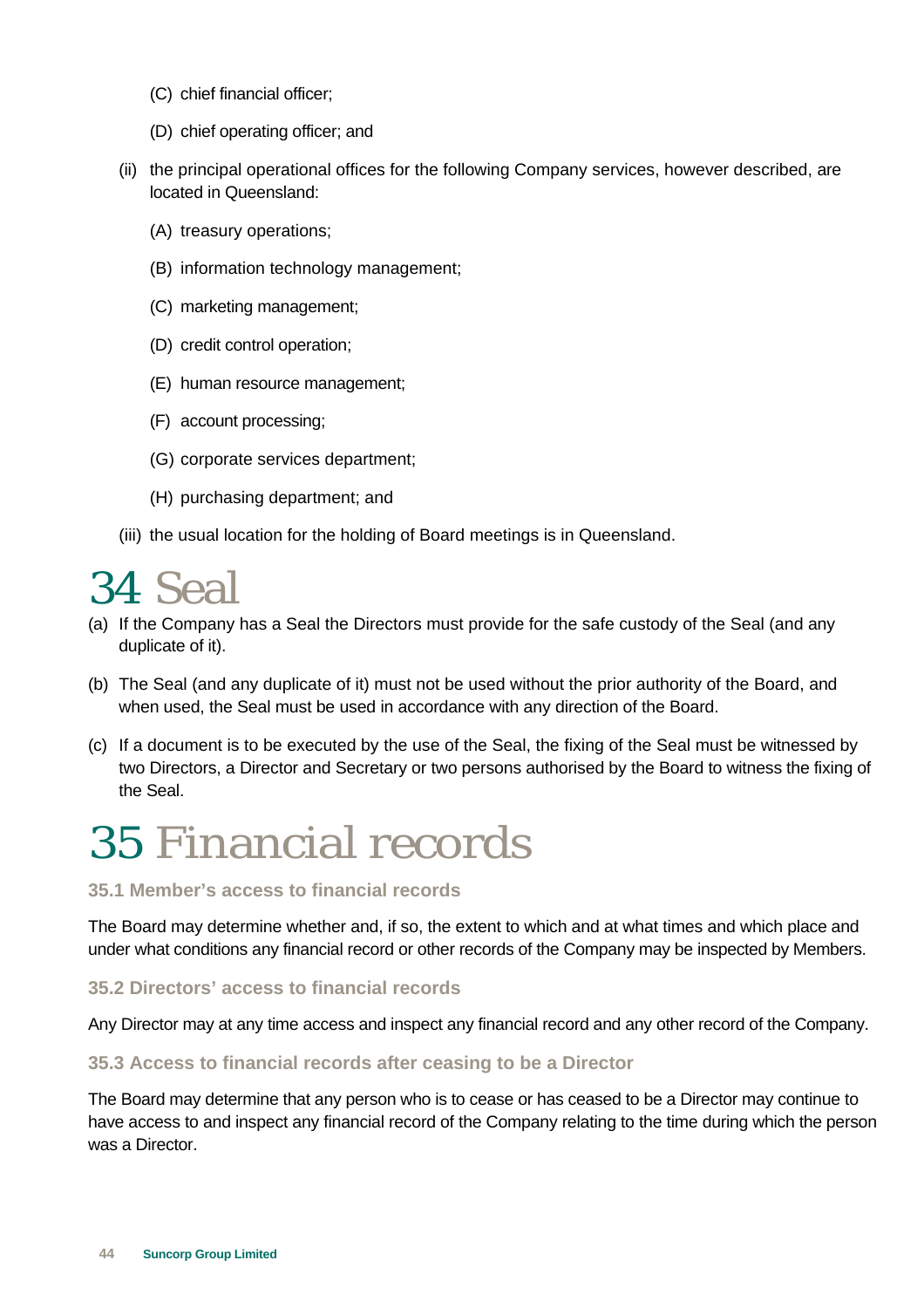- (C) chief financial officer;
- (D) chief operating officer; and
- (ii) the principal operational offices for the following Company services, however described, are located in Queensland:
	- (A) treasury operations;
	- (B) information technology management;
	- (C) marketing management;
	- (D) credit control operation;
	- (E) human resource management;
	- (F) account processing;
	- (G) corporate services department;
	- (H) purchasing department; and
- (iii) the usual location for the holding of Board meetings is in Queensland.

### 34 Seal

- (a) If the Company has a Seal the Directors must provide for the safe custody of the Seal (and any duplicate of it).
- (b) The Seal (and any duplicate of it) must not be used without the prior authority of the Board, and when used, the Seal must be used in accordance with any direction of the Board.
- (c) If a document is to be executed by the use of the Seal, the fixing of the Seal must be witnessed by two Directors, a Director and Secretary or two persons authorised by the Board to witness the fixing of the Seal.

### 35 Financial records

### **35.1 Member's access to financial records**

The Board may determine whether and, if so, the extent to which and at what times and which place and under what conditions any financial record or other records of the Company may be inspected by Members.

### **35.2 Directors' access to financial records**

Any Director may at any time access and inspect any financial record and any other record of the Company.

#### **35.3 Access to financial records after ceasing to be a Director**

The Board may determine that any person who is to cease or has ceased to be a Director may continue to have access to and inspect any financial record of the Company relating to the time during which the person was a Director.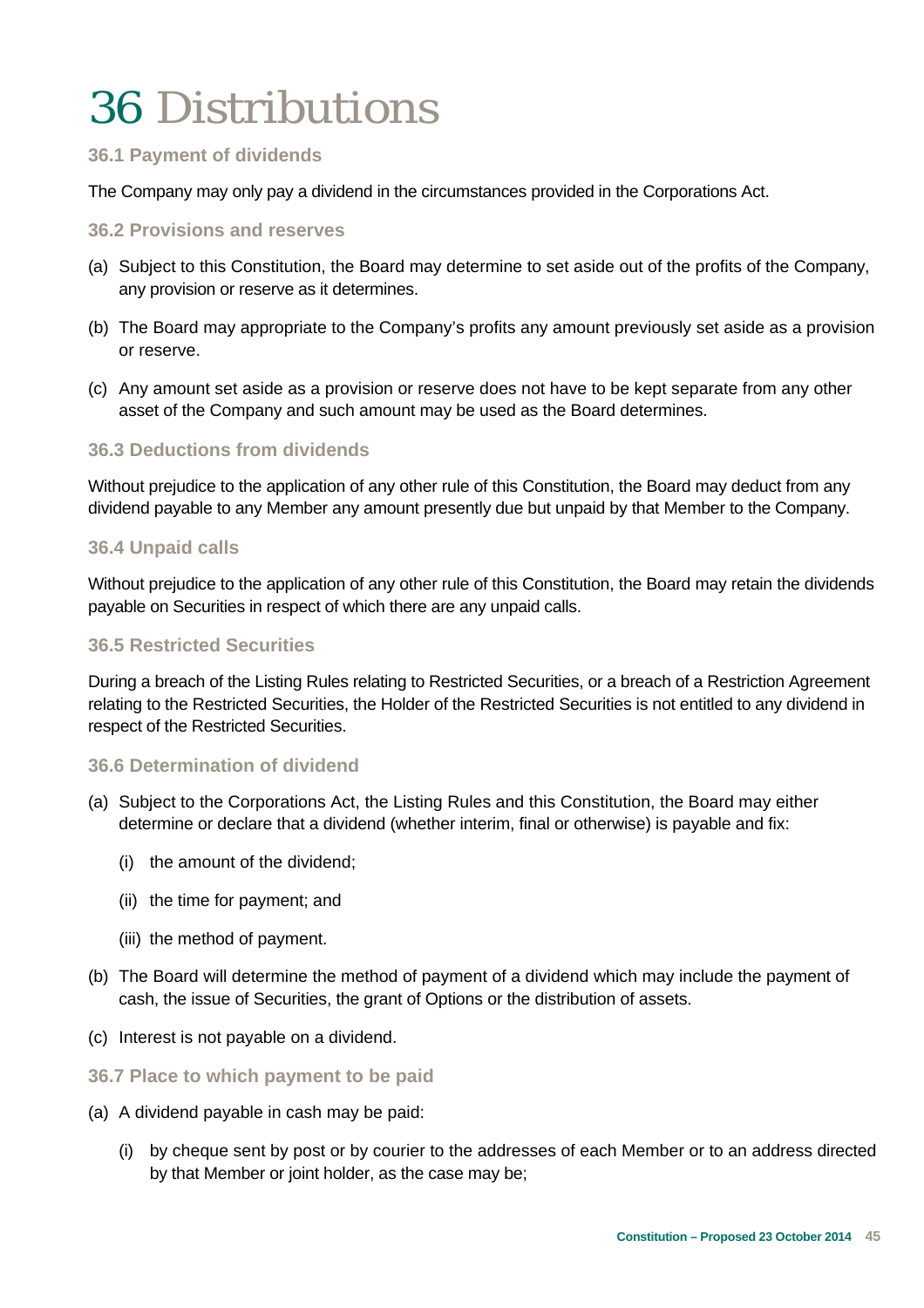### 36 Distributions

### **36.1 Payment of dividends**

The Company may only pay a dividend in the circumstances provided in the Corporations Act.

### **36.2 Provisions and reserves**

- (a) Subject to this Constitution, the Board may determine to set aside out of the profits of the Company, any provision or reserve as it determines.
- (b) The Board may appropriate to the Company's profits any amount previously set aside as a provision or reserve.
- (c) Any amount set aside as a provision or reserve does not have to be kept separate from any other asset of the Company and such amount may be used as the Board determines.

### **36.3 Deductions from dividends**

Without prejudice to the application of any other rule of this Constitution, the Board may deduct from any dividend payable to any Member any amount presently due but unpaid by that Member to the Company.

#### **36.4 Unpaid calls**

Without prejudice to the application of any other rule of this Constitution, the Board may retain the dividends payable on Securities in respect of which there are any unpaid calls.

#### **36.5 Restricted Securities**

During a breach of the Listing Rules relating to Restricted Securities, or a breach of a Restriction Agreement relating to the Restricted Securities, the Holder of the Restricted Securities is not entitled to any dividend in respect of the Restricted Securities.

#### **36.6 Determination of dividend**

- (a) Subject to the Corporations Act, the Listing Rules and this Constitution, the Board may either determine or declare that a dividend (whether interim, final or otherwise) is payable and fix:
	- (i) the amount of the dividend;
	- (ii) the time for payment; and
	- (iii) the method of payment.
- (b) The Board will determine the method of payment of a dividend which may include the payment of cash, the issue of Securities, the grant of Options or the distribution of assets.
- (c) Interest is not payable on a dividend.

#### **36.7 Place to which payment to be paid**

- (a) A dividend payable in cash may be paid:
	- (i) by cheque sent by post or by courier to the addresses of each Member or to an address directed by that Member or joint holder, as the case may be;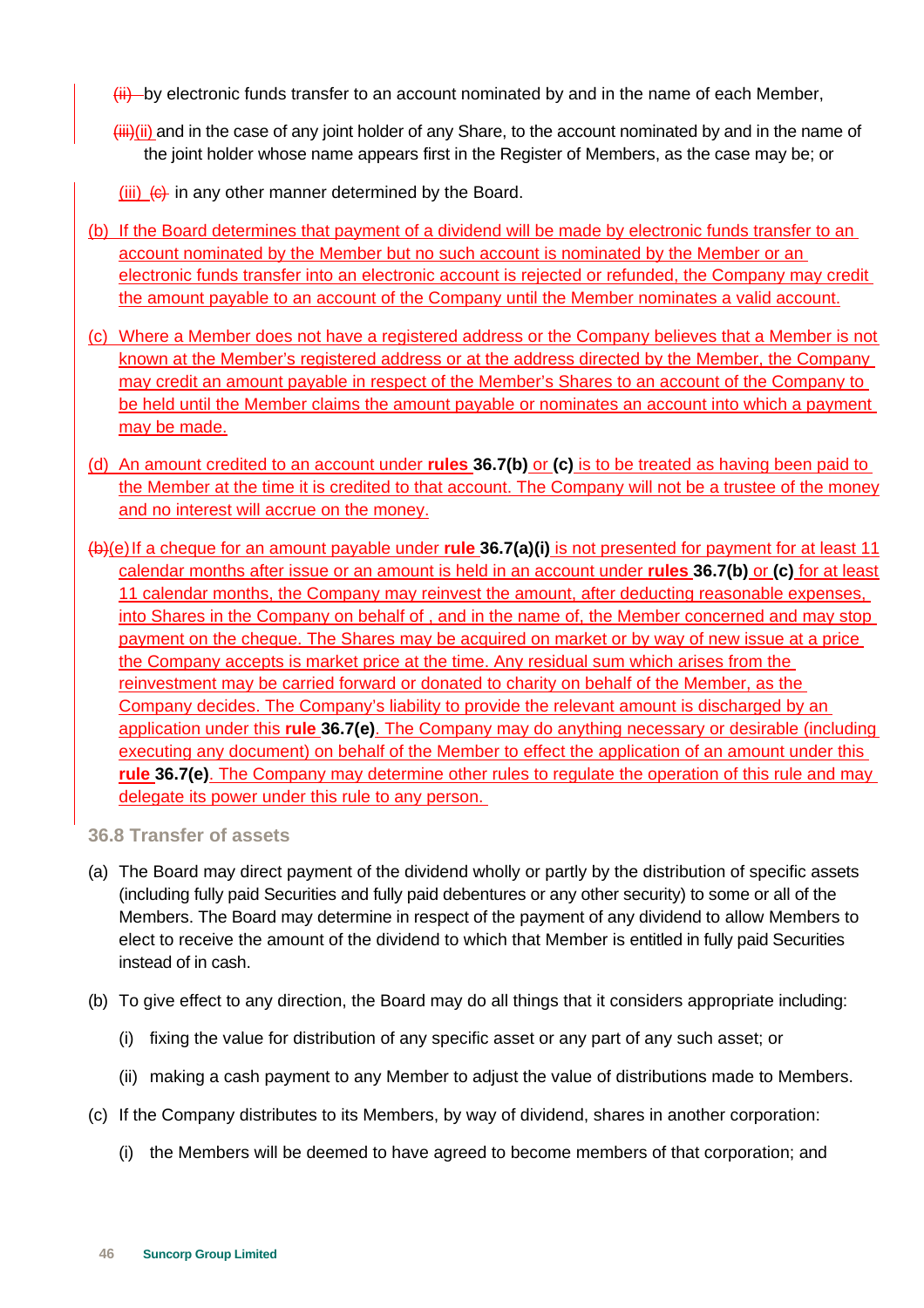- $\frac{f_{\text{iii}}}{f}$  by electronic funds transfer to an account nominated by and in the name of each Member,
- $\overline{\text{iii}}$ (ii) and in the case of any joint holder of any Share, to the account nominated by and in the name of the joint holder whose name appears first in the Register of Members, as the case may be; or
- $(iii)$   $(6)$  in any other manner determined by the Board.
- (b) If the Board determines that payment of a dividend will be made by electronic funds transfer to an account nominated by the Member but no such account is nominated by the Member or an electronic funds transfer into an electronic account is rejected or refunded, the Company may credit the amount payable to an account of the Company until the Member nominates a valid account.
- (c) Where a Member does not have a registered address or the Company believes that a Member is not known at the Member's registered address or at the address directed by the Member, the Company may credit an amount payable in respect of the Member's Shares to an account of the Company to be held until the Member claims the amount payable or nominates an account into which a payment may be made.
- (d) An amount credited to an account under **rules 36.7(b)** or **(c)** is to be treated as having been paid to the Member at the time it is credited to that account. The Company will not be a trustee of the money and no interest will accrue on the money.
- (b)(e) If a cheque for an amount payable under **rule 36.7(a)(i)** is not presented for payment for at least 11 calendar months after issue or an amount is held in an account under **rules 36.7(b)** or **(c)** for at least 11 calendar months, the Company may reinvest the amount, after deducting reasonable expenses, into Shares in the Company on behalf of , and in the name of, the Member concerned and may stop payment on the cheque. The Shares may be acquired on market or by way of new issue at a price the Company accepts is market price at the time. Any residual sum which arises from the reinvestment may be carried forward or donated to charity on behalf of the Member, as the Company decides. The Company's liability to provide the relevant amount is discharged by an application under this **rule 36.7(e)**. The Company may do anything necessary or desirable (including executing any document) on behalf of the Member to effect the application of an amount under this **rule 36.7(e)**. The Company may determine other rules to regulate the operation of this rule and may delegate its power under this rule to any person.

#### **36.8 Transfer of assets**

- (a) The Board may direct payment of the dividend wholly or partly by the distribution of specific assets (including fully paid Securities and fully paid debentures or any other security) to some or all of the Members. The Board may determine in respect of the payment of any dividend to allow Members to elect to receive the amount of the dividend to which that Member is entitled in fully paid Securities instead of in cash.
- (b) To give effect to any direction, the Board may do all things that it considers appropriate including:
	- (i) fixing the value for distribution of any specific asset or any part of any such asset; or
	- (ii) making a cash payment to any Member to adjust the value of distributions made to Members.
- (c) If the Company distributes to its Members, by way of dividend, shares in another corporation:
	- (i) the Members will be deemed to have agreed to become members of that corporation; and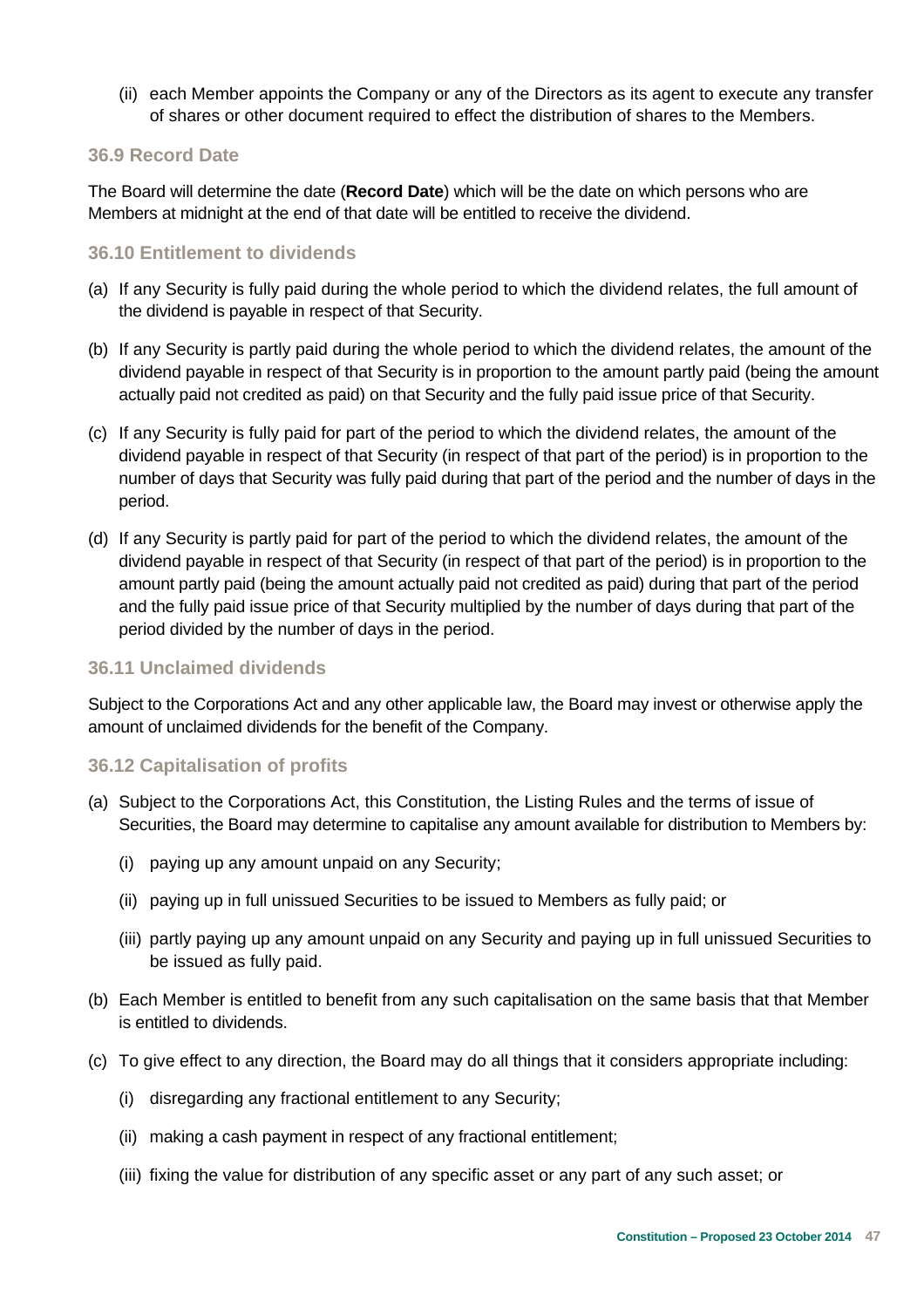(ii) each Member appoints the Company or any of the Directors as its agent to execute any transfer of shares or other document required to effect the distribution of shares to the Members.

### **36.9 Record Date**

The Board will determine the date (**Record Date**) which will be the date on which persons who are Members at midnight at the end of that date will be entitled to receive the dividend.

### **36.10 Entitlement to dividends**

- (a) If any Security is fully paid during the whole period to which the dividend relates, the full amount of the dividend is payable in respect of that Security.
- (b) If any Security is partly paid during the whole period to which the dividend relates, the amount of the dividend payable in respect of that Security is in proportion to the amount partly paid (being the amount actually paid not credited as paid) on that Security and the fully paid issue price of that Security.
- (c) If any Security is fully paid for part of the period to which the dividend relates, the amount of the dividend payable in respect of that Security (in respect of that part of the period) is in proportion to the number of days that Security was fully paid during that part of the period and the number of days in the period.
- (d) If any Security is partly paid for part of the period to which the dividend relates, the amount of the dividend payable in respect of that Security (in respect of that part of the period) is in proportion to the amount partly paid (being the amount actually paid not credited as paid) during that part of the period and the fully paid issue price of that Security multiplied by the number of days during that part of the period divided by the number of days in the period.

### **36.11 Unclaimed dividends**

Subject to the Corporations Act and any other applicable law, the Board may invest or otherwise apply the amount of unclaimed dividends for the benefit of the Company.

### **36.12 Capitalisation of profits**

- (a) Subject to the Corporations Act, this Constitution, the Listing Rules and the terms of issue of Securities, the Board may determine to capitalise any amount available for distribution to Members by:
	- (i) paying up any amount unpaid on any Security;
	- (ii) paying up in full unissued Securities to be issued to Members as fully paid; or
	- (iii) partly paying up any amount unpaid on any Security and paying up in full unissued Securities to be issued as fully paid.
- (b) Each Member is entitled to benefit from any such capitalisation on the same basis that that Member is entitled to dividends.
- (c) To give effect to any direction, the Board may do all things that it considers appropriate including:
	- (i) disregarding any fractional entitlement to any Security;
	- (ii) making a cash payment in respect of any fractional entitlement;
	- (iii) fixing the value for distribution of any specific asset or any part of any such asset; or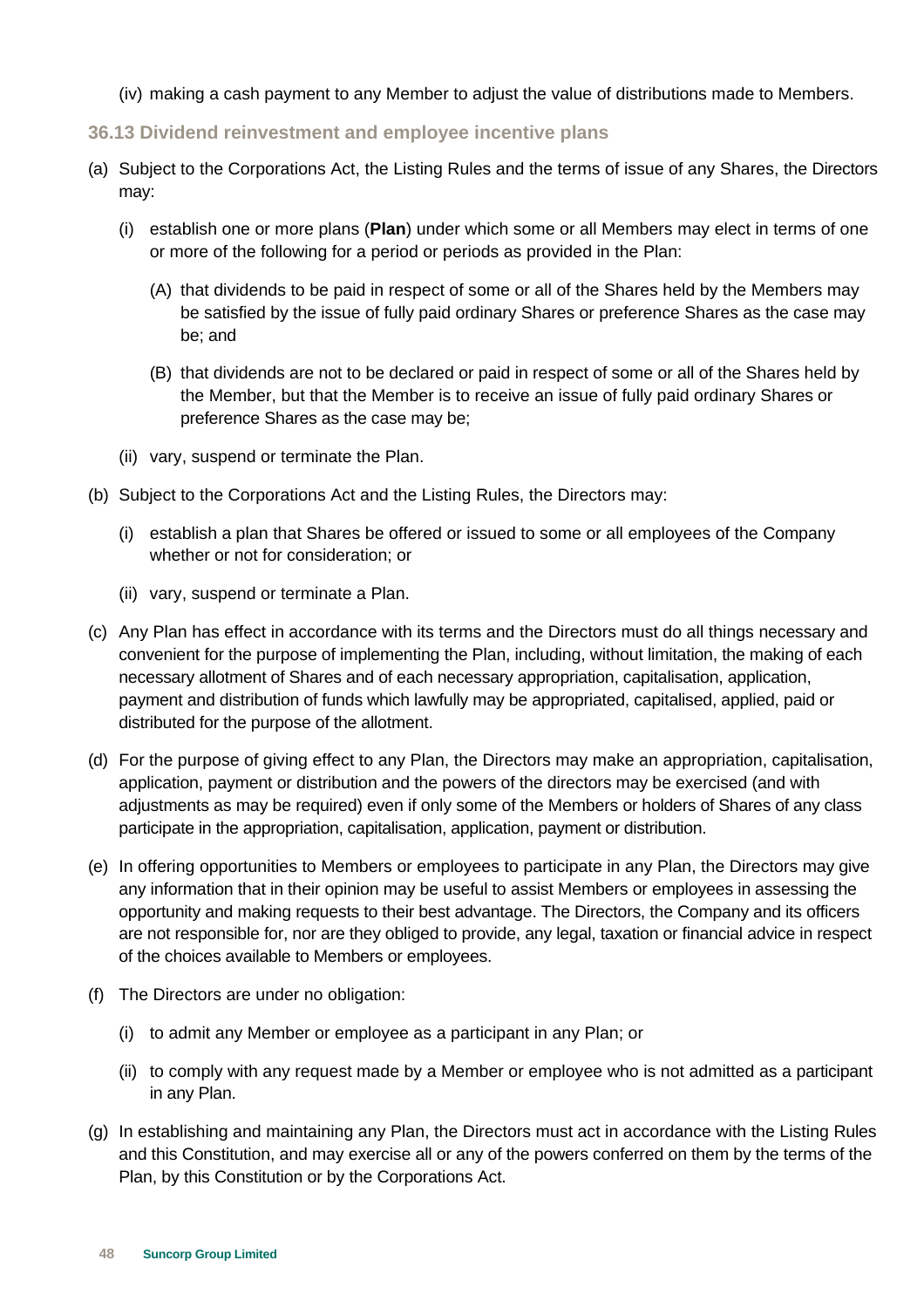- (iv) making a cash payment to any Member to adjust the value of distributions made to Members.
- **36.13 Dividend reinvestment and employee incentive plans**
- (a) Subject to the Corporations Act, the Listing Rules and the terms of issue of any Shares, the Directors may:
	- (i) establish one or more plans (**Plan**) under which some or all Members may elect in terms of one or more of the following for a period or periods as provided in the Plan:
		- (A) that dividends to be paid in respect of some or all of the Shares held by the Members may be satisfied by the issue of fully paid ordinary Shares or preference Shares as the case may be; and
		- (B) that dividends are not to be declared or paid in respect of some or all of the Shares held by the Member, but that the Member is to receive an issue of fully paid ordinary Shares or preference Shares as the case may be;
	- (ii) vary, suspend or terminate the Plan.
- (b) Subject to the Corporations Act and the Listing Rules, the Directors may:
	- (i) establish a plan that Shares be offered or issued to some or all employees of the Company whether or not for consideration; or
	- (ii) vary, suspend or terminate a Plan.
- (c) Any Plan has effect in accordance with its terms and the Directors must do all things necessary and convenient for the purpose of implementing the Plan, including, without limitation, the making of each necessary allotment of Shares and of each necessary appropriation, capitalisation, application, payment and distribution of funds which lawfully may be appropriated, capitalised, applied, paid or distributed for the purpose of the allotment.
- (d) For the purpose of giving effect to any Plan, the Directors may make an appropriation, capitalisation, application, payment or distribution and the powers of the directors may be exercised (and with adjustments as may be required) even if only some of the Members or holders of Shares of any class participate in the appropriation, capitalisation, application, payment or distribution.
- (e) In offering opportunities to Members or employees to participate in any Plan, the Directors may give any information that in their opinion may be useful to assist Members or employees in assessing the opportunity and making requests to their best advantage. The Directors, the Company and its officers are not responsible for, nor are they obliged to provide, any legal, taxation or financial advice in respect of the choices available to Members or employees.
- (f) The Directors are under no obligation:
	- (i) to admit any Member or employee as a participant in any Plan; or
	- (ii) to comply with any request made by a Member or employee who is not admitted as a participant in any Plan.
- (g) In establishing and maintaining any Plan, the Directors must act in accordance with the Listing Rules and this Constitution, and may exercise all or any of the powers conferred on them by the terms of the Plan, by this Constitution or by the Corporations Act.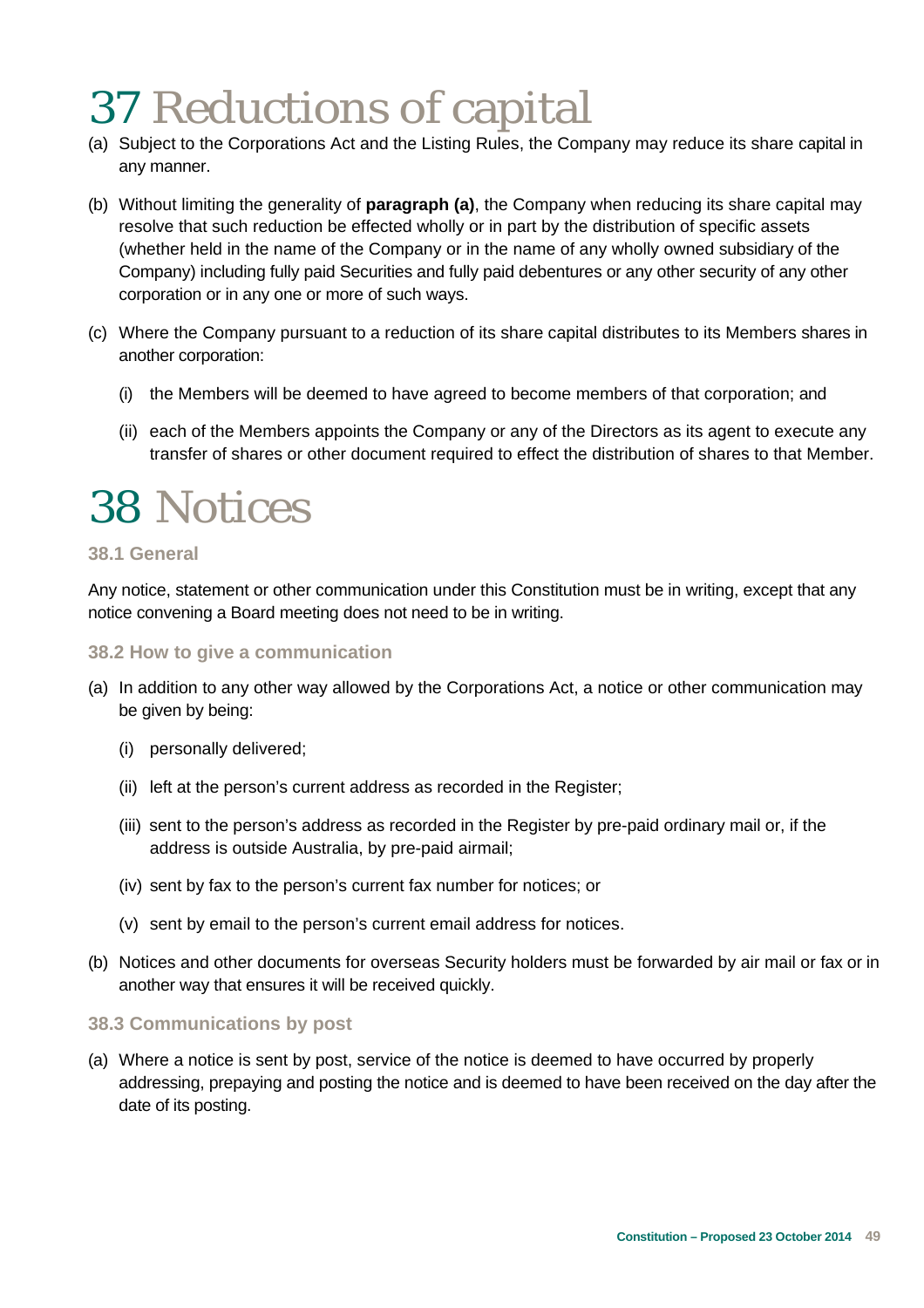### 37 Reductions of capital

- (a) Subject to the Corporations Act and the Listing Rules, the Company may reduce its share capital in any manner.
- (b) Without limiting the generality of **paragraph (a)**, the Company when reducing its share capital may resolve that such reduction be effected wholly or in part by the distribution of specific assets (whether held in the name of the Company or in the name of any wholly owned subsidiary of the Company) including fully paid Securities and fully paid debentures or any other security of any other corporation or in any one or more of such ways.
- (c) Where the Company pursuant to a reduction of its share capital distributes to its Members shares in another corporation:
	- (i) the Members will be deemed to have agreed to become members of that corporation; and
	- (ii) each of the Members appoints the Company or any of the Directors as its agent to execute any transfer of shares or other document required to effect the distribution of shares to that Member.

### 38 Notices

### **38.1 General**

Any notice, statement or other communication under this Constitution must be in writing, except that any notice convening a Board meeting does not need to be in writing.

#### **38.2 How to give a communication**

- (a) In addition to any other way allowed by the Corporations Act, a notice or other communication may be given by being:
	- (i) personally delivered;
	- (ii) left at the person's current address as recorded in the Register;
	- (iii) sent to the person's address as recorded in the Register by pre-paid ordinary mail or, if the address is outside Australia, by pre-paid airmail;
	- (iv) sent by fax to the person's current fax number for notices; or
	- (v) sent by email to the person's current email address for notices.
- (b) Notices and other documents for overseas Security holders must be forwarded by air mail or fax or in another way that ensures it will be received quickly.

### **38.3 Communications by post**

(a) Where a notice is sent by post, service of the notice is deemed to have occurred by properly addressing, prepaying and posting the notice and is deemed to have been received on the day after the date of its posting.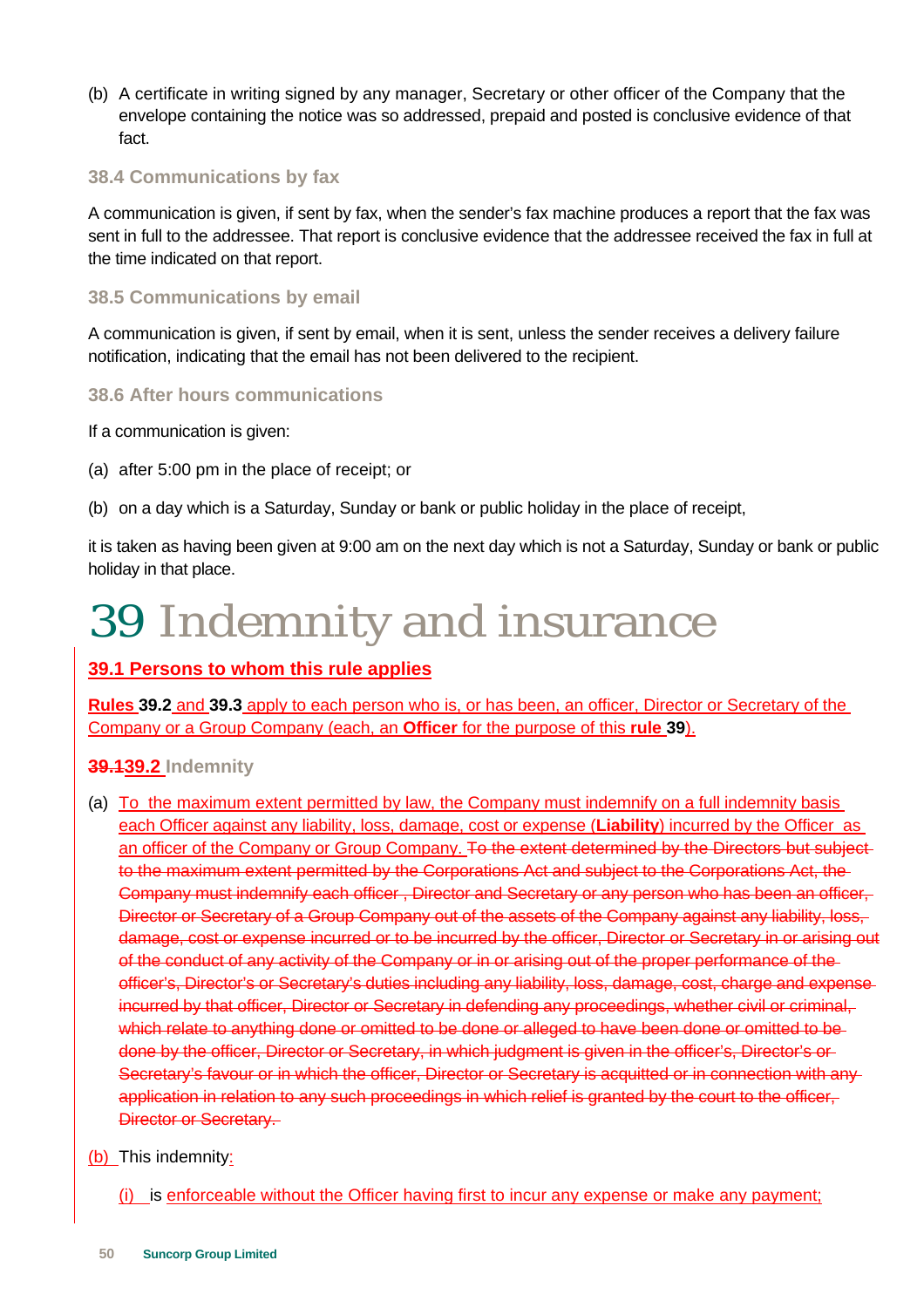(b) A certificate in writing signed by any manager, Secretary or other officer of the Company that the envelope containing the notice was so addressed, prepaid and posted is conclusive evidence of that fact.

### **38.4 Communications by fax**

A communication is given, if sent by fax, when the sender's fax machine produces a report that the fax was sent in full to the addressee. That report is conclusive evidence that the addressee received the fax in full at the time indicated on that report.

### **38.5 Communications by email**

A communication is given, if sent by email, when it is sent, unless the sender receives a delivery failure notification, indicating that the email has not been delivered to the recipient.

### **38.6 After hours communications**

If a communication is given:

- (a) after 5:00 pm in the place of receipt; or
- (b) on a day which is a Saturday, Sunday or bank or public holiday in the place of receipt,

it is taken as having been given at 9:00 am on the next day which is not a Saturday, Sunday or bank or public holiday in that place.

### 39 Indemnity and insurance

### **39.1 Persons to whom this rule applies**

**Rules 39.2** and **39.3** apply to each person who is, or has been, an officer, Director or Secretary of the Company or a Group Company (each, an **Officer** for the purpose of this **rule 39**).

### **39.139.2 Indemnity**

(a) To the maximum extent permitted by law, the Company must indemnify on a full indemnity basis each Officer against any liability, loss, damage, cost or expense (**Liability**) incurred by the Officer as an officer of the Company or Group Company. To the extent determined by the Directors but subjectto the maximum extent permitted by the Corporations Act and subject to the Corporations Act, the Company must indemnify each officer , Director and Secretary or any person who has been an officer, Director or Secretary of a Group Company out of the assets of the Company against any liability, loss, damage, cost or expense incurred or to be incurred by the officer, Director or Secretary in or arising out of the conduct of any activity of the Company or in or arising out of the proper performance of the officer's, Director's or Secretary's duties including any liability, loss, damage, cost, charge and expense incurred by that officer, Director or Secretary in defending any proceedings, whether civil or criminal, which relate to anything done or omitted to be done or alleged to have been done or omitted to bedone by the officer, Director or Secretary, in which judgment is given in the officer's, Director's or Secretary's favour or in which the officer, Director or Secretary is acquitted or in connection with anyapplication in relation to any such proceedings in which relief is granted by the court to the officer, Director or Secretary.

### (b) This indemnity:

(i) is enforceable without the Officer having first to incur any expense or make any payment;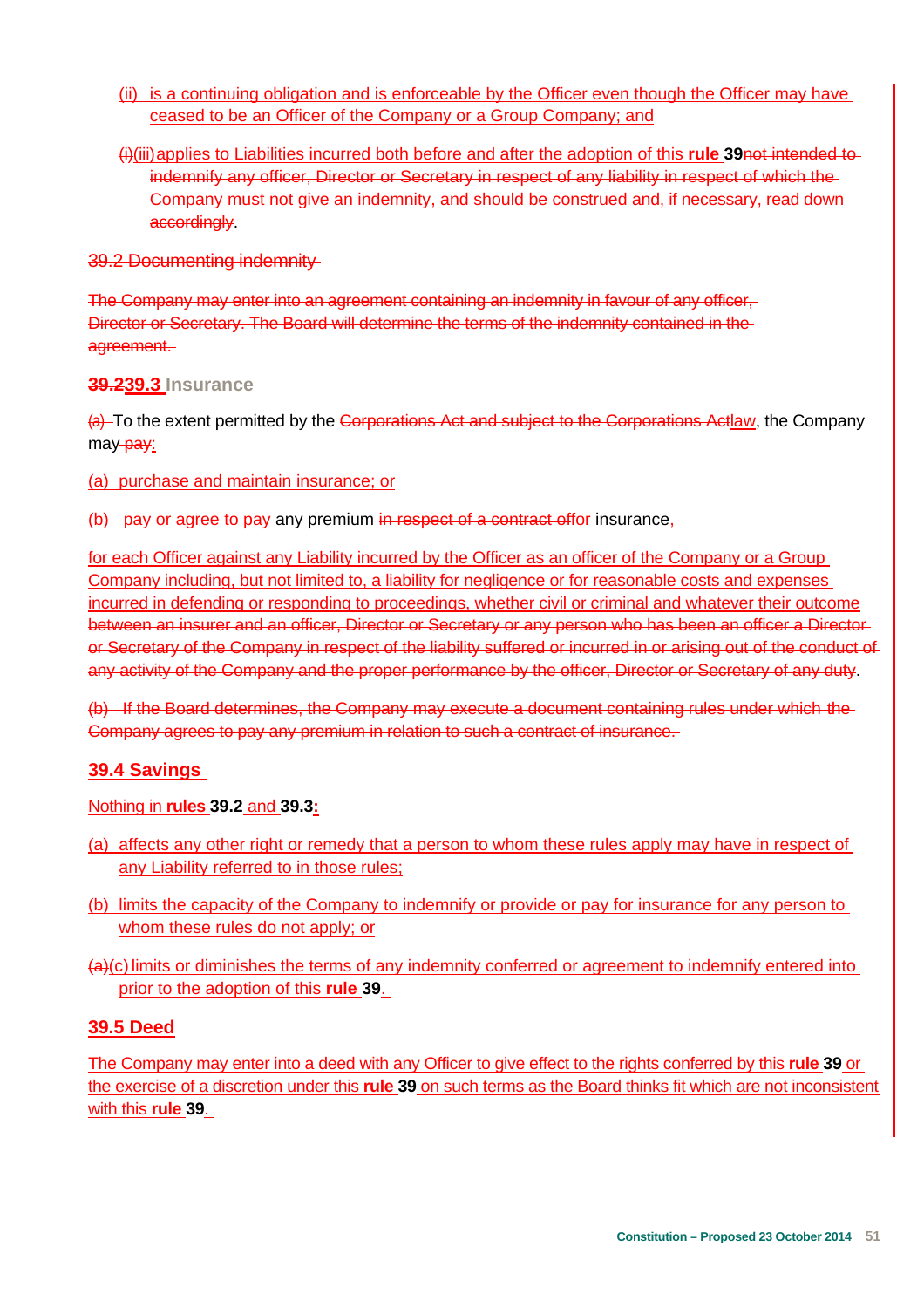- (ii) is a continuing obligation and is enforceable by the Officer even though the Officer may have ceased to be an Officer of the Company or a Group Company; and
- (i)(iii) applies to Liabilities incurred both before and after the adoption of this **rule 39**not intended to indemnify any officer, Director or Secretary in respect of any liability in respect of which the Company must not give an indemnity, and should be construed and, if necessary, read down accordingly.

39.2 Documenting indemnity

The Company may enter into an agreement containing an indemnity in favour of any officer, Director or Secretary. The Board will determine the terms of the indemnity contained in the agreement.

### **39.239.3 Insurance**

(a) To the extent permitted by the Corporations Act and subject to the Corporations Actlaw, the Company may-pay:

(a) purchase and maintain insurance; or

(b) pay or agree to pay any premium in respect of a contract offor insurance,

for each Officer against any Liability incurred by the Officer as an officer of the Company or a Group Company including, but not limited to, a liability for negligence or for reasonable costs and expenses incurred in defending or responding to proceedings, whether civil or criminal and whatever their outcome between an insurer and an officer, Director or Secretary or any person who has been an officer a Director or Secretary of the Company in respect of the liability suffered or incurred in or arising out of the conduct of any activity of the Company and the proper performance by the officer, Director or Secretary of any duty.

(b) If the Board determines, the Company may execute a document containing rules under which the Company agrees to pay any premium in relation to such a contract of insurance.

### **39.4 Savings**

Nothing in **rules 39.2** and **39.3:**

- (a) affects any other right or remedy that a person to whom these rules apply may have in respect of any Liability referred to in those rules;
- (b) limits the capacity of the Company to indemnify or provide or pay for insurance for any person to whom these rules do not apply; or
- (a)(c) limits or diminishes the terms of any indemnity conferred or agreement to indemnify entered into prior to the adoption of this **rule 39**.

### **39.5 Deed**

The Company may enter into a deed with any Officer to give effect to the rights conferred by this **rule 39** or the exercise of a discretion under this **rule 39** on such terms as the Board thinks fit which are not inconsistent with this **rule 39**.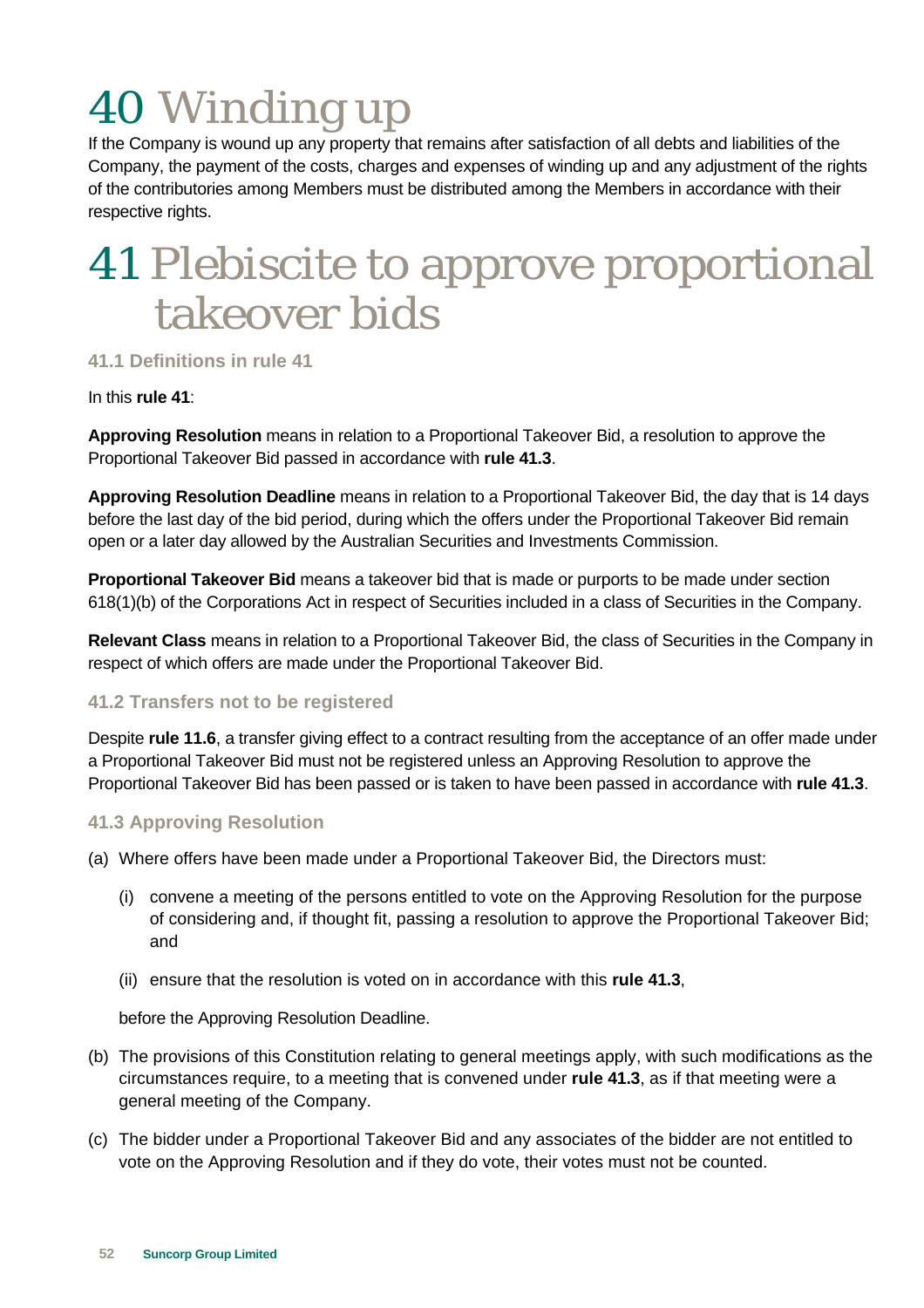# 40 Winding up

If the Company is wound up any property that remains after satisfaction of all debts and liabilities of the Company, the payment of the costs, charges and expenses of winding up and any adjustment of the rights of the contributories among Members must be distributed among the Members in accordance with their respective rights.

### 41 Plebiscite to approve proportional takeover bids

**41.1 Definitions in rule 41** 

### In this **rule 41**:

**Approving Resolution** means in relation to a Proportional Takeover Bid, a resolution to approve the Proportional Takeover Bid passed in accordance with **rule 41.3**.

**Approving Resolution Deadline** means in relation to a Proportional Takeover Bid, the day that is 14 days before the last day of the bid period, during which the offers under the Proportional Takeover Bid remain open or a later day allowed by the Australian Securities and Investments Commission.

**Proportional Takeover Bid** means a takeover bid that is made or purports to be made under section 618(1)(b) of the Corporations Act in respect of Securities included in a class of Securities in the Company.

**Relevant Class** means in relation to a Proportional Takeover Bid, the class of Securities in the Company in respect of which offers are made under the Proportional Takeover Bid.

### **41.2 Transfers not to be registered**

Despite **rule 11.6**, a transfer giving effect to a contract resulting from the acceptance of an offer made under a Proportional Takeover Bid must not be registered unless an Approving Resolution to approve the Proportional Takeover Bid has been passed or is taken to have been passed in accordance with **rule 41.3**.

### **41.3 Approving Resolution**

- (a) Where offers have been made under a Proportional Takeover Bid, the Directors must:
	- (i) convene a meeting of the persons entitled to vote on the Approving Resolution for the purpose of considering and, if thought fit, passing a resolution to approve the Proportional Takeover Bid; and
	- (ii) ensure that the resolution is voted on in accordance with this **rule 41.3**,

before the Approving Resolution Deadline.

- (b) The provisions of this Constitution relating to general meetings apply, with such modifications as the circumstances require, to a meeting that is convened under **rule 41.3**, as if that meeting were a general meeting of the Company.
- (c) The bidder under a Proportional Takeover Bid and any associates of the bidder are not entitled to vote on the Approving Resolution and if they do vote, their votes must not be counted.